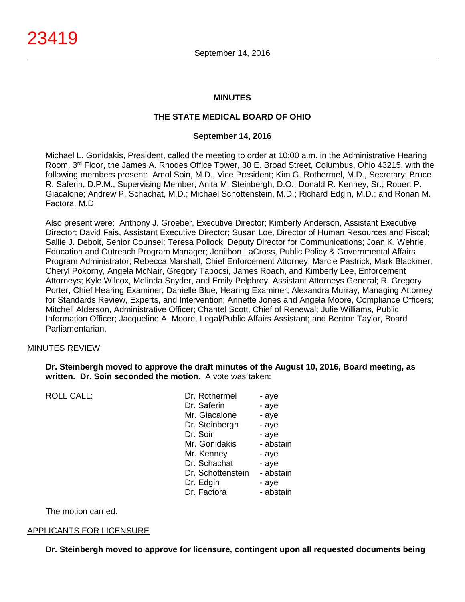# **MINUTES**

# **THE STATE MEDICAL BOARD OF OHIO**

# **September 14, 2016**

Michael L. Gonidakis, President, called the meeting to order at 10:00 a.m. in the Administrative Hearing Room, 3rd Floor, the James A. Rhodes Office Tower, 30 E. Broad Street, Columbus, Ohio 43215, with the following members present: Amol Soin, M.D., Vice President; Kim G. Rothermel, M.D., Secretary; Bruce R. Saferin, D.P.M., Supervising Member; Anita M. Steinbergh, D.O.; Donald R. Kenney, Sr.; Robert P. Giacalone; Andrew P. Schachat, M.D.; Michael Schottenstein, M.D.; Richard Edgin, M.D.; and Ronan M. Factora, M.D.

Also present were: Anthony J. Groeber, Executive Director; Kimberly Anderson, Assistant Executive Director; David Fais, Assistant Executive Director; Susan Loe, Director of Human Resources and Fiscal; Sallie J. Debolt, Senior Counsel; Teresa Pollock, Deputy Director for Communications; Joan K. Wehrle, Education and Outreach Program Manager; Jonithon LaCross, Public Policy & Governmental Affairs Program Administrator; Rebecca Marshall, Chief Enforcement Attorney; Marcie Pastrick, Mark Blackmer, Cheryl Pokorny, Angela McNair, Gregory Tapocsi, James Roach, and Kimberly Lee, Enforcement Attorneys; Kyle Wilcox, Melinda Snyder, and Emily Pelphrey, Assistant Attorneys General; R. Gregory Porter, Chief Hearing Examiner; Danielle Blue, Hearing Examiner; Alexandra Murray, Managing Attorney for Standards Review, Experts, and Intervention; Annette Jones and Angela Moore, Compliance Officers; Mitchell Alderson, Administrative Officer; Chantel Scott, Chief of Renewal; Julie Williams, Public Information Officer; Jacqueline A. Moore, Legal/Public Affairs Assistant; and Benton Taylor, Board Parliamentarian.

# MINUTES REVIEW

# **Dr. Steinbergh moved to approve the draft minutes of the August 10, 2016, Board meeting, as written. Dr. Soin seconded the motion.** A vote was taken:

ROLL CALL:

| Dr. Rothermel     | - aye     |
|-------------------|-----------|
| Dr. Saferin       | - aye     |
| Mr. Giacalone     | - aye     |
| Dr. Steinbergh    | - aye     |
| Dr. Soin          | - aye     |
| Mr. Gonidakis     | - abstain |
| Mr. Kenney        | - aye     |
| Dr. Schachat      | - aye     |
| Dr. Schottenstein | - abstain |
| Dr. Edgin         | - aye     |
| Dr. Factora       | - abstain |

The motion carried.

# APPLICANTS FOR LICENSURE

**Dr. Steinbergh moved to approve for licensure, contingent upon all requested documents being**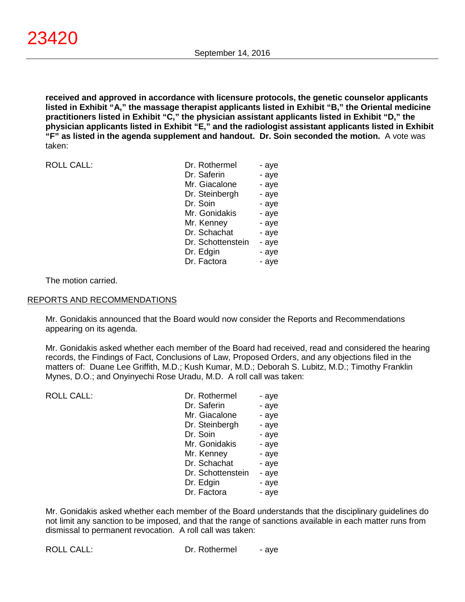**received and approved in accordance with licensure protocols, the genetic counselor applicants listed in Exhibit "A," the massage therapist applicants listed in Exhibit "B," the Oriental medicine practitioners listed in Exhibit "C," the physician assistant applicants listed in Exhibit "D," the physician applicants listed in Exhibit "E," and the radiologist assistant applicants listed in Exhibit "F" as listed in the agenda supplement and handout. Dr. Soin seconded the motion.** A vote was taken:

ROLL CALL:

| Dr. Rothermel     | - aye |
|-------------------|-------|
| Dr. Saferin       | - aye |
| Mr. Giacalone     | - aye |
| Dr. Steinbergh    | - aye |
| Dr. Soin          | - aye |
| Mr. Gonidakis     | - aye |
| Mr. Kenney        | - aye |
| Dr. Schachat      | - aye |
| Dr. Schottenstein | - aye |
| Dr. Edgin         | - aye |
| Dr. Factora       | - aye |

The motion carried.

#### REPORTS AND RECOMMENDATIONS

Mr. Gonidakis announced that the Board would now consider the Reports and Recommendations appearing on its agenda.

Mr. Gonidakis asked whether each member of the Board had received, read and considered the hearing records, the Findings of Fact, Conclusions of Law, Proposed Orders, and any objections filed in the matters of: Duane Lee Griffith, M.D.; Kush Kumar, M.D.; Deborah S. Lubitz, M.D.; Timothy Franklin Mynes, D.O.; and Onyinyechi Rose Uradu, M.D. A roll call was taken:

| <b>ROLL CALL:</b> | Dr. Rothermel     | - aye |
|-------------------|-------------------|-------|
|                   | Dr. Saferin       | - aye |
|                   | Mr. Giacalone     | - aye |
|                   | Dr. Steinbergh    | - aye |
|                   | Dr. Soin          | - aye |
|                   | Mr. Gonidakis     | - aye |
|                   | Mr. Kenney        | - aye |
|                   | Dr. Schachat      | - aye |
|                   | Dr. Schottenstein | - aye |
|                   | Dr. Edgin         | - aye |
|                   | Dr. Factora       | - aye |

Mr. Gonidakis asked whether each member of the Board understands that the disciplinary guidelines do not limit any sanction to be imposed, and that the range of sanctions available in each matter runs from dismissal to permanent revocation. A roll call was taken: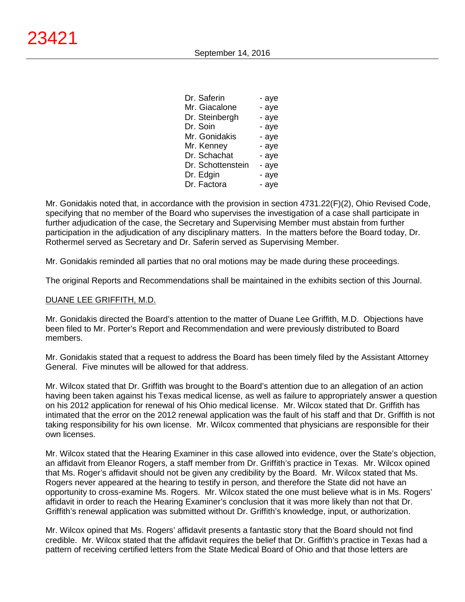| Dr. Saferin       | - aye |
|-------------------|-------|
| Mr. Giacalone     | - aye |
| Dr. Steinbergh    | - aye |
| Dr. Soin          | - aye |
| Mr. Gonidakis     | - aye |
| Mr. Kenney        | - aye |
| Dr. Schachat      | - aye |
| Dr. Schottenstein | - aye |
| Dr. Edgin         | - aye |
| Dr. Factora       | - aye |
|                   |       |

Mr. Gonidakis noted that, in accordance with the provision in section 4731.22(F)(2), Ohio Revised Code, specifying that no member of the Board who supervises the investigation of a case shall participate in further adjudication of the case, the Secretary and Supervising Member must abstain from further participation in the adjudication of any disciplinary matters. In the matters before the Board today, Dr. Rothermel served as Secretary and Dr. Saferin served as Supervising Member.

Mr. Gonidakis reminded all parties that no oral motions may be made during these proceedings.

The original Reports and Recommendations shall be maintained in the exhibits section of this Journal.

# DUANE LEE GRIFFITH, M.D.

Mr. Gonidakis directed the Board's attention to the matter of Duane Lee Griffith, M.D. Objections have been filed to Mr. Porter's Report and Recommendation and were previously distributed to Board members.

Mr. Gonidakis stated that a request to address the Board has been timely filed by the Assistant Attorney General. Five minutes will be allowed for that address.

Mr. Wilcox stated that Dr. Griffith was brought to the Board's attention due to an allegation of an action having been taken against his Texas medical license, as well as failure to appropriately answer a question on his 2012 application for renewal of his Ohio medical license. Mr. Wilcox stated that Dr. Griffith has intimated that the error on the 2012 renewal application was the fault of his staff and that Dr. Griffith is not taking responsibility for his own license. Mr. Wilcox commented that physicians are responsible for their own licenses.

Mr. Wilcox stated that the Hearing Examiner in this case allowed into evidence, over the State's objection, an affidavit from Eleanor Rogers, a staff member from Dr. Griffith's practice in Texas. Mr. Wilcox opined that Ms. Roger's affidavit should not be given any credibility by the Board. Mr. Wilcox stated that Ms. Rogers never appeared at the hearing to testify in person, and therefore the State did not have an opportunity to cross-examine Ms. Rogers. Mr. Wilcox stated the one must believe what is in Ms. Rogers' affidavit in order to reach the Hearing Examiner's conclusion that it was more likely than not that Dr. Griffith's renewal application was submitted without Dr. Griffith's knowledge, input, or authorization.

Mr. Wilcox opined that Ms. Rogers' affidavit presents a fantastic story that the Board should not find credible. Mr. Wilcox stated that the affidavit requires the belief that Dr. Griffith's practice in Texas had a pattern of receiving certified letters from the State Medical Board of Ohio and that those letters are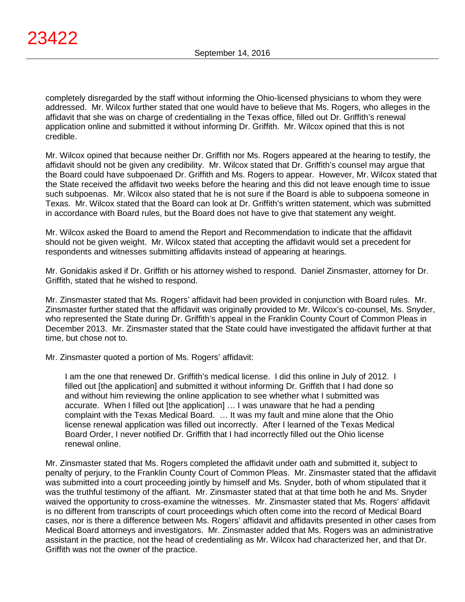completely disregarded by the staff without informing the Ohio-licensed physicians to whom they were addressed. Mr. Wilcox further stated that one would have to believe that Ms. Rogers, who alleges in the affidavit that she was on charge of credentialing in the Texas office, filled out Dr. Griffith's renewal application online and submitted it without informing Dr. Griffith. Mr. Wilcox opined that this is not credible.

Mr. Wilcox opined that because neither Dr. Griffith nor Ms. Rogers appeared at the hearing to testify, the affidavit should not be given any credibility. Mr. Wilcox stated that Dr. Griffith's counsel may argue that the Board could have subpoenaed Dr. Griffith and Ms. Rogers to appear. However, Mr. Wilcox stated that the State received the affidavit two weeks before the hearing and this did not leave enough time to issue such subpoenas. Mr. Wilcox also stated that he is not sure if the Board is able to subpoena someone in Texas. Mr. Wilcox stated that the Board can look at Dr. Griffith's written statement, which was submitted in accordance with Board rules, but the Board does not have to give that statement any weight.

Mr. Wilcox asked the Board to amend the Report and Recommendation to indicate that the affidavit should not be given weight. Mr. Wilcox stated that accepting the affidavit would set a precedent for respondents and witnesses submitting affidavits instead of appearing at hearings.

Mr. Gonidakis asked if Dr. Griffith or his attorney wished to respond. Daniel Zinsmaster, attorney for Dr. Griffith, stated that he wished to respond.

Mr. Zinsmaster stated that Ms. Rogers' affidavit had been provided in conjunction with Board rules. Mr. Zinsmaster further stated that the affidavit was originally provided to Mr. Wilcox's co-counsel, Ms. Snyder, who represented the State during Dr. Griffith's appeal in the Franklin County Court of Common Pleas in December 2013. Mr. Zinsmaster stated that the State could have investigated the affidavit further at that time, but chose not to.

Mr. Zinsmaster quoted a portion of Ms. Rogers' affidavit:

I am the one that renewed Dr. Griffith's medical license. I did this online in July of 2012. I filled out [the application] and submitted it without informing Dr. Griffith that I had done so and without him reviewing the online application to see whether what I submitted was accurate. When I filled out [the application] … I was unaware that he had a pending complaint with the Texas Medical Board. … It was my fault and mine alone that the Ohio license renewal application was filled out incorrectly. After I learned of the Texas Medical Board Order, I never notified Dr. Griffith that I had incorrectly filled out the Ohio license renewal online.

Mr. Zinsmaster stated that Ms. Rogers completed the affidavit under oath and submitted it, subject to penalty of perjury, to the Franklin County Court of Common Pleas. Mr. Zinsmaster stated that the affidavit was submitted into a court proceeding jointly by himself and Ms. Snyder, both of whom stipulated that it was the truthful testimony of the affiant. Mr. Zinsmaster stated that at that time both he and Ms. Snyder waived the opportunity to cross-examine the witnesses. Mr. Zinsmaster stated that Ms. Rogers' affidavit is no different from transcripts of court proceedings which often come into the record of Medical Board cases, nor is there a difference between Ms. Rogers' affidavit and affidavits presented in other cases from Medical Board attorneys and investigators. Mr. Zinsmaster added that Ms. Rogers was an administrative assistant in the practice, not the head of credentialing as Mr. Wilcox had characterized her, and that Dr. Griffith was not the owner of the practice.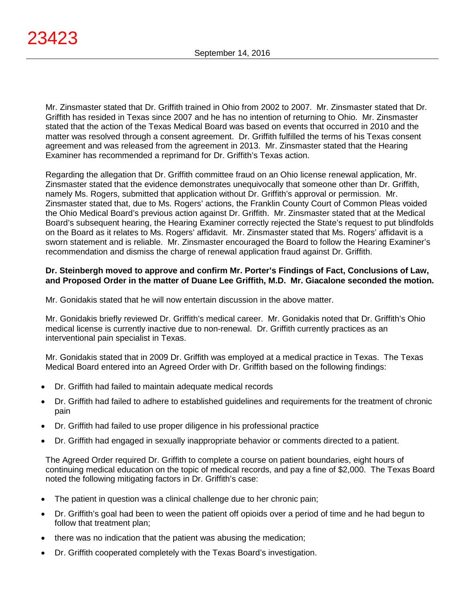Mr. Zinsmaster stated that Dr. Griffith trained in Ohio from 2002 to 2007. Mr. Zinsmaster stated that Dr. Griffith has resided in Texas since 2007 and he has no intention of returning to Ohio. Mr. Zinsmaster stated that the action of the Texas Medical Board was based on events that occurred in 2010 and the matter was resolved through a consent agreement. Dr. Griffith fulfilled the terms of his Texas consent agreement and was released from the agreement in 2013. Mr. Zinsmaster stated that the Hearing Examiner has recommended a reprimand for Dr. Griffith's Texas action.

Regarding the allegation that Dr. Griffith committee fraud on an Ohio license renewal application, Mr. Zinsmaster stated that the evidence demonstrates unequivocally that someone other than Dr. Griffith, namely Ms. Rogers, submitted that application without Dr. Griffith's approval or permission. Mr. Zinsmaster stated that, due to Ms. Rogers' actions, the Franklin County Court of Common Pleas voided the Ohio Medical Board's previous action against Dr. Griffith. Mr. Zinsmaster stated that at the Medical Board's subsequent hearing, the Hearing Examiner correctly rejected the State's request to put blindfolds on the Board as it relates to Ms. Rogers' affidavit. Mr. Zinsmaster stated that Ms. Rogers' affidavit is a sworn statement and is reliable. Mr. Zinsmaster encouraged the Board to follow the Hearing Examiner's recommendation and dismiss the charge of renewal application fraud against Dr. Griffith.

# **Dr. Steinbergh moved to approve and confirm Mr. Porter's Findings of Fact, Conclusions of Law, and Proposed Order in the matter of Duane Lee Griffith, M.D. Mr. Giacalone seconded the motion.**

Mr. Gonidakis stated that he will now entertain discussion in the above matter.

Mr. Gonidakis briefly reviewed Dr. Griffith's medical career. Mr. Gonidakis noted that Dr. Griffith's Ohio medical license is currently inactive due to non-renewal. Dr. Griffith currently practices as an interventional pain specialist in Texas.

Mr. Gonidakis stated that in 2009 Dr. Griffith was employed at a medical practice in Texas. The Texas Medical Board entered into an Agreed Order with Dr. Griffith based on the following findings:

- Dr. Griffith had failed to maintain adequate medical records
- Dr. Griffith had failed to adhere to established guidelines and requirements for the treatment of chronic pain
- Dr. Griffith had failed to use proper diligence in his professional practice
- Dr. Griffith had engaged in sexually inappropriate behavior or comments directed to a patient.

The Agreed Order required Dr. Griffith to complete a course on patient boundaries, eight hours of continuing medical education on the topic of medical records, and pay a fine of \$2,000. The Texas Board noted the following mitigating factors in Dr. Griffith's case:

- The patient in question was a clinical challenge due to her chronic pain;
- Dr. Griffith's goal had been to ween the patient off opioids over a period of time and he had begun to follow that treatment plan;
- there was no indication that the patient was abusing the medication;
- Dr. Griffith cooperated completely with the Texas Board's investigation.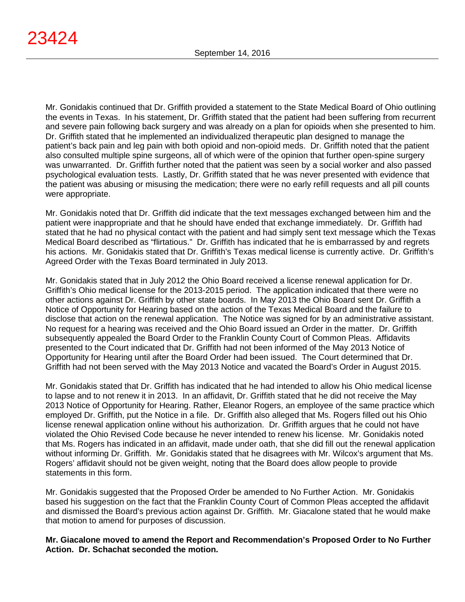Mr. Gonidakis continued that Dr. Griffith provided a statement to the State Medical Board of Ohio outlining the events in Texas. In his statement, Dr. Griffith stated that the patient had been suffering from recurrent and severe pain following back surgery and was already on a plan for opioids when she presented to him. Dr. Griffith stated that he implemented an individualized therapeutic plan designed to manage the patient's back pain and leg pain with both opioid and non-opioid meds. Dr. Griffith noted that the patient also consulted multiple spine surgeons, all of which were of the opinion that further open-spine surgery was unwarranted. Dr. Griffith further noted that the patient was seen by a social worker and also passed psychological evaluation tests. Lastly, Dr. Griffith stated that he was never presented with evidence that the patient was abusing or misusing the medication; there were no early refill requests and all pill counts were appropriate.

Mr. Gonidakis noted that Dr. Griffith did indicate that the text messages exchanged between him and the patient were inappropriate and that he should have ended that exchange immediately. Dr. Griffith had stated that he had no physical contact with the patient and had simply sent text message which the Texas Medical Board described as "flirtatious." Dr. Griffith has indicated that he is embarrassed by and regrets his actions. Mr. Gonidakis stated that Dr. Griffith's Texas medical license is currently active. Dr. Griffith's Agreed Order with the Texas Board terminated in July 2013.

Mr. Gonidakis stated that in July 2012 the Ohio Board received a license renewal application for Dr. Griffith's Ohio medical license for the 2013-2015 period. The application indicated that there were no other actions against Dr. Griffith by other state boards. In May 2013 the Ohio Board sent Dr. Griffith a Notice of Opportunity for Hearing based on the action of the Texas Medical Board and the failure to disclose that action on the renewal application. The Notice was signed for by an administrative assistant. No request for a hearing was received and the Ohio Board issued an Order in the matter. Dr. Griffith subsequently appealed the Board Order to the Franklin County Court of Common Pleas. Affidavits presented to the Court indicated that Dr. Griffith had not been informed of the May 2013 Notice of Opportunity for Hearing until after the Board Order had been issued. The Court determined that Dr. Griffith had not been served with the May 2013 Notice and vacated the Board's Order in August 2015.

Mr. Gonidakis stated that Dr. Griffith has indicated that he had intended to allow his Ohio medical license to lapse and to not renew it in 2013. In an affidavit, Dr. Griffith stated that he did not receive the May 2013 Notice of Opportunity for Hearing. Rather, Eleanor Rogers, an employee of the same practice which employed Dr. Griffith, put the Notice in a file. Dr. Griffith also alleged that Ms. Rogers filled out his Ohio license renewal application online without his authorization. Dr. Griffith argues that he could not have violated the Ohio Revised Code because he never intended to renew his license. Mr. Gonidakis noted that Ms. Rogers has indicated in an affidavit, made under oath, that she did fill out the renewal application without informing Dr. Griffith. Mr. Gonidakis stated that he disagrees with Mr. Wilcox's argument that Ms. Rogers' affidavit should not be given weight, noting that the Board does allow people to provide statements in this form.

Mr. Gonidakis suggested that the Proposed Order be amended to No Further Action. Mr. Gonidakis based his suggestion on the fact that the Franklin County Court of Common Pleas accepted the affidavit and dismissed the Board's previous action against Dr. Griffith. Mr. Giacalone stated that he would make that motion to amend for purposes of discussion.

**Mr. Giacalone moved to amend the Report and Recommendation's Proposed Order to No Further Action. Dr. Schachat seconded the motion.**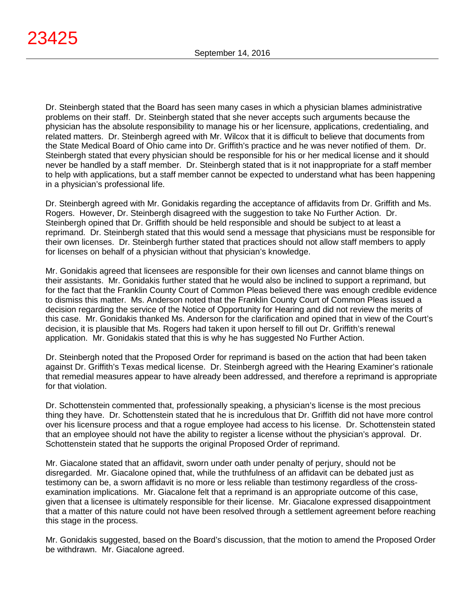Dr. Steinbergh stated that the Board has seen many cases in which a physician blames administrative problems on their staff. Dr. Steinbergh stated that she never accepts such arguments because the physician has the absolute responsibility to manage his or her licensure, applications, credentialing, and related matters. Dr. Steinbergh agreed with Mr. Wilcox that it is difficult to believe that documents from the State Medical Board of Ohio came into Dr. Griffith's practice and he was never notified of them. Dr. Steinbergh stated that every physician should be responsible for his or her medical license and it should never be handled by a staff member. Dr. Steinbergh stated that is it not inappropriate for a staff member to help with applications, but a staff member cannot be expected to understand what has been happening in a physician's professional life.

Dr. Steinbergh agreed with Mr. Gonidakis regarding the acceptance of affidavits from Dr. Griffith and Ms. Rogers. However, Dr. Steinbergh disagreed with the suggestion to take No Further Action. Dr. Steinbergh opined that Dr. Griffith should be held responsible and should be subject to at least a reprimand. Dr. Steinbergh stated that this would send a message that physicians must be responsible for their own licenses. Dr. Steinbergh further stated that practices should not allow staff members to apply for licenses on behalf of a physician without that physician's knowledge.

Mr. Gonidakis agreed that licensees are responsible for their own licenses and cannot blame things on their assistants. Mr. Gonidakis further stated that he would also be inclined to support a reprimand, but for the fact that the Franklin County Court of Common Pleas believed there was enough credible evidence to dismiss this matter. Ms. Anderson noted that the Franklin County Court of Common Pleas issued a decision regarding the service of the Notice of Opportunity for Hearing and did not review the merits of this case. Mr. Gonidakis thanked Ms. Anderson for the clarification and opined that in view of the Court's decision, it is plausible that Ms. Rogers had taken it upon herself to fill out Dr. Griffith's renewal application. Mr. Gonidakis stated that this is why he has suggested No Further Action.

Dr. Steinbergh noted that the Proposed Order for reprimand is based on the action that had been taken against Dr. Griffith's Texas medical license. Dr. Steinbergh agreed with the Hearing Examiner's rationale that remedial measures appear to have already been addressed, and therefore a reprimand is appropriate for that violation.

Dr. Schottenstein commented that, professionally speaking, a physician's license is the most precious thing they have. Dr. Schottenstein stated that he is incredulous that Dr. Griffith did not have more control over his licensure process and that a rogue employee had access to his license. Dr. Schottenstein stated that an employee should not have the ability to register a license without the physician's approval. Dr. Schottenstein stated that he supports the original Proposed Order of reprimand.

Mr. Giacalone stated that an affidavit, sworn under oath under penalty of perjury, should not be disregarded. Mr. Giacalone opined that, while the truthfulness of an affidavit can be debated just as testimony can be, a sworn affidavit is no more or less reliable than testimony regardless of the crossexamination implications. Mr. Giacalone felt that a reprimand is an appropriate outcome of this case, given that a licensee is ultimately responsible for their license. Mr. Giacalone expressed disappointment that a matter of this nature could not have been resolved through a settlement agreement before reaching this stage in the process.

Mr. Gonidakis suggested, based on the Board's discussion, that the motion to amend the Proposed Order be withdrawn. Mr. Giacalone agreed.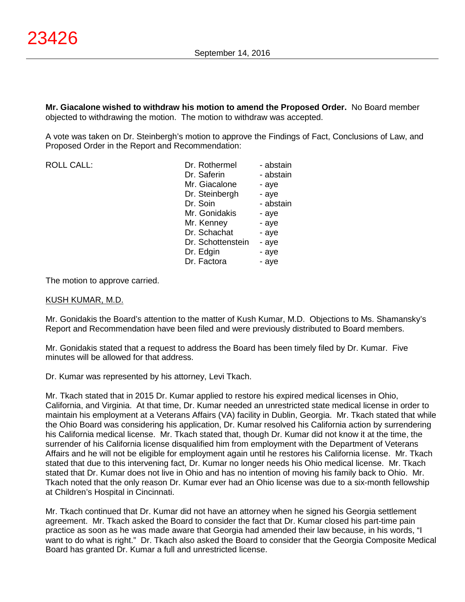**Mr. Giacalone wished to withdraw his motion to amend the Proposed Order.** No Board member objected to withdrawing the motion. The motion to withdraw was accepted.

A vote was taken on Dr. Steinbergh's motion to approve the Findings of Fact, Conclusions of Law, and Proposed Order in the Report and Recommendation:

ROLL CALL:

The motion to approve carried.

# KUSH KUMAR, M.D.

Mr. Gonidakis the Board's attention to the matter of Kush Kumar, M.D. Objections to Ms. Shamansky's Report and Recommendation have been filed and were previously distributed to Board members.

Mr. Gonidakis stated that a request to address the Board has been timely filed by Dr. Kumar. Five minutes will be allowed for that address.

Dr. Kumar was represented by his attorney, Levi Tkach.

Mr. Tkach stated that in 2015 Dr. Kumar applied to restore his expired medical licenses in Ohio, California, and Virginia. At that time, Dr. Kumar needed an unrestricted state medical license in order to maintain his employment at a Veterans Affairs (VA) facility in Dublin, Georgia. Mr. Tkach stated that while the Ohio Board was considering his application, Dr. Kumar resolved his California action by surrendering his California medical license. Mr. Tkach stated that, though Dr. Kumar did not know it at the time, the surrender of his California license disqualified him from employment with the Department of Veterans Affairs and he will not be eligible for employment again until he restores his California license. Mr. Tkach stated that due to this intervening fact, Dr. Kumar no longer needs his Ohio medical license. Mr. Tkach stated that Dr. Kumar does not live in Ohio and has no intention of moving his family back to Ohio. Mr. Tkach noted that the only reason Dr. Kumar ever had an Ohio license was due to a six-month fellowship at Children's Hospital in Cincinnati.

Mr. Tkach continued that Dr. Kumar did not have an attorney when he signed his Georgia settlement agreement. Mr. Tkach asked the Board to consider the fact that Dr. Kumar closed his part-time pain practice as soon as he was made aware that Georgia had amended their law because, in his words, "I want to do what is right." Dr. Tkach also asked the Board to consider that the Georgia Composite Medical Board has granted Dr. Kumar a full and unrestricted license.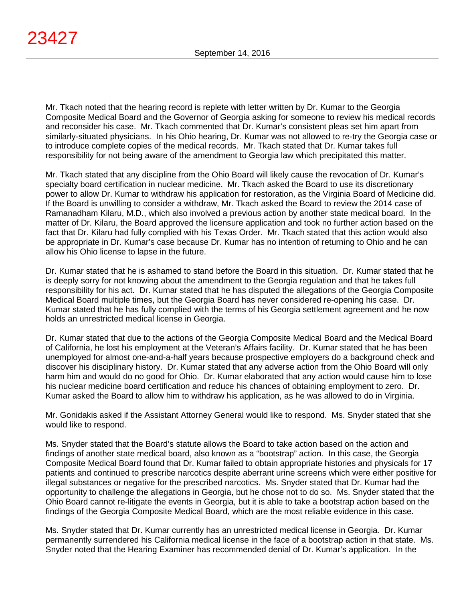Mr. Tkach noted that the hearing record is replete with letter written by Dr. Kumar to the Georgia Composite Medical Board and the Governor of Georgia asking for someone to review his medical records and reconsider his case. Mr. Tkach commented that Dr. Kumar's consistent pleas set him apart from similarly-situated physicians. In his Ohio hearing, Dr. Kumar was not allowed to re-try the Georgia case or to introduce complete copies of the medical records. Mr. Tkach stated that Dr. Kumar takes full responsibility for not being aware of the amendment to Georgia law which precipitated this matter.

Mr. Tkach stated that any discipline from the Ohio Board will likely cause the revocation of Dr. Kumar's specialty board certification in nuclear medicine. Mr. Tkach asked the Board to use its discretionary power to allow Dr. Kumar to withdraw his application for restoration, as the Virginia Board of Medicine did. If the Board is unwilling to consider a withdraw, Mr. Tkach asked the Board to review the 2014 case of Ramanadham Kilaru, M.D., which also involved a previous action by another state medical board. In the matter of Dr. Kilaru, the Board approved the licensure application and took no further action based on the fact that Dr. Kilaru had fully complied with his Texas Order. Mr. Tkach stated that this action would also be appropriate in Dr. Kumar's case because Dr. Kumar has no intention of returning to Ohio and he can allow his Ohio license to lapse in the future.

Dr. Kumar stated that he is ashamed to stand before the Board in this situation. Dr. Kumar stated that he is deeply sorry for not knowing about the amendment to the Georgia regulation and that he takes full responsibility for his act. Dr. Kumar stated that he has disputed the allegations of the Georgia Composite Medical Board multiple times, but the Georgia Board has never considered re-opening his case. Dr. Kumar stated that he has fully complied with the terms of his Georgia settlement agreement and he now holds an unrestricted medical license in Georgia.

Dr. Kumar stated that due to the actions of the Georgia Composite Medical Board and the Medical Board of California, he lost his employment at the Veteran's Affairs facility. Dr. Kumar stated that he has been unemployed for almost one-and-a-half years because prospective employers do a background check and discover his disciplinary history. Dr. Kumar stated that any adverse action from the Ohio Board will only harm him and would do no good for Ohio. Dr. Kumar elaborated that any action would cause him to lose his nuclear medicine board certification and reduce his chances of obtaining employment to zero. Dr. Kumar asked the Board to allow him to withdraw his application, as he was allowed to do in Virginia.

Mr. Gonidakis asked if the Assistant Attorney General would like to respond. Ms. Snyder stated that she would like to respond.

Ms. Snyder stated that the Board's statute allows the Board to take action based on the action and findings of another state medical board, also known as a "bootstrap" action. In this case, the Georgia Composite Medical Board found that Dr. Kumar failed to obtain appropriate histories and physicals for 17 patients and continued to prescribe narcotics despite aberrant urine screens which were either positive for illegal substances or negative for the prescribed narcotics. Ms. Snyder stated that Dr. Kumar had the opportunity to challenge the allegations in Georgia, but he chose not to do so. Ms. Snyder stated that the Ohio Board cannot re-litigate the events in Georgia, but it is able to take a bootstrap action based on the findings of the Georgia Composite Medical Board, which are the most reliable evidence in this case.

Ms. Snyder stated that Dr. Kumar currently has an unrestricted medical license in Georgia. Dr. Kumar permanently surrendered his California medical license in the face of a bootstrap action in that state. Ms. Snyder noted that the Hearing Examiner has recommended denial of Dr. Kumar's application. In the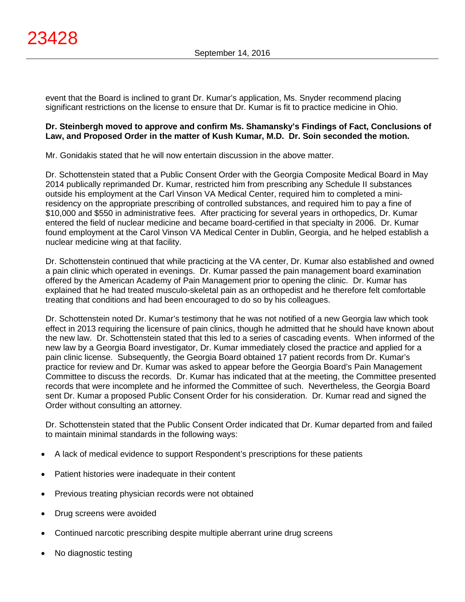event that the Board is inclined to grant Dr. Kumar's application, Ms. Snyder recommend placing significant restrictions on the license to ensure that Dr. Kumar is fit to practice medicine in Ohio.

# **Dr. Steinbergh moved to approve and confirm Ms. Shamansky's Findings of Fact, Conclusions of Law, and Proposed Order in the matter of Kush Kumar, M.D. Dr. Soin seconded the motion.**

Mr. Gonidakis stated that he will now entertain discussion in the above matter.

Dr. Schottenstein stated that a Public Consent Order with the Georgia Composite Medical Board in May 2014 publically reprimanded Dr. Kumar, restricted him from prescribing any Schedule II substances outside his employment at the Carl Vinson VA Medical Center, required him to completed a miniresidency on the appropriate prescribing of controlled substances, and required him to pay a fine of \$10,000 and \$550 in administrative fees. After practicing for several years in orthopedics, Dr. Kumar entered the field of nuclear medicine and became board-certified in that specialty in 2006. Dr. Kumar found employment at the Carol Vinson VA Medical Center in Dublin, Georgia, and he helped establish a nuclear medicine wing at that facility.

Dr. Schottenstein continued that while practicing at the VA center, Dr. Kumar also established and owned a pain clinic which operated in evenings. Dr. Kumar passed the pain management board examination offered by the American Academy of Pain Management prior to opening the clinic. Dr. Kumar has explained that he had treated musculo-skeletal pain as an orthopedist and he therefore felt comfortable treating that conditions and had been encouraged to do so by his colleagues.

Dr. Schottenstein noted Dr. Kumar's testimony that he was not notified of a new Georgia law which took effect in 2013 requiring the licensure of pain clinics, though he admitted that he should have known about the new law. Dr. Schottenstein stated that this led to a series of cascading events. When informed of the new law by a Georgia Board investigator, Dr. Kumar immediately closed the practice and applied for a pain clinic license. Subsequently, the Georgia Board obtained 17 patient records from Dr. Kumar's practice for review and Dr. Kumar was asked to appear before the Georgia Board's Pain Management Committee to discuss the records. Dr. Kumar has indicated that at the meeting, the Committee presented records that were incomplete and he informed the Committee of such. Nevertheless, the Georgia Board sent Dr. Kumar a proposed Public Consent Order for his consideration. Dr. Kumar read and signed the Order without consulting an attorney.

Dr. Schottenstein stated that the Public Consent Order indicated that Dr. Kumar departed from and failed to maintain minimal standards in the following ways:

- A lack of medical evidence to support Respondent's prescriptions for these patients
- Patient histories were inadequate in their content
- Previous treating physician records were not obtained
- Drug screens were avoided
- Continued narcotic prescribing despite multiple aberrant urine drug screens
- No diagnostic testing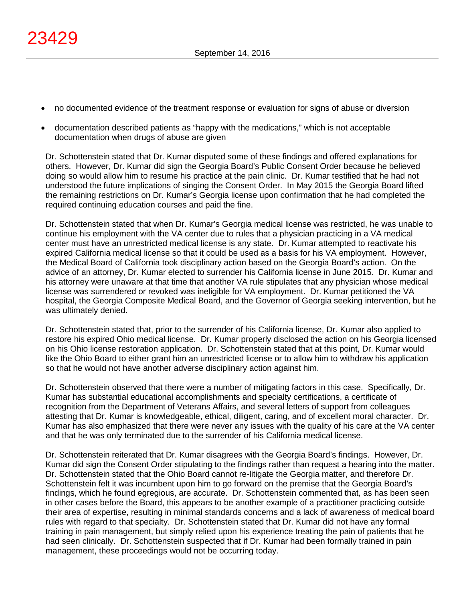- no documented evidence of the treatment response or evaluation for signs of abuse or diversion
- documentation described patients as "happy with the medications," which is not acceptable documentation when drugs of abuse are given

Dr. Schottenstein stated that Dr. Kumar disputed some of these findings and offered explanations for others. However, Dr. Kumar did sign the Georgia Board's Public Consent Order because he believed doing so would allow him to resume his practice at the pain clinic. Dr. Kumar testified that he had not understood the future implications of singing the Consent Order. In May 2015 the Georgia Board lifted the remaining restrictions on Dr. Kumar's Georgia license upon confirmation that he had completed the required continuing education courses and paid the fine.

Dr. Schottenstein stated that when Dr. Kumar's Georgia medical license was restricted, he was unable to continue his employment with the VA center due to rules that a physician practicing in a VA medical center must have an unrestricted medical license is any state. Dr. Kumar attempted to reactivate his expired California medical license so that it could be used as a basis for his VA employment. However, the Medical Board of California took disciplinary action based on the Georgia Board's action. On the advice of an attorney, Dr. Kumar elected to surrender his California license in June 2015. Dr. Kumar and his attorney were unaware at that time that another VA rule stipulates that any physician whose medical license was surrendered or revoked was ineligible for VA employment. Dr. Kumar petitioned the VA hospital, the Georgia Composite Medical Board, and the Governor of Georgia seeking intervention, but he was ultimately denied.

Dr. Schottenstein stated that, prior to the surrender of his California license, Dr. Kumar also applied to restore his expired Ohio medical license. Dr. Kumar properly disclosed the action on his Georgia licensed on his Ohio license restoration application. Dr. Schottenstein stated that at this point, Dr. Kumar would like the Ohio Board to either grant him an unrestricted license or to allow him to withdraw his application so that he would not have another adverse disciplinary action against him.

Dr. Schottenstein observed that there were a number of mitigating factors in this case. Specifically, Dr. Kumar has substantial educational accomplishments and specialty certifications, a certificate of recognition from the Department of Veterans Affairs, and several letters of support from colleagues attesting that Dr. Kumar is knowledgeable, ethical, diligent, caring, and of excellent moral character. Dr. Kumar has also emphasized that there were never any issues with the quality of his care at the VA center and that he was only terminated due to the surrender of his California medical license.

Dr. Schottenstein reiterated that Dr. Kumar disagrees with the Georgia Board's findings. However, Dr. Kumar did sign the Consent Order stipulating to the findings rather than request a hearing into the matter. Dr. Schottenstein stated that the Ohio Board cannot re-litigate the Georgia matter, and therefore Dr. Schottenstein felt it was incumbent upon him to go forward on the premise that the Georgia Board's findings, which he found egregious, are accurate. Dr. Schottenstein commented that, as has been seen in other cases before the Board, this appears to be another example of a practitioner practicing outside their area of expertise, resulting in minimal standards concerns and a lack of awareness of medical board rules with regard to that specialty. Dr. Schottenstein stated that Dr. Kumar did not have any formal training in pain management, but simply relied upon his experience treating the pain of patients that he had seen clinically. Dr. Schottenstein suspected that if Dr. Kumar had been formally trained in pain management, these proceedings would not be occurring today.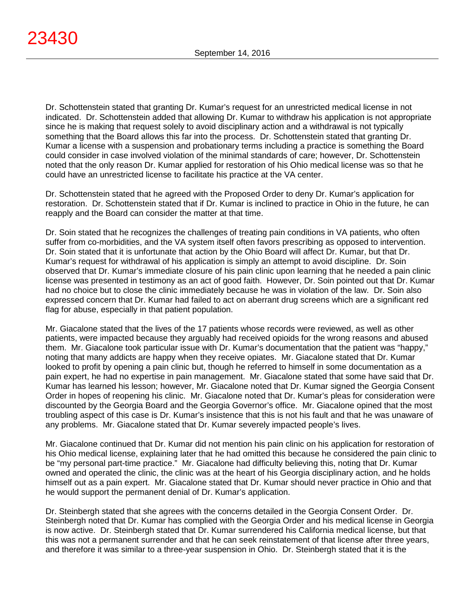Dr. Schottenstein stated that granting Dr. Kumar's request for an unrestricted medical license in not indicated. Dr. Schottenstein added that allowing Dr. Kumar to withdraw his application is not appropriate since he is making that request solely to avoid disciplinary action and a withdrawal is not typically something that the Board allows this far into the process. Dr. Schottenstein stated that granting Dr. Kumar a license with a suspension and probationary terms including a practice is something the Board could consider in case involved violation of the minimal standards of care; however, Dr. Schottenstein noted that the only reason Dr. Kumar applied for restoration of his Ohio medical license was so that he could have an unrestricted license to facilitate his practice at the VA center.

Dr. Schottenstein stated that he agreed with the Proposed Order to deny Dr. Kumar's application for restoration. Dr. Schottenstein stated that if Dr. Kumar is inclined to practice in Ohio in the future, he can reapply and the Board can consider the matter at that time.

Dr. Soin stated that he recognizes the challenges of treating pain conditions in VA patients, who often suffer from co-morbidities, and the VA system itself often favors prescribing as opposed to intervention. Dr. Soin stated that it is unfortunate that action by the Ohio Board will affect Dr. Kumar, but that Dr. Kumar's request for withdrawal of his application is simply an attempt to avoid discipline. Dr. Soin observed that Dr. Kumar's immediate closure of his pain clinic upon learning that he needed a pain clinic license was presented in testimony as an act of good faith. However, Dr. Soin pointed out that Dr. Kumar had no choice but to close the clinic immediately because he was in violation of the law. Dr. Soin also expressed concern that Dr. Kumar had failed to act on aberrant drug screens which are a significant red flag for abuse, especially in that patient population.

Mr. Giacalone stated that the lives of the 17 patients whose records were reviewed, as well as other patients, were impacted because they arguably had received opioids for the wrong reasons and abused them. Mr. Giacalone took particular issue with Dr. Kumar's documentation that the patient was "happy," noting that many addicts are happy when they receive opiates. Mr. Giacalone stated that Dr. Kumar looked to profit by opening a pain clinic but, though he referred to himself in some documentation as a pain expert, he had no expertise in pain management. Mr. Giacalone stated that some have said that Dr. Kumar has learned his lesson; however, Mr. Giacalone noted that Dr. Kumar signed the Georgia Consent Order in hopes of reopening his clinic. Mr. Giacalone noted that Dr. Kumar's pleas for consideration were discounted by the Georgia Board and the Georgia Governor's office. Mr. Giacalone opined that the most troubling aspect of this case is Dr. Kumar's insistence that this is not his fault and that he was unaware of any problems. Mr. Giacalone stated that Dr. Kumar severely impacted people's lives.

Mr. Giacalone continued that Dr. Kumar did not mention his pain clinic on his application for restoration of his Ohio medical license, explaining later that he had omitted this because he considered the pain clinic to be "my personal part-time practice." Mr. Giacalone had difficulty believing this, noting that Dr. Kumar owned and operated the clinic, the clinic was at the heart of his Georgia disciplinary action, and he holds himself out as a pain expert. Mr. Giacalone stated that Dr. Kumar should never practice in Ohio and that he would support the permanent denial of Dr. Kumar's application.

Dr. Steinbergh stated that she agrees with the concerns detailed in the Georgia Consent Order. Dr. Steinbergh noted that Dr. Kumar has complied with the Georgia Order and his medical license in Georgia is now active. Dr. Steinbergh stated that Dr. Kumar surrendered his California medical license, but that this was not a permanent surrender and that he can seek reinstatement of that license after three years, and therefore it was similar to a three-year suspension in Ohio. Dr. Steinbergh stated that it is the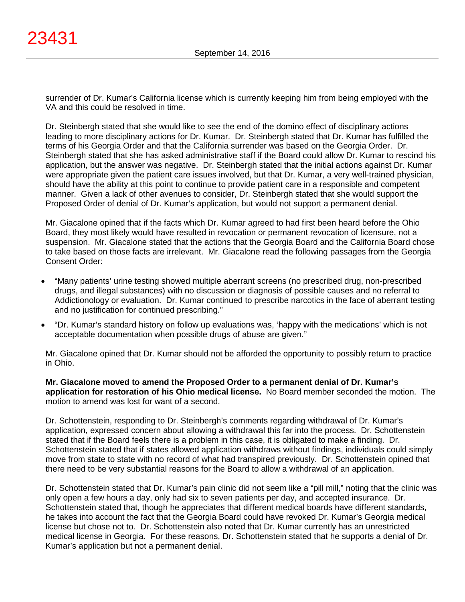surrender of Dr. Kumar's California license which is currently keeping him from being employed with the VA and this could be resolved in time.

Dr. Steinbergh stated that she would like to see the end of the domino effect of disciplinary actions leading to more disciplinary actions for Dr. Kumar. Dr. Steinbergh stated that Dr. Kumar has fulfilled the terms of his Georgia Order and that the California surrender was based on the Georgia Order. Dr. Steinbergh stated that she has asked administrative staff if the Board could allow Dr. Kumar to rescind his application, but the answer was negative. Dr. Steinbergh stated that the initial actions against Dr. Kumar were appropriate given the patient care issues involved, but that Dr. Kumar, a very well-trained physician, should have the ability at this point to continue to provide patient care in a responsible and competent manner. Given a lack of other avenues to consider, Dr. Steinbergh stated that she would support the Proposed Order of denial of Dr. Kumar's application, but would not support a permanent denial.

Mr. Giacalone opined that if the facts which Dr. Kumar agreed to had first been heard before the Ohio Board, they most likely would have resulted in revocation or permanent revocation of licensure, not a suspension. Mr. Giacalone stated that the actions that the Georgia Board and the California Board chose to take based on those facts are irrelevant. Mr. Giacalone read the following passages from the Georgia Consent Order:

- "Many patients' urine testing showed multiple aberrant screens (no prescribed drug, non-prescribed drugs, and illegal substances) with no discussion or diagnosis of possible causes and no referral to Addictionology or evaluation. Dr. Kumar continued to prescribe narcotics in the face of aberrant testing and no justification for continued prescribing."
- "Dr. Kumar's standard history on follow up evaluations was, 'happy with the medications' which is not acceptable documentation when possible drugs of abuse are given."

Mr. Giacalone opined that Dr. Kumar should not be afforded the opportunity to possibly return to practice in Ohio.

**Mr. Giacalone moved to amend the Proposed Order to a permanent denial of Dr. Kumar's application for restoration of his Ohio medical license.** No Board member seconded the motion. The motion to amend was lost for want of a second.

Dr. Schottenstein, responding to Dr. Steinbergh's comments regarding withdrawal of Dr. Kumar's application, expressed concern about allowing a withdrawal this far into the process. Dr. Schottenstein stated that if the Board feels there is a problem in this case, it is obligated to make a finding. Dr. Schottenstein stated that if states allowed application withdraws without findings, individuals could simply move from state to state with no record of what had transpired previously. Dr. Schottenstein opined that there need to be very substantial reasons for the Board to allow a withdrawal of an application.

Dr. Schottenstein stated that Dr. Kumar's pain clinic did not seem like a "pill mill," noting that the clinic was only open a few hours a day, only had six to seven patients per day, and accepted insurance. Dr. Schottenstein stated that, though he appreciates that different medical boards have different standards, he takes into account the fact that the Georgia Board could have revoked Dr. Kumar's Georgia medical license but chose not to. Dr. Schottenstein also noted that Dr. Kumar currently has an unrestricted medical license in Georgia. For these reasons, Dr. Schottenstein stated that he supports a denial of Dr. Kumar's application but not a permanent denial.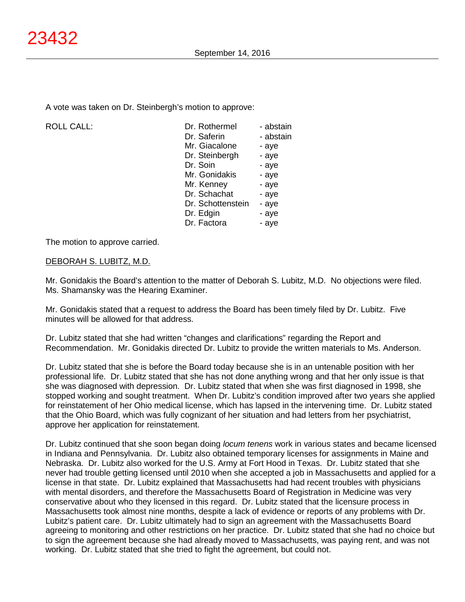A vote was taken on Dr. Steinbergh's motion to approve:

| <b>ROLL CALL:</b> | Dr. Rothermel     | - abstain |
|-------------------|-------------------|-----------|
|                   | Dr. Saferin       | - abstain |
|                   | Mr. Giacalone     | - aye     |
|                   | Dr. Steinbergh    | - aye     |
|                   | Dr. Soin          | - aye     |
|                   | Mr. Gonidakis     | - aye     |
|                   | Mr. Kenney        | - aye     |
|                   | Dr. Schachat      | - aye     |
|                   | Dr. Schottenstein | - aye     |
|                   | Dr. Edgin         | - aye     |
|                   | Dr. Factora       | - aye     |
|                   |                   |           |

The motion to approve carried.

# DEBORAH S. LUBITZ, M.D.

Mr. Gonidakis the Board's attention to the matter of Deborah S. Lubitz, M.D. No objections were filed. Ms. Shamansky was the Hearing Examiner.

Mr. Gonidakis stated that a request to address the Board has been timely filed by Dr. Lubitz. Five minutes will be allowed for that address.

Dr. Lubitz stated that she had written "changes and clarifications" regarding the Report and Recommendation. Mr. Gonidakis directed Dr. Lubitz to provide the written materials to Ms. Anderson.

Dr. Lubitz stated that she is before the Board today because she is in an untenable position with her professional life. Dr. Lubitz stated that she has not done anything wrong and that her only issue is that she was diagnosed with depression. Dr. Lubitz stated that when she was first diagnosed in 1998, she stopped working and sought treatment. When Dr. Lubitz's condition improved after two years she applied for reinstatement of her Ohio medical license, which has lapsed in the intervening time. Dr. Lubitz stated that the Ohio Board, which was fully cognizant of her situation and had letters from her psychiatrist, approve her application for reinstatement.

Dr. Lubitz continued that she soon began doing *locum tenens* work in various states and became licensed in Indiana and Pennsylvania. Dr. Lubitz also obtained temporary licenses for assignments in Maine and Nebraska. Dr. Lubitz also worked for the U.S. Army at Fort Hood in Texas. Dr. Lubitz stated that she never had trouble getting licensed until 2010 when she accepted a job in Massachusetts and applied for a license in that state. Dr. Lubitz explained that Massachusetts had had recent troubles with physicians with mental disorders, and therefore the Massachusetts Board of Registration in Medicine was very conservative about who they licensed in this regard. Dr. Lubitz stated that the licensure process in Massachusetts took almost nine months, despite a lack of evidence or reports of any problems with Dr. Lubitz's patient care. Dr. Lubitz ultimately had to sign an agreement with the Massachusetts Board agreeing to monitoring and other restrictions on her practice. Dr. Lubitz stated that she had no choice but to sign the agreement because she had already moved to Massachusetts, was paying rent, and was not working. Dr. Lubitz stated that she tried to fight the agreement, but could not.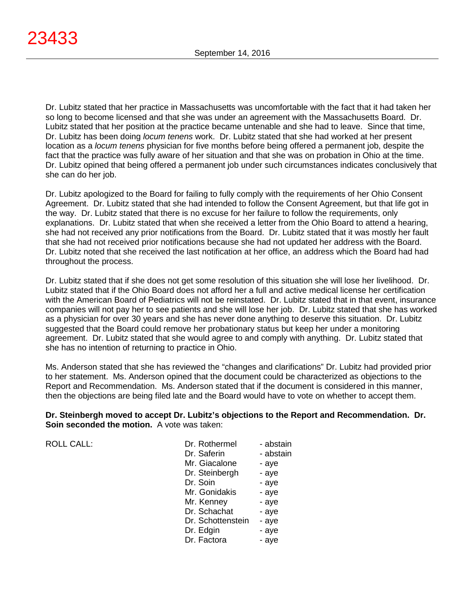Dr. Lubitz stated that her practice in Massachusetts was uncomfortable with the fact that it had taken her so long to become licensed and that she was under an agreement with the Massachusetts Board. Dr. Lubitz stated that her position at the practice became untenable and she had to leave. Since that time, Dr. Lubitz has been doing *locum tenens* work. Dr. Lubitz stated that she had worked at her present location as a *locum tenens* physician for five months before being offered a permanent job, despite the fact that the practice was fully aware of her situation and that she was on probation in Ohio at the time. Dr. Lubitz opined that being offered a permanent job under such circumstances indicates conclusively that she can do her job.

Dr. Lubitz apologized to the Board for failing to fully comply with the requirements of her Ohio Consent Agreement. Dr. Lubitz stated that she had intended to follow the Consent Agreement, but that life got in the way. Dr. Lubitz stated that there is no excuse for her failure to follow the requirements, only explanations. Dr. Lubitz stated that when she received a letter from the Ohio Board to attend a hearing, she had not received any prior notifications from the Board. Dr. Lubitz stated that it was mostly her fault that she had not received prior notifications because she had not updated her address with the Board. Dr. Lubitz noted that she received the last notification at her office, an address which the Board had had throughout the process.

Dr. Lubitz stated that if she does not get some resolution of this situation she will lose her livelihood. Dr. Lubitz stated that if the Ohio Board does not afford her a full and active medical license her certification with the American Board of Pediatrics will not be reinstated. Dr. Lubitz stated that in that event, insurance companies will not pay her to see patients and she will lose her job. Dr. Lubitz stated that she has worked as a physician for over 30 years and she has never done anything to deserve this situation. Dr. Lubitz suggested that the Board could remove her probationary status but keep her under a monitoring agreement. Dr. Lubitz stated that she would agree to and comply with anything. Dr. Lubitz stated that she has no intention of returning to practice in Ohio.

Ms. Anderson stated that she has reviewed the "changes and clarifications" Dr. Lubitz had provided prior to her statement. Ms. Anderson opined that the document could be characterized as objections to the Report and Recommendation. Ms. Anderson stated that if the document is considered in this manner, then the objections are being filed late and the Board would have to vote on whether to accept them.

**Dr. Steinbergh moved to accept Dr. Lubitz's objections to the Report and Recommendation. Dr. Soin seconded the motion.** A vote was taken:

| <b>ROLL CALL:</b> | Dr. Rothermel     | - abstain |
|-------------------|-------------------|-----------|
|                   | Dr. Saferin       | - abstain |
|                   | Mr. Giacalone     | - aye     |
|                   | Dr. Steinbergh    | - aye     |
|                   | Dr. Soin          | - aye     |
|                   | Mr. Gonidakis     | - aye     |
|                   | Mr. Kenney        | - aye     |
|                   | Dr. Schachat      | - aye     |
|                   | Dr. Schottenstein | - aye     |
|                   | Dr. Edgin         | - aye     |
|                   | Dr. Factora       | - aye     |
|                   |                   |           |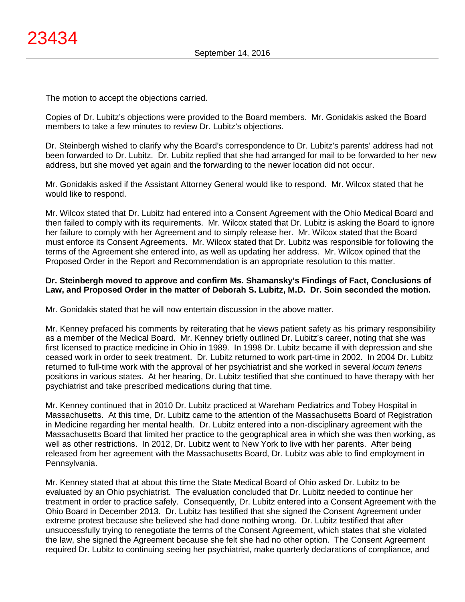The motion to accept the objections carried.

Copies of Dr. Lubitz's objections were provided to the Board members. Mr. Gonidakis asked the Board members to take a few minutes to review Dr. Lubitz's objections.

Dr. Steinbergh wished to clarify why the Board's correspondence to Dr. Lubitz's parents' address had not been forwarded to Dr. Lubitz. Dr. Lubitz replied that she had arranged for mail to be forwarded to her new address, but she moved yet again and the forwarding to the newer location did not occur.

Mr. Gonidakis asked if the Assistant Attorney General would like to respond. Mr. Wilcox stated that he would like to respond.

Mr. Wilcox stated that Dr. Lubitz had entered into a Consent Agreement with the Ohio Medical Board and then failed to comply with its requirements. Mr. Wilcox stated that Dr. Lubitz is asking the Board to ignore her failure to comply with her Agreement and to simply release her. Mr. Wilcox stated that the Board must enforce its Consent Agreements. Mr. Wilcox stated that Dr. Lubitz was responsible for following the terms of the Agreement she entered into, as well as updating her address. Mr. Wilcox opined that the Proposed Order in the Report and Recommendation is an appropriate resolution to this matter.

# **Dr. Steinbergh moved to approve and confirm Ms. Shamansky's Findings of Fact, Conclusions of Law, and Proposed Order in the matter of Deborah S. Lubitz, M.D. Dr. Soin seconded the motion.**

Mr. Gonidakis stated that he will now entertain discussion in the above matter.

Mr. Kenney prefaced his comments by reiterating that he views patient safety as his primary responsibility as a member of the Medical Board. Mr. Kenney briefly outlined Dr. Lubitz's career, noting that she was first licensed to practice medicine in Ohio in 1989. In 1998 Dr. Lubitz became ill with depression and she ceased work in order to seek treatment. Dr. Lubitz returned to work part-time in 2002. In 2004 Dr. Lubitz returned to full-time work with the approval of her psychiatrist and she worked in several *locum tenens* positions in various states. At her hearing, Dr. Lubitz testified that she continued to have therapy with her psychiatrist and take prescribed medications during that time.

Mr. Kenney continued that in 2010 Dr. Lubitz practiced at Wareham Pediatrics and Tobey Hospital in Massachusetts. At this time, Dr. Lubitz came to the attention of the Massachusetts Board of Registration in Medicine regarding her mental health. Dr. Lubitz entered into a non-disciplinary agreement with the Massachusetts Board that limited her practice to the geographical area in which she was then working, as well as other restrictions. In 2012, Dr. Lubitz went to New York to live with her parents. After being released from her agreement with the Massachusetts Board, Dr. Lubitz was able to find employment in Pennsylvania.

Mr. Kenney stated that at about this time the State Medical Board of Ohio asked Dr. Lubitz to be evaluated by an Ohio psychiatrist. The evaluation concluded that Dr. Lubitz needed to continue her treatment in order to practice safely. Consequently, Dr. Lubitz entered into a Consent Agreement with the Ohio Board in December 2013. Dr. Lubitz has testified that she signed the Consent Agreement under extreme protest because she believed she had done nothing wrong. Dr. Lubitz testified that after unsuccessfully trying to renegotiate the terms of the Consent Agreement, which states that she violated the law, she signed the Agreement because she felt she had no other option. The Consent Agreement required Dr. Lubitz to continuing seeing her psychiatrist, make quarterly declarations of compliance, and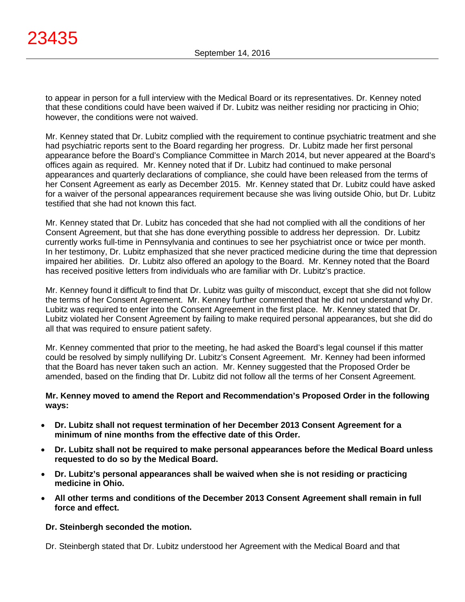to appear in person for a full interview with the Medical Board or its representatives. Dr. Kenney noted that these conditions could have been waived if Dr. Lubitz was neither residing nor practicing in Ohio; however, the conditions were not waived.

Mr. Kenney stated that Dr. Lubitz complied with the requirement to continue psychiatric treatment and she had psychiatric reports sent to the Board regarding her progress. Dr. Lubitz made her first personal appearance before the Board's Compliance Committee in March 2014, but never appeared at the Board's offices again as required. Mr. Kenney noted that if Dr. Lubitz had continued to make personal appearances and quarterly declarations of compliance, she could have been released from the terms of her Consent Agreement as early as December 2015. Mr. Kenney stated that Dr. Lubitz could have asked for a waiver of the personal appearances requirement because she was living outside Ohio, but Dr. Lubitz testified that she had not known this fact.

Mr. Kenney stated that Dr. Lubitz has conceded that she had not complied with all the conditions of her Consent Agreement, but that she has done everything possible to address her depression. Dr. Lubitz currently works full-time in Pennsylvania and continues to see her psychiatrist once or twice per month. In her testimony, Dr. Lubitz emphasized that she never practiced medicine during the time that depression impaired her abilities. Dr. Lubitz also offered an apology to the Board. Mr. Kenney noted that the Board has received positive letters from individuals who are familiar with Dr. Lubitz's practice.

Mr. Kenney found it difficult to find that Dr. Lubitz was guilty of misconduct, except that she did not follow the terms of her Consent Agreement. Mr. Kenney further commented that he did not understand why Dr. Lubitz was required to enter into the Consent Agreement in the first place. Mr. Kenney stated that Dr. Lubitz violated her Consent Agreement by failing to make required personal appearances, but she did do all that was required to ensure patient safety.

Mr. Kenney commented that prior to the meeting, he had asked the Board's legal counsel if this matter could be resolved by simply nullifying Dr. Lubitz's Consent Agreement. Mr. Kenney had been informed that the Board has never taken such an action. Mr. Kenney suggested that the Proposed Order be amended, based on the finding that Dr. Lubitz did not follow all the terms of her Consent Agreement.

# **Mr. Kenney moved to amend the Report and Recommendation's Proposed Order in the following ways:**

- **Dr. Lubitz shall not request termination of her December 2013 Consent Agreement for a minimum of nine months from the effective date of this Order.**
- **Dr. Lubitz shall not be required to make personal appearances before the Medical Board unless requested to do so by the Medical Board.**
- **Dr. Lubitz's personal appearances shall be waived when she is not residing or practicing medicine in Ohio.**
- **All other terms and conditions of the December 2013 Consent Agreement shall remain in full force and effect.**

# **Dr. Steinbergh seconded the motion.**

Dr. Steinbergh stated that Dr. Lubitz understood her Agreement with the Medical Board and that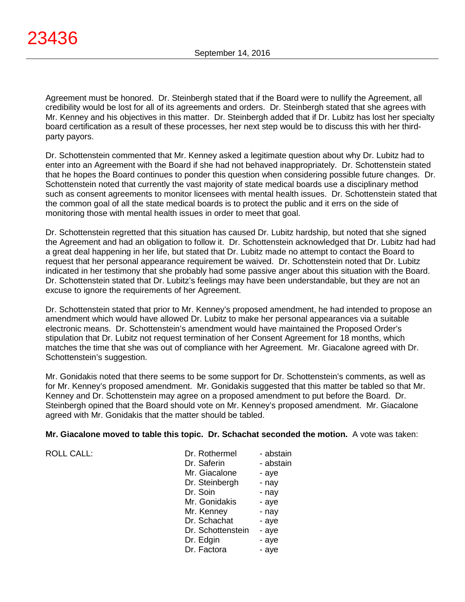Agreement must be honored. Dr. Steinbergh stated that if the Board were to nullify the Agreement, all credibility would be lost for all of its agreements and orders. Dr. Steinbergh stated that she agrees with Mr. Kenney and his objectives in this matter. Dr. Steinbergh added that if Dr. Lubitz has lost her specialty board certification as a result of these processes, her next step would be to discuss this with her thirdparty payors.

Dr. Schottenstein commented that Mr. Kenney asked a legitimate question about why Dr. Lubitz had to enter into an Agreement with the Board if she had not behaved inappropriately. Dr. Schottenstein stated that he hopes the Board continues to ponder this question when considering possible future changes. Dr. Schottenstein noted that currently the vast majority of state medical boards use a disciplinary method such as consent agreements to monitor licensees with mental health issues. Dr. Schottenstein stated that the common goal of all the state medical boards is to protect the public and it errs on the side of monitoring those with mental health issues in order to meet that goal.

Dr. Schottenstein regretted that this situation has caused Dr. Lubitz hardship, but noted that she signed the Agreement and had an obligation to follow it. Dr. Schottenstein acknowledged that Dr. Lubitz had had a great deal happening in her life, but stated that Dr. Lubitz made no attempt to contact the Board to request that her personal appearance requirement be waived. Dr. Schottenstein noted that Dr. Lubitz indicated in her testimony that she probably had some passive anger about this situation with the Board. Dr. Schottenstein stated that Dr. Lubitz's feelings may have been understandable, but they are not an excuse to ignore the requirements of her Agreement.

Dr. Schottenstein stated that prior to Mr. Kenney's proposed amendment, he had intended to propose an amendment which would have allowed Dr. Lubitz to make her personal appearances via a suitable electronic means. Dr. Schottenstein's amendment would have maintained the Proposed Order's stipulation that Dr. Lubitz not request termination of her Consent Agreement for 18 months, which matches the time that she was out of compliance with her Agreement. Mr. Giacalone agreed with Dr. Schottenstein's suggestion.

Mr. Gonidakis noted that there seems to be some support for Dr. Schottenstein's comments, as well as for Mr. Kenney's proposed amendment. Mr. Gonidakis suggested that this matter be tabled so that Mr. Kenney and Dr. Schottenstein may agree on a proposed amendment to put before the Board. Dr. Steinbergh opined that the Board should vote on Mr. Kenney's proposed amendment. Mr. Giacalone agreed with Mr. Gonidakis that the matter should be tabled.

# **Mr. Giacalone moved to table this topic. Dr. Schachat seconded the motion.** A vote was taken:

ROLL CALL:

| Dr. Rothermel     | - abstain |
|-------------------|-----------|
| Dr. Saferin       | - abstain |
| Mr. Giacalone     | - aye     |
| Dr. Steinbergh    | - nay     |
| Dr. Soin          | - nay     |
| Mr. Gonidakis     | - aye     |
| Mr. Kenney        | - nay     |
| Dr. Schachat      | - aye     |
| Dr. Schottenstein | - aye     |
| Dr. Edgin         | - aye     |
| Dr. Factora       | - aye     |
|                   |           |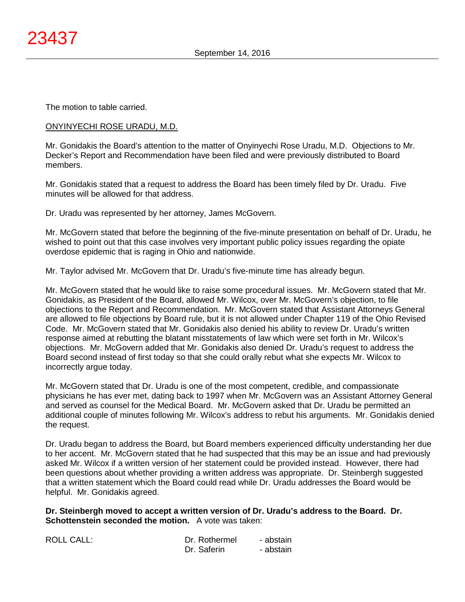The motion to table carried.

# ONYINYECHI ROSE URADU, M.D.

Mr. Gonidakis the Board's attention to the matter of Onyinyechi Rose Uradu, M.D. Objections to Mr. Decker's Report and Recommendation have been filed and were previously distributed to Board members.

Mr. Gonidakis stated that a request to address the Board has been timely filed by Dr. Uradu. Five minutes will be allowed for that address.

Dr. Uradu was represented by her attorney, James McGovern.

Mr. McGovern stated that before the beginning of the five-minute presentation on behalf of Dr. Uradu, he wished to point out that this case involves very important public policy issues regarding the opiate overdose epidemic that is raging in Ohio and nationwide.

Mr. Taylor advised Mr. McGovern that Dr. Uradu's five-minute time has already begun.

Mr. McGovern stated that he would like to raise some procedural issues. Mr. McGovern stated that Mr. Gonidakis, as President of the Board, allowed Mr. Wilcox, over Mr. McGovern's objection, to file objections to the Report and Recommendation. Mr. McGovern stated that Assistant Attorneys General are allowed to file objections by Board rule, but it is not allowed under Chapter 119 of the Ohio Revised Code. Mr. McGovern stated that Mr. Gonidakis also denied his ability to review Dr. Uradu's written response aimed at rebutting the blatant misstatements of law which were set forth in Mr. Wilcox's objections. Mr. McGovern added that Mr. Gonidakis also denied Dr. Uradu's request to address the Board second instead of first today so that she could orally rebut what she expects Mr. Wilcox to incorrectly argue today.

Mr. McGovern stated that Dr. Uradu is one of the most competent, credible, and compassionate physicians he has ever met, dating back to 1997 when Mr. McGovern was an Assistant Attorney General and served as counsel for the Medical Board. Mr. McGovern asked that Dr. Uradu be permitted an additional couple of minutes following Mr. Wilcox's address to rebut his arguments. Mr. Gonidakis denied the request.

Dr. Uradu began to address the Board, but Board members experienced difficulty understanding her due to her accent. Mr. McGovern stated that he had suspected that this may be an issue and had previously asked Mr. Wilcox if a written version of her statement could be provided instead. However, there had been questions about whether providing a written address was appropriate. Dr. Steinbergh suggested that a written statement which the Board could read while Dr. Uradu addresses the Board would be helpful. Mr. Gonidakis agreed.

**Dr. Steinbergh moved to accept a written version of Dr. Uradu's address to the Board. Dr. Schottenstein seconded the motion.** A vote was taken:

| <b>ROLL CALL:</b> | Dr. Rothermel | - abstain |
|-------------------|---------------|-----------|
|                   | Dr. Saferin   | - abstain |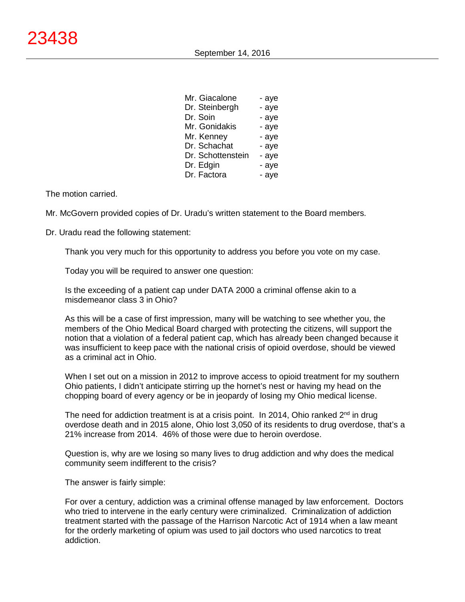| Mr. Giacalone     | - aye |
|-------------------|-------|
| Dr. Steinbergh    | - aye |
| Dr. Soin          | - aye |
| Mr. Gonidakis     | - aye |
| Mr. Kenney        | - aye |
| Dr. Schachat      | - aye |
| Dr. Schottenstein | - aye |
| Dr. Edgin         | - aye |
| Dr. Factora       | - aye |
|                   |       |

Mr. McGovern provided copies of Dr. Uradu's written statement to the Board members.

Dr. Uradu read the following statement:

Thank you very much for this opportunity to address you before you vote on my case.

Today you will be required to answer one question:

Is the exceeding of a patient cap under DATA 2000 a criminal offense akin to a misdemeanor class 3 in Ohio?

As this will be a case of first impression, many will be watching to see whether you, the members of the Ohio Medical Board charged with protecting the citizens, will support the notion that a violation of a federal patient cap, which has already been changed because it was insufficient to keep pace with the national crisis of opioid overdose, should be viewed as a criminal act in Ohio.

When I set out on a mission in 2012 to improve access to opioid treatment for my southern Ohio patients, I didn't anticipate stirring up the hornet's nest or having my head on the chopping board of every agency or be in jeopardy of losing my Ohio medical license.

The need for addiction treatment is at a crisis point. In 2014, Ohio ranked  $2^{nd}$  in drug overdose death and in 2015 alone, Ohio lost 3,050 of its residents to drug overdose, that's a 21% increase from 2014. 46% of those were due to heroin overdose.

Question is, why are we losing so many lives to drug addiction and why does the medical community seem indifferent to the crisis?

The answer is fairly simple:

For over a century, addiction was a criminal offense managed by law enforcement. Doctors who tried to intervene in the early century were criminalized. Criminalization of addiction treatment started with the passage of the Harrison Narcotic Act of 1914 when a law meant for the orderly marketing of opium was used to jail doctors who used narcotics to treat addiction.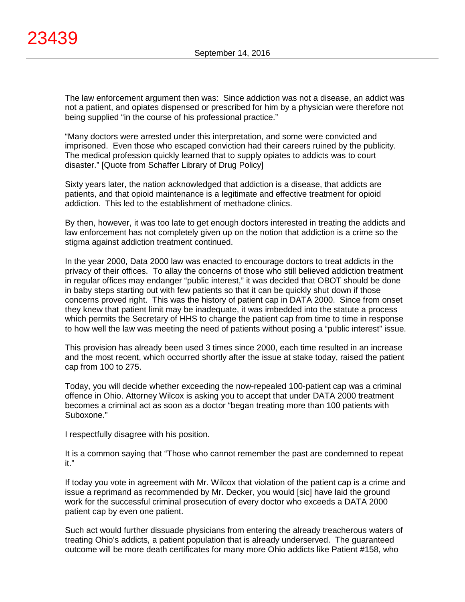The law enforcement argument then was: Since addiction was not a disease, an addict was not a patient, and opiates dispensed or prescribed for him by a physician were therefore not being supplied "in the course of his professional practice."

"Many doctors were arrested under this interpretation, and some were convicted and imprisoned. Even those who escaped conviction had their careers ruined by the publicity. The medical profession quickly learned that to supply opiates to addicts was to court disaster." [Quote from Schaffer Library of Drug Policy]

Sixty years later, the nation acknowledged that addiction is a disease, that addicts are patients, and that opioid maintenance is a legitimate and effective treatment for opioid addiction. This led to the establishment of methadone clinics.

By then, however, it was too late to get enough doctors interested in treating the addicts and law enforcement has not completely given up on the notion that addiction is a crime so the stigma against addiction treatment continued.

In the year 2000, Data 2000 law was enacted to encourage doctors to treat addicts in the privacy of their offices. To allay the concerns of those who still believed addiction treatment in regular offices may endanger "public interest," it was decided that OBOT should be done in baby steps starting out with few patients so that it can be quickly shut down if those concerns proved right. This was the history of patient cap in DATA 2000. Since from onset they knew that patient limit may be inadequate, it was imbedded into the statute a process which permits the Secretary of HHS to change the patient cap from time to time in response to how well the law was meeting the need of patients without posing a "public interest" issue.

This provision has already been used 3 times since 2000, each time resulted in an increase and the most recent, which occurred shortly after the issue at stake today, raised the patient cap from 100 to 275.

Today, you will decide whether exceeding the now-repealed 100-patient cap was a criminal offence in Ohio. Attorney Wilcox is asking you to accept that under DATA 2000 treatment becomes a criminal act as soon as a doctor "began treating more than 100 patients with Suboxone."

I respectfully disagree with his position.

It is a common saying that "Those who cannot remember the past are condemned to repeat it."

If today you vote in agreement with Mr. Wilcox that violation of the patient cap is a crime and issue a reprimand as recommended by Mr. Decker, you would [sic] have laid the ground work for the successful criminal prosecution of every doctor who exceeds a DATA 2000 patient cap by even one patient.

Such act would further dissuade physicians from entering the already treacherous waters of treating Ohio's addicts, a patient population that is already underserved. The guaranteed outcome will be more death certificates for many more Ohio addicts like Patient #158, who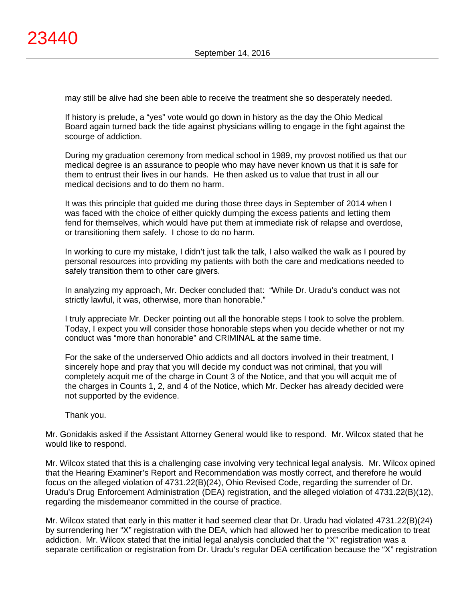may still be alive had she been able to receive the treatment she so desperately needed.

If history is prelude, a "yes" vote would go down in history as the day the Ohio Medical Board again turned back the tide against physicians willing to engage in the fight against the scourge of addiction.

During my graduation ceremony from medical school in 1989, my provost notified us that our medical degree is an assurance to people who may have never known us that it is safe for them to entrust their lives in our hands. He then asked us to value that trust in all our medical decisions and to do them no harm.

It was this principle that guided me during those three days in September of 2014 when I was faced with the choice of either quickly dumping the excess patients and letting them fend for themselves, which would have put them at immediate risk of relapse and overdose, or transitioning them safely. I chose to do no harm.

In working to cure my mistake, I didn't just talk the talk, I also walked the walk as I poured by personal resources into providing my patients with both the care and medications needed to safely transition them to other care givers.

In analyzing my approach, Mr. Decker concluded that: "While Dr. Uradu's conduct was not strictly lawful, it was, otherwise, more than honorable."

I truly appreciate Mr. Decker pointing out all the honorable steps I took to solve the problem. Today, I expect you will consider those honorable steps when you decide whether or not my conduct was "more than honorable" and CRIMINAL at the same time.

For the sake of the underserved Ohio addicts and all doctors involved in their treatment, I sincerely hope and pray that you will decide my conduct was not criminal, that you will completely acquit me of the charge in Count 3 of the Notice, and that you will acquit me of the charges in Counts 1, 2, and 4 of the Notice, which Mr. Decker has already decided were not supported by the evidence.

Thank you.

Mr. Gonidakis asked if the Assistant Attorney General would like to respond. Mr. Wilcox stated that he would like to respond.

Mr. Wilcox stated that this is a challenging case involving very technical legal analysis. Mr. Wilcox opined that the Hearing Examiner's Report and Recommendation was mostly correct, and therefore he would focus on the alleged violation of 4731.22(B)(24), Ohio Revised Code, regarding the surrender of Dr. Uradu's Drug Enforcement Administration (DEA) registration, and the alleged violation of 4731.22(B)(12), regarding the misdemeanor committed in the course of practice.

Mr. Wilcox stated that early in this matter it had seemed clear that Dr. Uradu had violated 4731.22(B)(24) by surrendering her "X" registration with the DEA, which had allowed her to prescribe medication to treat addiction. Mr. Wilcox stated that the initial legal analysis concluded that the "X" registration was a separate certification or registration from Dr. Uradu's regular DEA certification because the "X" registration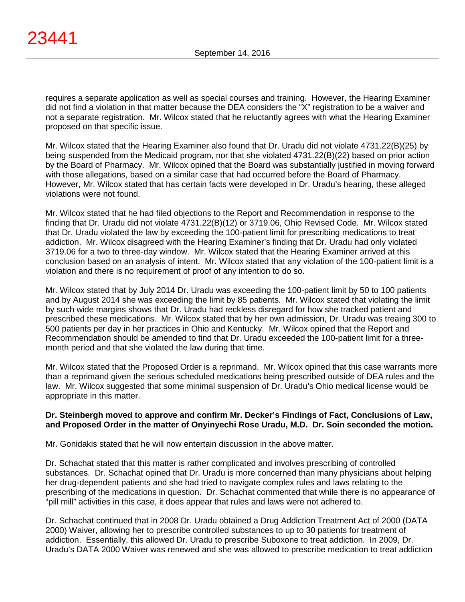requires a separate application as well as special courses and training. However, the Hearing Examiner did not find a violation in that matter because the DEA considers the "X" registration to be a waiver and not a separate registration. Mr. Wilcox stated that he reluctantly agrees with what the Hearing Examiner proposed on that specific issue.

Mr. Wilcox stated that the Hearing Examiner also found that Dr. Uradu did not violate 4731.22(B)(25) by being suspended from the Medicaid program, nor that she violated 4731.22(B)(22) based on prior action by the Board of Pharmacy. Mr. Wilcox opined that the Board was substantially justified in moving forward with those allegations, based on a similar case that had occurred before the Board of Pharmacy. However, Mr. Wilcox stated that has certain facts were developed in Dr. Uradu's hearing, these alleged violations were not found.

Mr. Wilcox stated that he had filed objections to the Report and Recommendation in response to the finding that Dr. Uradu did not violate 4731.22(B)(12) or 3719.06, Ohio Revised Code. Mr. Wilcox stated that Dr. Uradu violated the law by exceeding the 100-patient limit for prescribing medications to treat addiction. Mr. Wilcox disagreed with the Hearing Examiner's finding that Dr. Uradu had only violated 3719.06 for a two to three-day window. Mr. Wilcox stated that the Hearing Examiner arrived at this conclusion based on an analysis of intent. Mr. Wilcox stated that any violation of the 100-patient limit is a violation and there is no requirement of proof of any intention to do so.

Mr. Wilcox stated that by July 2014 Dr. Uradu was exceeding the 100-patient limit by 50 to 100 patients and by August 2014 she was exceeding the limit by 85 patients. Mr. Wilcox stated that violating the limit by such wide margins shows that Dr. Uradu had reckless disregard for how she tracked patient and prescribed these medications. Mr. Wilcox stated that by her own admission, Dr. Uradu was treaing 300 to 500 patients per day in her practices in Ohio and Kentucky. Mr. Wilcox opined that the Report and Recommendation should be amended to find that Dr. Uradu exceeded the 100-patient limit for a threemonth period and that she violated the law during that time.

Mr. Wilcox stated that the Proposed Order is a reprimand. Mr. Wilcox opined that this case warrants more than a reprimand given the serious scheduled medications being prescribed outside of DEA rules and the law. Mr. Wilcox suggested that some minimal suspension of Dr. Uradu's Ohio medical license would be appropriate in this matter.

# **Dr. Steinbergh moved to approve and confirm Mr. Decker's Findings of Fact, Conclusions of Law, and Proposed Order in the matter of Onyinyechi Rose Uradu, M.D. Dr. Soin seconded the motion.**

Mr. Gonidakis stated that he will now entertain discussion in the above matter.

Dr. Schachat stated that this matter is rather complicated and involves prescribing of controlled substances. Dr. Schachat opined that Dr. Uradu is more concerned than many physicians about helping her drug-dependent patients and she had tried to navigate complex rules and laws relating to the prescribing of the medications in question. Dr. Schachat commented that while there is no appearance of "pill mill" activities in this case, it does appear that rules and laws were not adhered to.

Dr. Schachat continued that in 2008 Dr. Uradu obtained a Drug Addiction Treatment Act of 2000 (DATA 2000) Waiver, allowing her to prescribe controlled substances to up to 30 patients for treatment of addiction. Essentially, this allowed Dr. Uradu to prescribe Suboxone to treat addiction. In 2009, Dr. Uradu's DATA 2000 Waiver was renewed and she was allowed to prescribe medication to treat addiction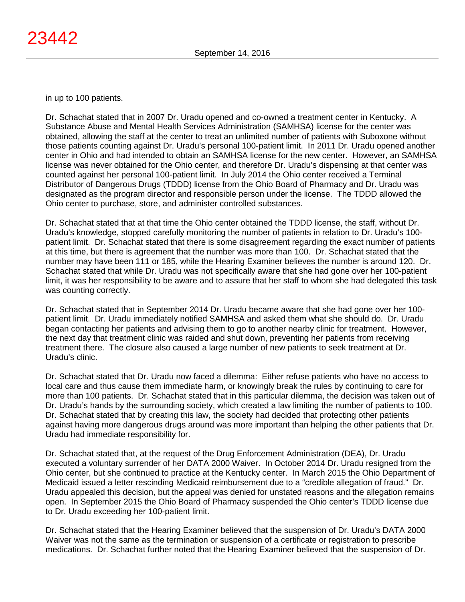in up to 100 patients.

Dr. Schachat stated that in 2007 Dr. Uradu opened and co-owned a treatment center in Kentucky. A Substance Abuse and Mental Health Services Administration (SAMHSA) license for the center was obtained, allowing the staff at the center to treat an unlimited number of patients with Suboxone without those patients counting against Dr. Uradu's personal 100-patient limit. In 2011 Dr. Uradu opened another center in Ohio and had intended to obtain an SAMHSA license for the new center. However, an SAMHSA license was never obtained for the Ohio center, and therefore Dr. Uradu's dispensing at that center was counted against her personal 100-patient limit. In July 2014 the Ohio center received a Terminal Distributor of Dangerous Drugs (TDDD) license from the Ohio Board of Pharmacy and Dr. Uradu was designated as the program director and responsible person under the license. The TDDD allowed the Ohio center to purchase, store, and administer controlled substances.

Dr. Schachat stated that at that time the Ohio center obtained the TDDD license, the staff, without Dr. Uradu's knowledge, stopped carefully monitoring the number of patients in relation to Dr. Uradu's 100 patient limit. Dr. Schachat stated that there is some disagreement regarding the exact number of patients at this time, but there is agreement that the number was more than 100. Dr. Schachat stated that the number may have been 111 or 185, while the Hearing Examiner believes the number is around 120. Dr. Schachat stated that while Dr. Uradu was not specifically aware that she had gone over her 100-patient limit, it was her responsibility to be aware and to assure that her staff to whom she had delegated this task was counting correctly.

Dr. Schachat stated that in September 2014 Dr. Uradu became aware that she had gone over her 100 patient limit. Dr. Uradu immediately notified SAMHSA and asked them what she should do. Dr. Uradu began contacting her patients and advising them to go to another nearby clinic for treatment. However, the next day that treatment clinic was raided and shut down, preventing her patients from receiving treatment there. The closure also caused a large number of new patients to seek treatment at Dr. Uradu's clinic.

Dr. Schachat stated that Dr. Uradu now faced a dilemma: Either refuse patients who have no access to local care and thus cause them immediate harm, or knowingly break the rules by continuing to care for more than 100 patients. Dr. Schachat stated that in this particular dilemma, the decision was taken out of Dr. Uradu's hands by the surrounding society, which created a law limiting the number of patients to 100. Dr. Schachat stated that by creating this law, the society had decided that protecting other patients against having more dangerous drugs around was more important than helping the other patients that Dr. Uradu had immediate responsibility for.

Dr. Schachat stated that, at the request of the Drug Enforcement Administration (DEA), Dr. Uradu executed a voluntary surrender of her DATA 2000 Waiver. In October 2014 Dr. Uradu resigned from the Ohio center, but she continued to practice at the Kentucky center. In March 2015 the Ohio Department of Medicaid issued a letter rescinding Medicaid reimbursement due to a "credible allegation of fraud." Dr. Uradu appealed this decision, but the appeal was denied for unstated reasons and the allegation remains open. In September 2015 the Ohio Board of Pharmacy suspended the Ohio center's TDDD license due to Dr. Uradu exceeding her 100-patient limit.

Dr. Schachat stated that the Hearing Examiner believed that the suspension of Dr. Uradu's DATA 2000 Waiver was not the same as the termination or suspension of a certificate or registration to prescribe medications. Dr. Schachat further noted that the Hearing Examiner believed that the suspension of Dr.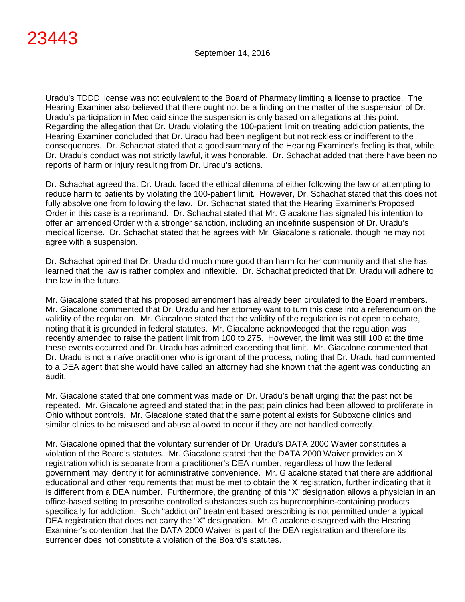Uradu's TDDD license was not equivalent to the Board of Pharmacy limiting a license to practice. The Hearing Examiner also believed that there ought not be a finding on the matter of the suspension of Dr. Uradu's participation in Medicaid since the suspension is only based on allegations at this point. Regarding the allegation that Dr. Uradu violating the 100-patient limit on treating addiction patients, the Hearing Examiner concluded that Dr. Uradu had been negligent but not reckless or indifferent to the consequences. Dr. Schachat stated that a good summary of the Hearing Examiner's feeling is that, while Dr. Uradu's conduct was not strictly lawful, it was honorable. Dr. Schachat added that there have been no reports of harm or injury resulting from Dr. Uradu's actions.

Dr. Schachat agreed that Dr. Uradu faced the ethical dilemma of either following the law or attempting to reduce harm to patients by violating the 100-patient limit. However, Dr. Schachat stated that this does not fully absolve one from following the law. Dr. Schachat stated that the Hearing Examiner's Proposed Order in this case is a reprimand. Dr. Schachat stated that Mr. Giacalone has signaled his intention to offer an amended Order with a stronger sanction, including an indefinite suspension of Dr. Uradu's medical license. Dr. Schachat stated that he agrees with Mr. Giacalone's rationale, though he may not agree with a suspension.

Dr. Schachat opined that Dr. Uradu did much more good than harm for her community and that she has learned that the law is rather complex and inflexible. Dr. Schachat predicted that Dr. Uradu will adhere to the law in the future.

Mr. Giacalone stated that his proposed amendment has already been circulated to the Board members. Mr. Giacalone commented that Dr. Uradu and her attorney want to turn this case into a referendum on the validity of the regulation. Mr. Giacalone stated that the validity of the regulation is not open to debate, noting that it is grounded in federal statutes. Mr. Giacalone acknowledged that the regulation was recently amended to raise the patient limit from 100 to 275. However, the limit was still 100 at the time these events occurred and Dr. Uradu has admitted exceeding that limit. Mr. Giacalone commented that Dr. Uradu is not a naïve practitioner who is ignorant of the process, noting that Dr. Uradu had commented to a DEA agent that she would have called an attorney had she known that the agent was conducting an audit.

Mr. Giacalone stated that one comment was made on Dr. Uradu's behalf urging that the past not be repeated. Mr. Giacalone agreed and stated that in the past pain clinics had been allowed to proliferate in Ohio without controls. Mr. Giacalone stated that the same potential exists for Suboxone clinics and similar clinics to be misused and abuse allowed to occur if they are not handled correctly.

Mr. Giacalone opined that the voluntary surrender of Dr. Uradu's DATA 2000 Wavier constitutes a violation of the Board's statutes. Mr. Giacalone stated that the DATA 2000 Waiver provides an X registration which is separate from a practitioner's DEA number, regardless of how the federal government may identify it for administrative convenience. Mr. Giacalone stated that there are additional educational and other requirements that must be met to obtain the X registration, further indicating that it is different from a DEA number. Furthermore, the granting of this "X" designation allows a physician in an office-based setting to prescribe controlled substances such as buprenorphine-containing products specifically for addiction. Such "addiction" treatment based prescribing is not permitted under a typical DEA registration that does not carry the "X" designation. Mr. Giacalone disagreed with the Hearing Examiner's contention that the DATA 2000 Waiver is part of the DEA registration and therefore its surrender does not constitute a violation of the Board's statutes.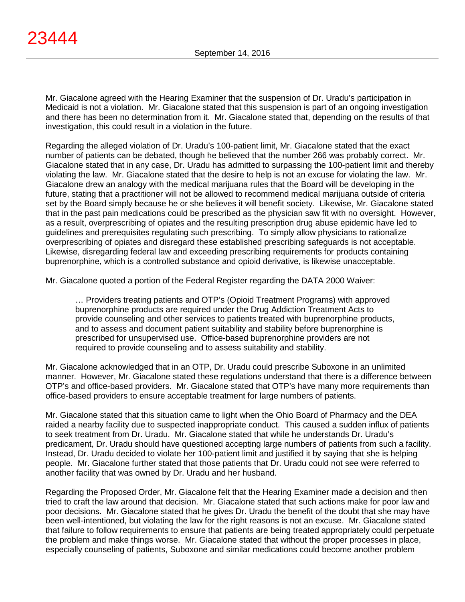Mr. Giacalone agreed with the Hearing Examiner that the suspension of Dr. Uradu's participation in Medicaid is not a violation. Mr. Giacalone stated that this suspension is part of an ongoing investigation and there has been no determination from it. Mr. Giacalone stated that, depending on the results of that investigation, this could result in a violation in the future.

Regarding the alleged violation of Dr. Uradu's 100-patient limit, Mr. Giacalone stated that the exact number of patients can be debated, though he believed that the number 266 was probably correct. Mr. Giacalone stated that in any case, Dr. Uradu has admitted to surpassing the 100-patient limit and thereby violating the law. Mr. Giacalone stated that the desire to help is not an excuse for violating the law. Mr. Giacalone drew an analogy with the medical marijuana rules that the Board will be developing in the future, stating that a practitioner will not be allowed to recommend medical marijuana outside of criteria set by the Board simply because he or she believes it will benefit society. Likewise, Mr. Giacalone stated that in the past pain medications could be prescribed as the physician saw fit with no oversight. However, as a result, overprescribing of opiates and the resulting prescription drug abuse epidemic have led to guidelines and prerequisites regulating such prescribing. To simply allow physicians to rationalize overprescribing of opiates and disregard these established prescribing safeguards is not acceptable. Likewise, disregarding federal law and exceeding prescribing requirements for products containing buprenorphine, which is a controlled substance and opioid derivative, is likewise unacceptable.

Mr. Giacalone quoted a portion of the Federal Register regarding the DATA 2000 Waiver:

… Providers treating patients and OTP's (Opioid Treatment Programs) with approved buprenorphine products are required under the Drug Addiction Treatment Acts to provide counseling and other services to patients treated with buprenorphine products, and to assess and document patient suitability and stability before buprenorphine is prescribed for unsupervised use. Office-based buprenorphine providers are not required to provide counseling and to assess suitability and stability.

Mr. Giacalone acknowledged that in an OTP, Dr. Uradu could prescribe Suboxone in an unlimited manner. However, Mr. Giacalone stated these regulations understand that there is a difference between OTP's and office-based providers. Mr. Giacalone stated that OTP's have many more requirements than office-based providers to ensure acceptable treatment for large numbers of patients.

Mr. Giacalone stated that this situation came to light when the Ohio Board of Pharmacy and the DEA raided a nearby facility due to suspected inappropriate conduct. This caused a sudden influx of patients to seek treatment from Dr. Uradu. Mr. Giacalone stated that while he understands Dr. Uradu's predicament, Dr. Uradu should have questioned accepting large numbers of patients from such a facility. Instead, Dr. Uradu decided to violate her 100-patient limit and justified it by saying that she is helping people. Mr. Giacalone further stated that those patients that Dr. Uradu could not see were referred to another facility that was owned by Dr. Uradu and her husband.

Regarding the Proposed Order, Mr. Giacalone felt that the Hearing Examiner made a decision and then tried to craft the law around that decision. Mr. Giacalone stated that such actions make for poor law and poor decisions. Mr. Giacalone stated that he gives Dr. Uradu the benefit of the doubt that she may have been well-intentioned, but violating the law for the right reasons is not an excuse. Mr. Giacalone stated that failure to follow requirements to ensure that patients are being treated appropriately could perpetuate the problem and make things worse. Mr. Giacalone stated that without the proper processes in place, especially counseling of patients, Suboxone and similar medications could become another problem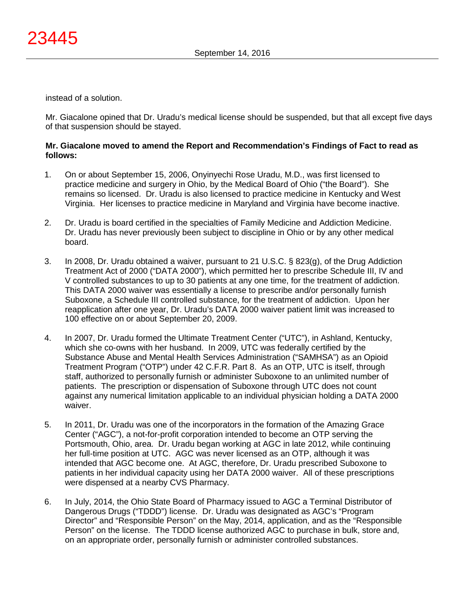instead of a solution.

Mr. Giacalone opined that Dr. Uradu's medical license should be suspended, but that all except five days of that suspension should be stayed.

# **Mr. Giacalone moved to amend the Report and Recommendation's Findings of Fact to read as follows:**

- 1. On or about September 15, 2006, Onyinyechi Rose Uradu, M.D., was first licensed to practice medicine and surgery in Ohio, by the Medical Board of Ohio ("the Board"). She remains so licensed. Dr. Uradu is also licensed to practice medicine in Kentucky and West Virginia. Her licenses to practice medicine in Maryland and Virginia have become inactive.
- 2. Dr. Uradu is board certified in the specialties of Family Medicine and Addiction Medicine. Dr. Uradu has never previously been subject to discipline in Ohio or by any other medical board.
- 3. In 2008, Dr. Uradu obtained a waiver, pursuant to 21 U.S.C. § 823(g), of the Drug Addiction Treatment Act of 2000 ("DATA 2000"), which permitted her to prescribe Schedule III, IV and V controlled substances to up to 30 patients at any one time, for the treatment of addiction. This DATA 2000 waiver was essentially a license to prescribe and/or personally furnish Suboxone, a Schedule III controlled substance, for the treatment of addiction. Upon her reapplication after one year, Dr. Uradu's DATA 2000 waiver patient limit was increased to 100 effective on or about September 20, 2009.
- 4. In 2007, Dr. Uradu formed the Ultimate Treatment Center ("UTC"), in Ashland, Kentucky, which she co-owns with her husband. In 2009, UTC was federally certified by the Substance Abuse and Mental Health Services Administration ("SAMHSA") as an Opioid Treatment Program ("OTP") under 42 C.F.R. Part 8. As an OTP, UTC is itself, through staff, authorized to personally furnish or administer Suboxone to an unlimited number of patients. The prescription or dispensation of Suboxone through UTC does not count against any numerical limitation applicable to an individual physician holding a DATA 2000 waiver.
- 5. In 2011, Dr. Uradu was one of the incorporators in the formation of the Amazing Grace Center ("AGC"), a not-for-profit corporation intended to become an OTP serving the Portsmouth, Ohio, area. Dr. Uradu began working at AGC in late 2012, while continuing her full-time position at UTC. AGC was never licensed as an OTP, although it was intended that AGC become one. At AGC, therefore, Dr. Uradu prescribed Suboxone to patients in her individual capacity using her DATA 2000 waiver. All of these prescriptions were dispensed at a nearby CVS Pharmacy.
- 6. In July, 2014, the Ohio State Board of Pharmacy issued to AGC a Terminal Distributor of Dangerous Drugs ("TDDD") license. Dr. Uradu was designated as AGC's "Program Director" and "Responsible Person" on the May, 2014, application, and as the "Responsible Person" on the license. The TDDD license authorized AGC to purchase in bulk, store and, on an appropriate order, personally furnish or administer controlled substances.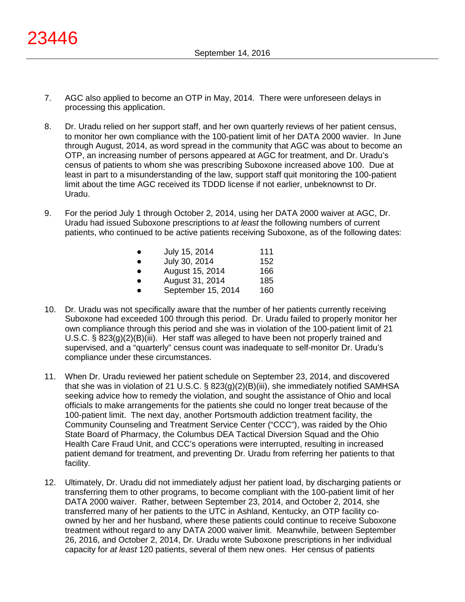- 7. AGC also applied to become an OTP in May, 2014. There were unforeseen delays in processing this application.
- 8. Dr. Uradu relied on her support staff, and her own quarterly reviews of her patient census, to monitor her own compliance with the 100-patient limit of her DATA 2000 wavier. In June through August, 2014, as word spread in the community that AGC was about to become an OTP, an increasing number of persons appeared at AGC for treatment, and Dr. Uradu's census of patients to whom she was prescribing Suboxone increased above 100. Due at least in part to a misunderstanding of the law, support staff quit monitoring the 100-patient limit about the time AGC received its TDDD license if not earlier, unbeknownst to Dr. Uradu.
- 9. For the period July 1 through October 2, 2014, using her DATA 2000 waiver at AGC, Dr. Uradu had issued Suboxone prescriptions to *at least* the following numbers of current patients, who continued to be active patients receiving Suboxone, as of the following dates:

|           | July 15, 2014      | 111 |
|-----------|--------------------|-----|
|           |                    |     |
| $\bullet$ | July 30, 2014      | 152 |
| $\bullet$ | August 15, 2014    | 166 |
| $\bullet$ | August 31, 2014    | 185 |
| $\bullet$ | September 15, 2014 | 160 |

- 10. Dr. Uradu was not specifically aware that the number of her patients currently receiving Suboxone had exceeded 100 through this period. Dr. Uradu failed to properly monitor her own compliance through this period and she was in violation of the 100-patient limit of 21 U.S.C. § 823(g)(2)(B)(iii). Her staff was alleged to have been not properly trained and supervised, and a "quarterly" census count was inadequate to self-monitor Dr. Uradu's compliance under these circumstances.
- 11. When Dr. Uradu reviewed her patient schedule on September 23, 2014, and discovered that she was in violation of 21 U.S.C. § 823(g)(2)(B)(iii), she immediately notified SAMHSA seeking advice how to remedy the violation, and sought the assistance of Ohio and local officials to make arrangements for the patients she could no longer treat because of the 100-patient limit. The next day, another Portsmouth addiction treatment facility, the Community Counseling and Treatment Service Center ("CCC"), was raided by the Ohio State Board of Pharmacy, the Columbus DEA Tactical Diversion Squad and the Ohio Health Care Fraud Unit, and CCC's operations were interrupted, resulting in increased patient demand for treatment, and preventing Dr. Uradu from referring her patients to that facility.
- 12. Ultimately, Dr. Uradu did not immediately adjust her patient load, by discharging patients or transferring them to other programs, to become compliant with the 100-patient limit of her DATA 2000 waiver. Rather, between September 23, 2014, and October 2, 2014, she transferred many of her patients to the UTC in Ashland, Kentucky, an OTP facility coowned by her and her husband, where these patients could continue to receive Suboxone treatment without regard to any DATA 2000 waiver limit. Meanwhile, between September 26, 2016, and October 2, 2014, Dr. Uradu wrote Suboxone prescriptions in her individual capacity for *at least* 120 patients, several of them new ones. Her census of patients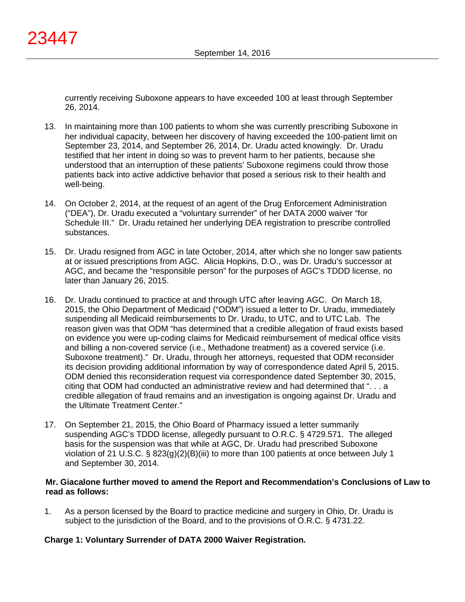currently receiving Suboxone appears to have exceeded 100 at least through September 26, 2014.

- 13. In maintaining more than 100 patients to whom she was currently prescribing Suboxone in her individual capacity, between her discovery of having exceeded the 100-patient limit on September 23, 2014, and September 26, 2014, Dr. Uradu acted knowingly. Dr. Uradu testified that her intent in doing so was to prevent harm to her patients, because she understood that an interruption of these patients' Suboxone regimens could throw those patients back into active addictive behavior that posed a serious risk to their health and well-being.
- 14. On October 2, 2014, at the request of an agent of the Drug Enforcement Administration ("DEA"), Dr. Uradu executed a "voluntary surrender" of her DATA 2000 waiver "for Schedule III." Dr. Uradu retained her underlying DEA registration to prescribe controlled substances.
- 15. Dr. Uradu resigned from AGC in late October, 2014, after which she no longer saw patients at or issued prescriptions from AGC. Alicia Hopkins, D.O., was Dr. Uradu's successor at AGC, and became the "responsible person" for the purposes of AGC's TDDD license, no later than January 26, 2015.
- 16. Dr. Uradu continued to practice at and through UTC after leaving AGC. On March 18, 2015, the Ohio Department of Medicaid ("ODM") issued a letter to Dr. Uradu, immediately suspending all Medicaid reimbursements to Dr. Uradu, to UTC, and to UTC Lab. The reason given was that ODM "has determined that a credible allegation of fraud exists based on evidence you were up-coding claims for Medicaid reimbursement of medical office visits and billing a non-covered service (i.e., Methadone treatment) as a covered service (i.e. Suboxone treatment)." Dr. Uradu, through her attorneys, requested that ODM reconsider its decision providing additional information by way of correspondence dated April 5, 2015. ODM denied this reconsideration request via correspondence dated September 30, 2015, citing that ODM had conducted an administrative review and had determined that ". . . a credible allegation of fraud remains and an investigation is ongoing against Dr. Uradu and the Ultimate Treatment Center."
- 17. On September 21, 2015, the Ohio Board of Pharmacy issued a letter summarily suspending AGC's TDDD license, allegedly pursuant to O.R.C. § 4729.571. The alleged basis for the suspension was that while at AGC, Dr. Uradu had prescribed Suboxone violation of 21 U.S.C. § 823(g)(2)(B)(iii) to more than 100 patients at once between July 1 and September 30, 2014.

# **Mr. Giacalone further moved to amend the Report and Recommendation's Conclusions of Law to read as follows:**

1. As a person licensed by the Board to practice medicine and surgery in Ohio, Dr. Uradu is subject to the jurisdiction of the Board, and to the provisions of O.R.C. § 4731.22.

# **Charge 1: Voluntary Surrender of DATA 2000 Waiver Registration.**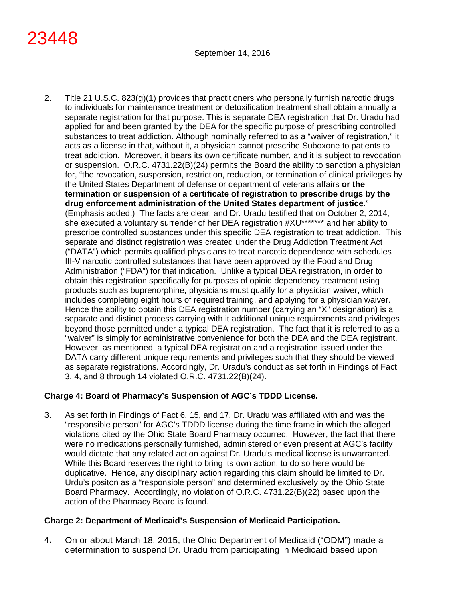- 23448
	- 2. Title 21 U.S.C. 823(g)(1) provides that practitioners who personally furnish narcotic drugs to individuals for maintenance treatment or detoxification treatment shall obtain annually a separate registration for that purpose. This is separate DEA registration that Dr. Uradu had applied for and been granted by the DEA for the specific purpose of prescribing controlled substances to treat addiction. Although nominally referred to as a "waiver of registration," it acts as a license in that, without it, a physician cannot prescribe Suboxone to patients to treat addiction. Moreover, it bears its own certificate number, and it is subject to revocation or suspension. O.R.C. 4731.22(B)(24) permits the Board the ability to sanction a physician for, "the revocation, suspension, restriction, reduction, or termination of clinical privileges by the United States Department of defense or department of veterans affairs **or the termination or suspension of a certificate of registration to prescribe drugs by the drug enforcement administration of the United States department of justice.**" (Emphasis added.) The facts are clear, and Dr. Uradu testified that on October 2, 2014, she executed a voluntary surrender of her DEA registration #XU\*\*\*\*\*\*\* and her ability to prescribe controlled substances under this specific DEA registration to treat addiction. This separate and distinct registration was created under the Drug Addiction Treatment Act ("DATA") which permits qualified physicians to treat narcotic dependence with schedules III-V narcotic controlled substances that have been approved by the Food and Drug Administration ("FDA") for that indication. Unlike a typical DEA registration, in order to obtain this registration specifically for purposes of opioid dependency treatment using products such as buprenorphine, physicians must qualify for a physician waiver, which includes completing eight hours of required training, and applying for a physician waiver. Hence the ability to obtain this DEA registration number (carrying an "X" designation) is a separate and distinct process carrying with it additional unique requirements and privileges beyond those permitted under a typical DEA registration. The fact that it is referred to as a "waiver" is simply for administrative convenience for both the DEA and the DEA registrant. However, as mentioned, a typical DEA registration and a registration issued under the DATA carry different unique requirements and privileges such that they should be viewed as separate registrations. Accordingly, Dr. Uradu's conduct as set forth in Findings of Fact 3, 4, and 8 through 14 violated O.R.C. 4731.22(B)(24).

# **Charge 4: Board of Pharmacy's Suspension of AGC's TDDD License.**

3. As set forth in Findings of Fact 6, 15, and 17, Dr. Uradu was affiliated with and was the "responsible person" for AGC's TDDD license during the time frame in which the alleged violations cited by the Ohio State Board Pharmacy occurred. However, the fact that there were no medications personally furnished, administered or even present at AGC's facility would dictate that any related action against Dr. Uradu's medical license is unwarranted. While this Board reserves the right to bring its own action, to do so here would be duplicative. Hence, any disciplinary action regarding this claim should be limited to Dr. Urdu's positon as a "responsible person" and determined exclusively by the Ohio State Board Pharmacy. Accordingly, no violation of O.R.C. 4731.22(B)(22) based upon the action of the Pharmacy Board is found.

# **Charge 2: Department of Medicaid's Suspension of Medicaid Participation.**

4. On or about March 18, 2015, the Ohio Department of Medicaid ("ODM") made a determination to suspend Dr. Uradu from participating in Medicaid based upon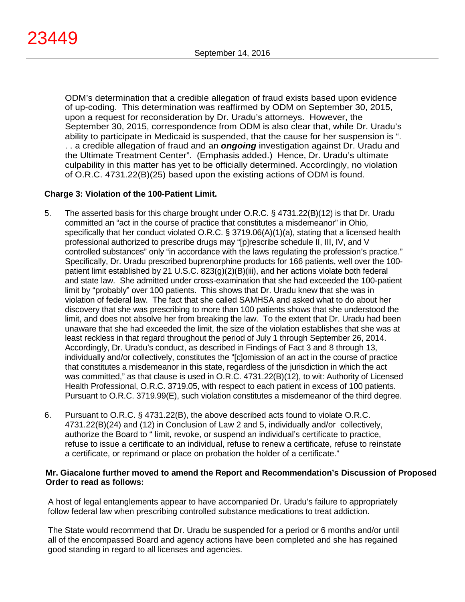ODM's determination that a credible allegation of fraud exists based upon evidence of up-coding. This determination was reaffirmed by ODM on September 30, 2015, upon a request for reconsideration by Dr. Uradu's attorneys. However, the September 30, 2015, correspondence from ODM is also clear that, while Dr. Uradu's ability to participate in Medicaid is suspended, that the cause for her suspension is ". . . a credible allegation of fraud and an *ongoing* investigation against Dr. Uradu and the Ultimate Treatment Center". (Emphasis added.) Hence, Dr. Uradu's ultimate culpability in this matter has yet to be officially determined. Accordingly, no violation of O.R.C. 4731.22(B)(25) based upon the existing actions of ODM is found.

# **Charge 3: Violation of the 100-Patient Limit.**

- 5. The asserted basis for this charge brought under O.R.C. § 4731.22(B)(12) is that Dr. Uradu committed an "act in the course of practice that constitutes a misdemeanor" in Ohio, specifically that her conduct violated O.R.C. § 3719.06(A)(1)(a), stating that a licensed health professional authorized to prescribe drugs may "[p]rescribe schedule II, III, IV, and V controlled substances" only "in accordance with the laws regulating the profession's practice." Specifically, Dr. Uradu prescribed buprenorphine products for 166 patients, well over the 100 patient limit established by 21 U.S.C. 823(g)(2)(B)(iii), and her actions violate both federal and state law. She admitted under cross-examination that she had exceeded the 100-patient limit by "probably" over 100 patients. This shows that Dr. Uradu knew that she was in violation of federal law. The fact that she called SAMHSA and asked what to do about her discovery that she was prescribing to more than 100 patients shows that she understood the limit, and does not absolve her from breaking the law. To the extent that Dr. Uradu had been unaware that she had exceeded the limit, the size of the violation establishes that she was at least reckless in that regard throughout the period of July 1 through September 26, 2014. Accordingly, Dr. Uradu's conduct, as described in Findings of Fact 3 and 8 through 13, individually and/or collectively, constitutes the "[c]omission of an act in the course of practice that constitutes a misdemeanor in this state, regardless of the jurisdiction in which the act was committed," as that clause is used in O.R.C. 4731.22(B)(12), to wit: Authority of Licensed Health Professional, O.R.C. 3719.05, with respect to each patient in excess of 100 patients. Pursuant to O.R.C. 3719.99(E), such violation constitutes a misdemeanor of the third degree.
- 6. Pursuant to O.R.C. § 4731.22(B), the above described acts found to violate O.R.C. 4731.22(B)(24) and (12) in Conclusion of Law 2 and 5, individually and/or collectively, authorize the Board to " limit, revoke, or suspend an individual's certificate to practice, refuse to issue a certificate to an individual, refuse to renew a certificate, refuse to reinstate a certificate, or reprimand or place on probation the holder of a certificate."

# **Mr. Giacalone further moved to amend the Report and Recommendation's Discussion of Proposed Order to read as follows:**

A host of legal entanglements appear to have accompanied Dr. Uradu's failure to appropriately follow federal law when prescribing controlled substance medications to treat addiction.

The State would recommend that Dr. Uradu be suspended for a period or 6 months and/or until all of the encompassed Board and agency actions have been completed and she has regained good standing in regard to all licenses and agencies.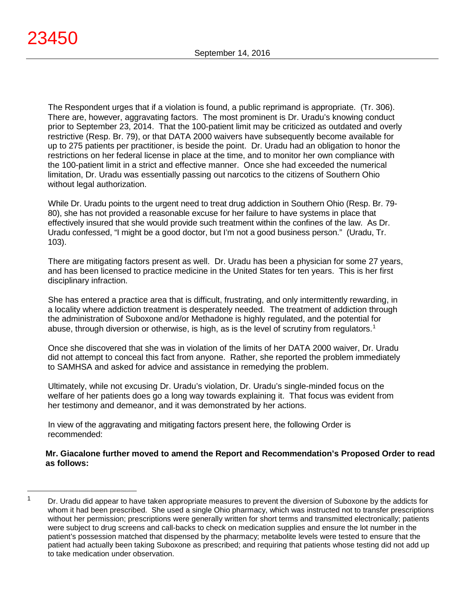$\overline{a}$ 

The Respondent urges that if a violation is found, a public reprimand is appropriate. (Tr. 306). There are, however, aggravating factors. The most prominent is Dr. Uradu's knowing conduct prior to September 23, 2014. That the 100-patient limit may be criticized as outdated and overly restrictive (Resp. Br. 79), or that DATA 2000 waivers have subsequently become available for up to 275 patients per practitioner, is beside the point. Dr. Uradu had an obligation to honor the restrictions on her federal license in place at the time, and to monitor her own compliance with the 100-patient limit in a strict and effective manner. Once she had exceeded the numerical limitation, Dr. Uradu was essentially passing out narcotics to the citizens of Southern Ohio without legal authorization.

While Dr. Uradu points to the urgent need to treat drug addiction in Southern Ohio (Resp. Br. 79- 80), she has not provided a reasonable excuse for her failure to have systems in place that effectively insured that she would provide such treatment within the confines of the law. As Dr. Uradu confessed, "I might be a good doctor, but I'm not a good business person." (Uradu, Tr. 103).

There are mitigating factors present as well. Dr. Uradu has been a physician for some 27 years, and has been licensed to practice medicine in the United States for ten years. This is her first disciplinary infraction.

She has entered a practice area that is difficult, frustrating, and only intermittently rewarding, in a locality where addiction treatment is desperately needed. The treatment of addiction through the administration of Suboxone and/or Methadone is highly regulated, and the potential for abuse, through diversion or otherwise, is high, as is the level of scrutiny from regulators.<sup>[1](#page-31-0)</sup>

Once she discovered that she was in violation of the limits of her DATA 2000 waiver, Dr. Uradu did not attempt to conceal this fact from anyone. Rather, she reported the problem immediately to SAMHSA and asked for advice and assistance in remedying the problem.

Ultimately, while not excusing Dr. Uradu's violation, Dr. Uradu's single-minded focus on the welfare of her patients does go a long way towards explaining it. That focus was evident from her testimony and demeanor, and it was demonstrated by her actions.

In view of the aggravating and mitigating factors present here, the following Order is recommended:

**Mr. Giacalone further moved to amend the Report and Recommendation's Proposed Order to read as follows:**

<span id="page-31-0"></span> $1 -$  Dr. Uradu did appear to have taken appropriate measures to prevent the diversion of Suboxone by the addicts for whom it had been prescribed. She used a single Ohio pharmacy, which was instructed not to transfer prescriptions without her permission; prescriptions were generally written for short terms and transmitted electronically; patients were subject to drug screens and call-backs to check on medication supplies and ensure the lot number in the patient's possession matched that dispensed by the pharmacy; metabolite levels were tested to ensure that the patient had actually been taking Suboxone as prescribed; and requiring that patients whose testing did not add up to take medication under observation.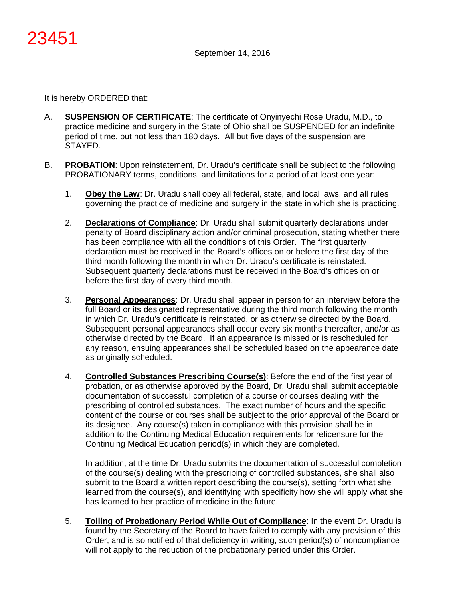It is hereby ORDERED that:

- A. **SUSPENSION OF CERTIFICATE**: The certificate of Onyinyechi Rose Uradu, M.D., to practice medicine and surgery in the State of Ohio shall be SUSPENDED for an indefinite period of time, but not less than 180 days. All but five days of the suspension are STAYED.
- B. **PROBATION**: Upon reinstatement, Dr. Uradu's certificate shall be subject to the following PROBATIONARY terms, conditions, and limitations for a period of at least one year:
	- 1. **Obey the Law**: Dr. Uradu shall obey all federal, state, and local laws, and all rules governing the practice of medicine and surgery in the state in which she is practicing.
	- 2. **Declarations of Compliance**: Dr. Uradu shall submit quarterly declarations under penalty of Board disciplinary action and/or criminal prosecution, stating whether there has been compliance with all the conditions of this Order. The first quarterly declaration must be received in the Board's offices on or before the first day of the third month following the month in which Dr. Uradu's certificate is reinstated. Subsequent quarterly declarations must be received in the Board's offices on or before the first day of every third month.
	- 3. **Personal Appearances**: Dr. Uradu shall appear in person for an interview before the full Board or its designated representative during the third month following the month in which Dr. Uradu's certificate is reinstated, or as otherwise directed by the Board. Subsequent personal appearances shall occur every six months thereafter, and/or as otherwise directed by the Board. If an appearance is missed or is rescheduled for any reason, ensuing appearances shall be scheduled based on the appearance date as originally scheduled.
	- 4. **Controlled Substances Prescribing Course(s)**: Before the end of the first year of probation, or as otherwise approved by the Board, Dr. Uradu shall submit acceptable documentation of successful completion of a course or courses dealing with the prescribing of controlled substances. The exact number of hours and the specific content of the course or courses shall be subject to the prior approval of the Board or its designee. Any course(s) taken in compliance with this provision shall be in addition to the Continuing Medical Education requirements for relicensure for the Continuing Medical Education period(s) in which they are completed.

In addition, at the time Dr. Uradu submits the documentation of successful completion of the course(s) dealing with the prescribing of controlled substances, she shall also submit to the Board a written report describing the course(s), setting forth what she learned from the course(s), and identifying with specificity how she will apply what she has learned to her practice of medicine in the future.

5. **Tolling of Probationary Period While Out of Compliance**: In the event Dr. Uradu is found by the Secretary of the Board to have failed to comply with any provision of this Order, and is so notified of that deficiency in writing, such period(s) of noncompliance will not apply to the reduction of the probationary period under this Order.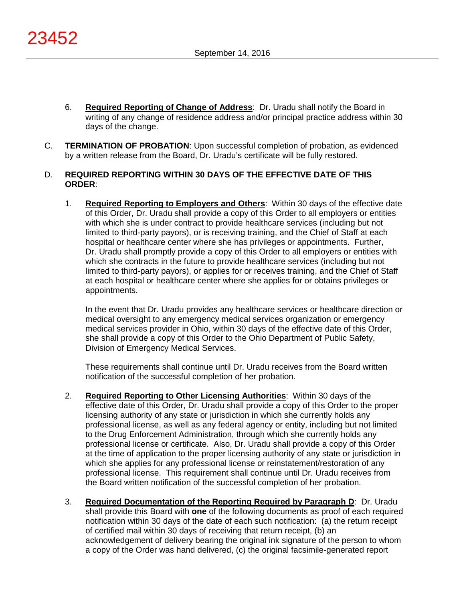- 6. **Required Reporting of Change of Address**: Dr. Uradu shall notify the Board in writing of any change of residence address and/or principal practice address within 30 days of the change.
- C. **TERMINATION OF PROBATION**: Upon successful completion of probation, as evidenced by a written release from the Board, Dr. Uradu's certificate will be fully restored.

# D. **REQUIRED REPORTING WITHIN 30 DAYS OF THE EFFECTIVE DATE OF THIS ORDER**:

1. **Required Reporting to Employers and Others**: Within 30 days of the effective date of this Order, Dr. Uradu shall provide a copy of this Order to all employers or entities with which she is under contract to provide healthcare services (including but not limited to third-party payors), or is receiving training, and the Chief of Staff at each hospital or healthcare center where she has privileges or appointments. Further, Dr. Uradu shall promptly provide a copy of this Order to all employers or entities with which she contracts in the future to provide healthcare services (including but not limited to third-party payors), or applies for or receives training, and the Chief of Staff at each hospital or healthcare center where she applies for or obtains privileges or appointments.

In the event that Dr. Uradu provides any healthcare services or healthcare direction or medical oversight to any emergency medical services organization or emergency medical services provider in Ohio, within 30 days of the effective date of this Order, she shall provide a copy of this Order to the Ohio Department of Public Safety, Division of Emergency Medical Services.

These requirements shall continue until Dr. Uradu receives from the Board written notification of the successful completion of her probation.

- 2. **Required Reporting to Other Licensing Authorities**: Within 30 days of the effective date of this Order, Dr. Uradu shall provide a copy of this Order to the proper licensing authority of any state or jurisdiction in which she currently holds any professional license, as well as any federal agency or entity, including but not limited to the Drug Enforcement Administration, through which she currently holds any professional license or certificate. Also, Dr. Uradu shall provide a copy of this Order at the time of application to the proper licensing authority of any state or jurisdiction in which she applies for any professional license or reinstatement/restoration of any professional license. This requirement shall continue until Dr. Uradu receives from the Board written notification of the successful completion of her probation.
- 3. **Required Documentation of the Reporting Required by Paragraph D**: Dr. Uradu shall provide this Board with **one** of the following documents as proof of each required notification within 30 days of the date of each such notification: (a) the return receipt of certified mail within 30 days of receiving that return receipt, (b) an acknowledgement of delivery bearing the original ink signature of the person to whom a copy of the Order was hand delivered, (c) the original facsimile-generated report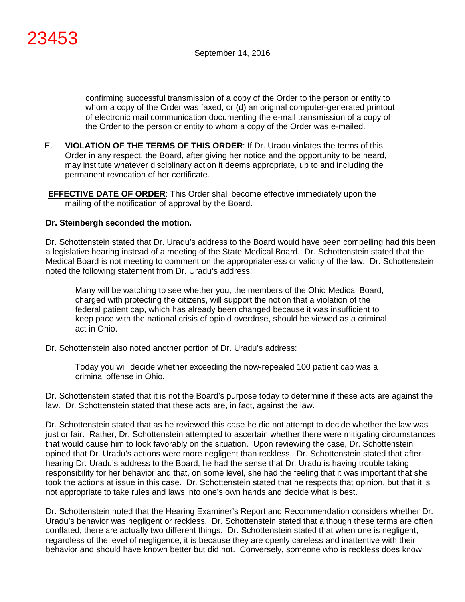confirming successful transmission of a copy of the Order to the person or entity to whom a copy of the Order was faxed, or (d) an original computer-generated printout of electronic mail communication documenting the e-mail transmission of a copy of the Order to the person or entity to whom a copy of the Order was e-mailed.

- E. **VIOLATION OF THE TERMS OF THIS ORDER**: If Dr. Uradu violates the terms of this Order in any respect, the Board, after giving her notice and the opportunity to be heard, may institute whatever disciplinary action it deems appropriate, up to and including the permanent revocation of her certificate.
- **EFFECTIVE DATE OF ORDER**: This Order shall become effective immediately upon the mailing of the notification of approval by the Board.

# **Dr. Steinbergh seconded the motion.**

Dr. Schottenstein stated that Dr. Uradu's address to the Board would have been compelling had this been a legislative hearing instead of a meeting of the State Medical Board. Dr. Schottenstein stated that the Medical Board is not meeting to comment on the appropriateness or validity of the law. Dr. Schottenstein noted the following statement from Dr. Uradu's address:

Many will be watching to see whether you, the members of the Ohio Medical Board, charged with protecting the citizens, will support the notion that a violation of the federal patient cap, which has already been changed because it was insufficient to keep pace with the national crisis of opioid overdose, should be viewed as a criminal act in Ohio.

Dr. Schottenstein also noted another portion of Dr. Uradu's address:

Today you will decide whether exceeding the now-repealed 100 patient cap was a criminal offense in Ohio.

Dr. Schottenstein stated that it is not the Board's purpose today to determine if these acts are against the law. Dr. Schottenstein stated that these acts are, in fact, against the law.

Dr. Schottenstein stated that as he reviewed this case he did not attempt to decide whether the law was just or fair. Rather, Dr. Schottenstein attempted to ascertain whether there were mitigating circumstances that would cause him to look favorably on the situation. Upon reviewing the case, Dr. Schottenstein opined that Dr. Uradu's actions were more negligent than reckless. Dr. Schottenstein stated that after hearing Dr. Uradu's address to the Board, he had the sense that Dr. Uradu is having trouble taking responsibility for her behavior and that, on some level, she had the feeling that it was important that she took the actions at issue in this case. Dr. Schottenstein stated that he respects that opinion, but that it is not appropriate to take rules and laws into one's own hands and decide what is best.

Dr. Schottenstein noted that the Hearing Examiner's Report and Recommendation considers whether Dr. Uradu's behavior was negligent or reckless. Dr. Schottenstein stated that although these terms are often conflated, there are actually two different things. Dr. Schottenstein stated that when one is negligent, regardless of the level of negligence, it is because they are openly careless and inattentive with their behavior and should have known better but did not. Conversely, someone who is reckless does know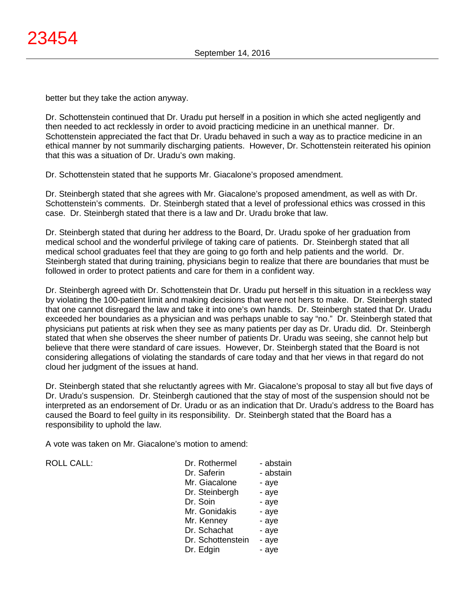better but they take the action anyway.

Dr. Schottenstein continued that Dr. Uradu put herself in a position in which she acted negligently and then needed to act recklessly in order to avoid practicing medicine in an unethical manner. Dr. Schottenstein appreciated the fact that Dr. Uradu behaved in such a way as to practice medicine in an ethical manner by not summarily discharging patients. However, Dr. Schottenstein reiterated his opinion that this was a situation of Dr. Uradu's own making.

Dr. Schottenstein stated that he supports Mr. Giacalone's proposed amendment.

Dr. Steinbergh stated that she agrees with Mr. Giacalone's proposed amendment, as well as with Dr. Schottenstein's comments. Dr. Steinbergh stated that a level of professional ethics was crossed in this case. Dr. Steinbergh stated that there is a law and Dr. Uradu broke that law.

Dr. Steinbergh stated that during her address to the Board, Dr. Uradu spoke of her graduation from medical school and the wonderful privilege of taking care of patients. Dr. Steinbergh stated that all medical school graduates feel that they are going to go forth and help patients and the world. Dr. Steinbergh stated that during training, physicians begin to realize that there are boundaries that must be followed in order to protect patients and care for them in a confident way.

Dr. Steinbergh agreed with Dr. Schottenstein that Dr. Uradu put herself in this situation in a reckless way by violating the 100-patient limit and making decisions that were not hers to make. Dr. Steinbergh stated that one cannot disregard the law and take it into one's own hands. Dr. Steinbergh stated that Dr. Uradu exceeded her boundaries as a physician and was perhaps unable to say "no." Dr. Steinbergh stated that physicians put patients at risk when they see as many patients per day as Dr. Uradu did. Dr. Steinbergh stated that when she observes the sheer number of patients Dr. Uradu was seeing, she cannot help but believe that there were standard of care issues. However, Dr. Steinbergh stated that the Board is not considering allegations of violating the standards of care today and that her views in that regard do not cloud her judgment of the issues at hand.

Dr. Steinbergh stated that she reluctantly agrees with Mr. Giacalone's proposal to stay all but five days of Dr. Uradu's suspension. Dr. Steinbergh cautioned that the stay of most of the suspension should not be interpreted as an endorsement of Dr. Uradu or as an indication that Dr. Uradu's address to the Board has caused the Board to feel guilty in its responsibility. Dr. Steinbergh stated that the Board has a responsibility to uphold the law.

A vote was taken on Mr. Giacalone's motion to amend:

ROLL CALL:

| Dr. Rothermel     | - abstain |
|-------------------|-----------|
| Dr. Saferin       | - abstain |
| Mr. Giacalone     | - aye     |
| Dr. Steinbergh    | - aye     |
| Dr. Soin          | - aye     |
| Mr. Gonidakis     | - aye     |
| Mr. Kenney        | - aye     |
| Dr. Schachat      | - aye     |
| Dr. Schottenstein | - aye     |
| Dr. Edgin         | - aye     |
|                   |           |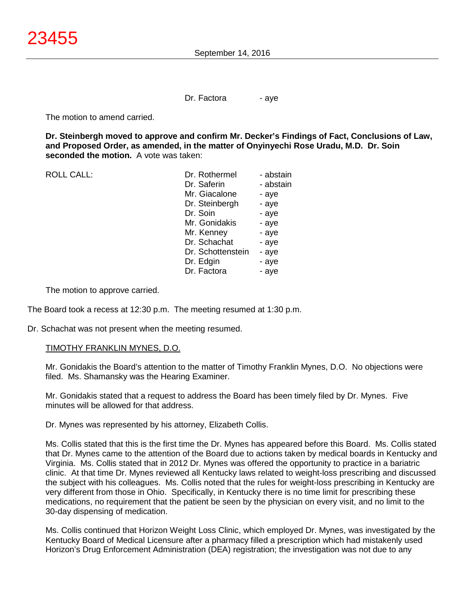Dr. Factora - aye

The motion to amend carried.

**Dr. Steinbergh moved to approve and confirm Mr. Decker's Findings of Fact, Conclusions of Law, and Proposed Order, as amended, in the matter of Onyinyechi Rose Uradu, M.D. Dr. Soin seconded the motion.** A vote was taken:

| <b>ROLL CALL:</b> | Dr. Rothermel     | - abstain |
|-------------------|-------------------|-----------|
|                   | Dr. Saferin       | - abstain |
|                   | Mr. Giacalone     | - aye     |
|                   | Dr. Steinbergh    | - aye     |
|                   | Dr. Soin          | - aye     |
|                   | Mr. Gonidakis     | - aye     |
|                   | Mr. Kenney        | - aye     |
|                   | Dr. Schachat      | - aye     |
|                   | Dr. Schottenstein | - aye     |
|                   | Dr. Edgin         | - aye     |
|                   | Dr. Factora       | - aye     |
|                   |                   |           |

The motion to approve carried.

The Board took a recess at 12:30 p.m. The meeting resumed at 1:30 p.m.

Dr. Schachat was not present when the meeting resumed.

# TIMOTHY FRANKLIN MYNES, D.O.

Mr. Gonidakis the Board's attention to the matter of Timothy Franklin Mynes, D.O. No objections were filed. Ms. Shamansky was the Hearing Examiner.

Mr. Gonidakis stated that a request to address the Board has been timely filed by Dr. Mynes. Five minutes will be allowed for that address.

Dr. Mynes was represented by his attorney, Elizabeth Collis.

Ms. Collis stated that this is the first time the Dr. Mynes has appeared before this Board. Ms. Collis stated that Dr. Mynes came to the attention of the Board due to actions taken by medical boards in Kentucky and Virginia. Ms. Collis stated that in 2012 Dr. Mynes was offered the opportunity to practice in a bariatric clinic. At that time Dr. Mynes reviewed all Kentucky laws related to weight-loss prescribing and discussed the subject with his colleagues. Ms. Collis noted that the rules for weight-loss prescribing in Kentucky are very different from those in Ohio. Specifically, in Kentucky there is no time limit for prescribing these medications, no requirement that the patient be seen by the physician on every visit, and no limit to the 30-day dispensing of medication.

Ms. Collis continued that Horizon Weight Loss Clinic, which employed Dr. Mynes, was investigated by the Kentucky Board of Medical Licensure after a pharmacy filled a prescription which had mistakenly used Horizon's Drug Enforcement Administration (DEA) registration; the investigation was not due to any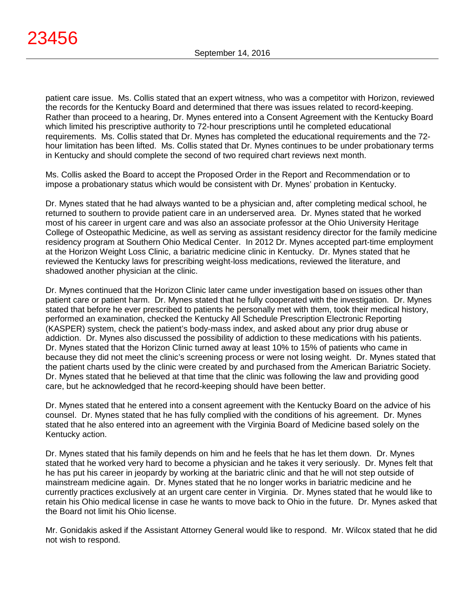patient care issue. Ms. Collis stated that an expert witness, who was a competitor with Horizon, reviewed the records for the Kentucky Board and determined that there was issues related to record-keeping. Rather than proceed to a hearing, Dr. Mynes entered into a Consent Agreement with the Kentucky Board which limited his prescriptive authority to 72-hour prescriptions until he completed educational requirements. Ms. Collis stated that Dr. Mynes has completed the educational requirements and the 72 hour limitation has been lifted. Ms. Collis stated that Dr. Mynes continues to be under probationary terms in Kentucky and should complete the second of two required chart reviews next month.

Ms. Collis asked the Board to accept the Proposed Order in the Report and Recommendation or to impose a probationary status which would be consistent with Dr. Mynes' probation in Kentucky.

Dr. Mynes stated that he had always wanted to be a physician and, after completing medical school, he returned to southern to provide patient care in an underserved area. Dr. Mynes stated that he worked most of his career in urgent care and was also an associate professor at the Ohio University Heritage College of Osteopathic Medicine, as well as serving as assistant residency director for the family medicine residency program at Southern Ohio Medical Center. In 2012 Dr. Mynes accepted part-time employment at the Horizon Weight Loss Clinic, a bariatric medicine clinic in Kentucky. Dr. Mynes stated that he reviewed the Kentucky laws for prescribing weight-loss medications, reviewed the literature, and shadowed another physician at the clinic.

Dr. Mynes continued that the Horizon Clinic later came under investigation based on issues other than patient care or patient harm. Dr. Mynes stated that he fully cooperated with the investigation. Dr. Mynes stated that before he ever prescribed to patients he personally met with them, took their medical history, performed an examination, checked the Kentucky All Schedule Prescription Electronic Reporting (KASPER) system, check the patient's body-mass index, and asked about any prior drug abuse or addiction. Dr. Mynes also discussed the possibility of addiction to these medications with his patients. Dr. Mynes stated that the Horizon Clinic turned away at least 10% to 15% of patients who came in because they did not meet the clinic's screening process or were not losing weight. Dr. Mynes stated that the patient charts used by the clinic were created by and purchased from the American Bariatric Society. Dr. Mynes stated that he believed at that time that the clinic was following the law and providing good care, but he acknowledged that he record-keeping should have been better.

Dr. Mynes stated that he entered into a consent agreement with the Kentucky Board on the advice of his counsel. Dr. Mynes stated that he has fully complied with the conditions of his agreement. Dr. Mynes stated that he also entered into an agreement with the Virginia Board of Medicine based solely on the Kentucky action.

Dr. Mynes stated that his family depends on him and he feels that he has let them down. Dr. Mynes stated that he worked very hard to become a physician and he takes it very seriously. Dr. Mynes felt that he has put his career in jeopardy by working at the bariatric clinic and that he will not step outside of mainstream medicine again. Dr. Mynes stated that he no longer works in bariatric medicine and he currently practices exclusively at an urgent care center in Virginia. Dr. Mynes stated that he would like to retain his Ohio medical license in case he wants to move back to Ohio in the future. Dr. Mynes asked that the Board not limit his Ohio license.

Mr. Gonidakis asked if the Assistant Attorney General would like to respond. Mr. Wilcox stated that he did not wish to respond.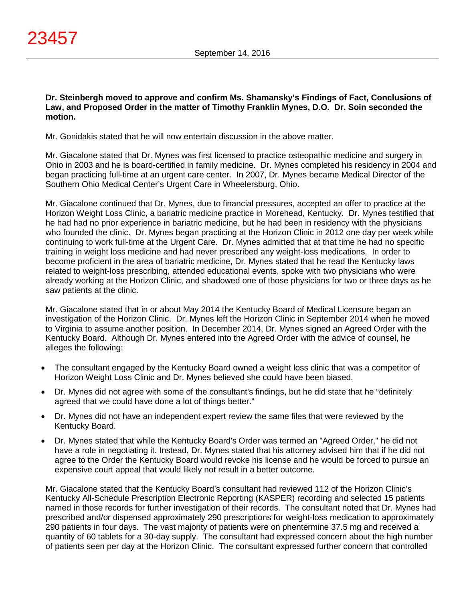**Dr. Steinbergh moved to approve and confirm Ms. Shamansky's Findings of Fact, Conclusions of Law, and Proposed Order in the matter of Timothy Franklin Mynes, D.O. Dr. Soin seconded the motion.**

Mr. Gonidakis stated that he will now entertain discussion in the above matter.

Mr. Giacalone stated that Dr. Mynes was first licensed to practice osteopathic medicine and surgery in Ohio in 2003 and he is board-certified in family medicine. Dr. Mynes completed his residency in 2004 and began practicing full-time at an urgent care center. In 2007, Dr. Mynes became Medical Director of the Southern Ohio Medical Center's Urgent Care in Wheelersburg, Ohio.

Mr. Giacalone continued that Dr. Mynes, due to financial pressures, accepted an offer to practice at the Horizon Weight Loss Clinic, a bariatric medicine practice in Morehead, Kentucky. Dr. Mynes testified that he had had no prior experience in bariatric medicine, but he had been in residency with the physicians who founded the clinic. Dr. Mynes began practicing at the Horizon Clinic in 2012 one day per week while continuing to work full-time at the Urgent Care. Dr. Mynes admitted that at that time he had no specific training in weight loss medicine and had never prescribed any weight-loss medications. In order to become proficient in the area of bariatric medicine, Dr. Mynes stated that he read the Kentucky laws related to weight-loss prescribing, attended educational events, spoke with two physicians who were already working at the Horizon Clinic, and shadowed one of those physicians for two or three days as he saw patients at the clinic.

Mr. Giacalone stated that in or about May 2014 the Kentucky Board of Medical Licensure began an investigation of the Horizon Clinic. Dr. Mynes left the Horizon Clinic in September 2014 when he moved to Virginia to assume another position. In December 2014, Dr. Mynes signed an Agreed Order with the Kentucky Board. Although Dr. Mynes entered into the Agreed Order with the advice of counsel, he alleges the following:

- The consultant engaged by the Kentucky Board owned a weight loss clinic that was a competitor of Horizon Weight Loss Clinic and Dr. Mynes believed she could have been biased.
- Dr. Mynes did not agree with some of the consultant's findings, but he did state that he "definitely agreed that we could have done a lot of things better."
- Dr. Mynes did not have an independent expert review the same files that were reviewed by the Kentucky Board.
- Dr. Mynes stated that while the Kentucky Board's Order was termed an "Agreed Order," he did not have a role in negotiating it. Instead, Dr. Mynes stated that his attorney advised him that if he did not agree to the Order the Kentucky Board would revoke his license and he would be forced to pursue an expensive court appeal that would likely not result in a better outcome.

Mr. Giacalone stated that the Kentucky Board's consultant had reviewed 112 of the Horizon Clinic's Kentucky All-Schedule Prescription Electronic Reporting (KASPER) recording and selected 15 patients named in those records for further investigation of their records. The consultant noted that Dr. Mynes had prescribed and/or dispensed approximately 290 prescriptions for weight-loss medication to approximately 290 patients in four days. The vast majority of patients were on phentermine 37.5 mg and received a quantity of 60 tablets for a 30-day supply. The consultant had expressed concern about the high number of patients seen per day at the Horizon Clinic. The consultant expressed further concern that controlled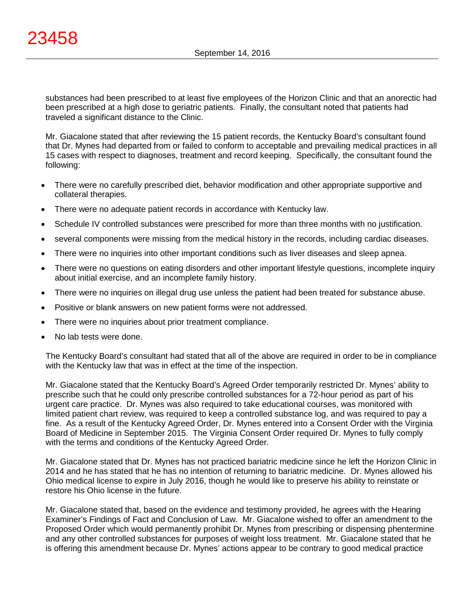substances had been prescribed to at least five employees of the Horizon Clinic and that an anorectic had been prescribed at a high dose to geriatric patients. Finally, the consultant noted that patients had traveled a significant distance to the Clinic.

Mr. Giacalone stated that after reviewing the 15 patient records, the Kentucky Board's consultant found that Dr. Mynes had departed from or failed to conform to acceptable and prevailing medical practices in all 15 cases with respect to diagnoses, treatment and record keeping. Specifically, the consultant found the following:

- There were no carefully prescribed diet, behavior modification and other appropriate supportive and collateral therapies.
- There were no adequate patient records in accordance with Kentucky law.
- Schedule IV controlled substances were prescribed for more than three months with no justification.
- several components were missing from the medical history in the records, including cardiac diseases.
- There were no inquiries into other important conditions such as liver diseases and sleep apnea.
- There were no questions on eating disorders and other important lifestyle questions, incomplete inquiry about initial exercise, and an incomplete family history.
- There were no inquiries on illegal drug use unless the patient had been treated for substance abuse.
- Positive or blank answers on new patient forms were not addressed.
- There were no inquiries about prior treatment compliance.
- No lab tests were done.

The Kentucky Board's consultant had stated that all of the above are required in order to be in compliance with the Kentucky law that was in effect at the time of the inspection.

Mr. Giacalone stated that the Kentucky Board's Agreed Order temporarily restricted Dr. Mynes' ability to prescribe such that he could only prescribe controlled substances for a 72-hour period as part of his urgent care practice. Dr. Mynes was also required to take educational courses, was monitored with limited patient chart review, was required to keep a controlled substance log, and was required to pay a fine. As a result of the Kentucky Agreed Order, Dr. Mynes entered into a Consent Order with the Virginia Board of Medicine in September 2015. The Virginia Consent Order required Dr. Mynes to fully comply with the terms and conditions of the Kentucky Agreed Order.

Mr. Giacalone stated that Dr. Mynes has not practiced bariatric medicine since he left the Horizon Clinic in 2014 and he has stated that he has no intention of returning to bariatric medicine. Dr. Mynes allowed his Ohio medical license to expire in July 2016, though he would like to preserve his ability to reinstate or restore his Ohio license in the future.

Mr. Giacalone stated that, based on the evidence and testimony provided, he agrees with the Hearing Examiner's Findings of Fact and Conclusion of Law. Mr. Giacalone wished to offer an amendment to the Proposed Order which would permanently prohibit Dr. Mynes from prescribing or dispensing phentermine and any other controlled substances for purposes of weight loss treatment. Mr. Giacalone stated that he is offering this amendment because Dr. Mynes' actions appear to be contrary to good medical practice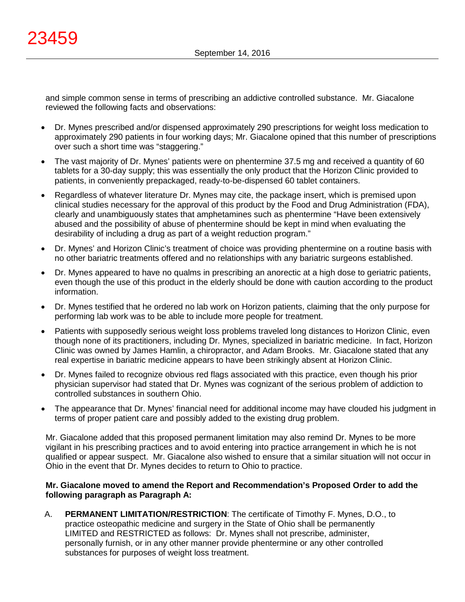and simple common sense in terms of prescribing an addictive controlled substance. Mr. Giacalone reviewed the following facts and observations:

- Dr. Mynes prescribed and/or dispensed approximately 290 prescriptions for weight loss medication to approximately 290 patients in four working days; Mr. Giacalone opined that this number of prescriptions over such a short time was "staggering."
- The vast majority of Dr. Mynes' patients were on phentermine 37.5 mg and received a quantity of 60 tablets for a 30-day supply; this was essentially the only product that the Horizon Clinic provided to patients, in conveniently prepackaged, ready-to-be-dispensed 60 tablet containers.
- Regardless of whatever literature Dr. Mynes may cite, the package insert, which is premised upon clinical studies necessary for the approval of this product by the Food and Drug Administration (FDA), clearly and unambiguously states that amphetamines such as phentermine "Have been extensively abused and the possibility of abuse of phentermine should be kept in mind when evaluating the desirability of including a drug as part of a weight reduction program."
- Dr. Mynes' and Horizon Clinic's treatment of choice was providing phentermine on a routine basis with no other bariatric treatments offered and no relationships with any bariatric surgeons established.
- Dr. Mynes appeared to have no qualms in prescribing an anorectic at a high dose to geriatric patients, even though the use of this product in the elderly should be done with caution according to the product information.
- Dr. Mynes testified that he ordered no lab work on Horizon patients, claiming that the only purpose for performing lab work was to be able to include more people for treatment.
- Patients with supposedly serious weight loss problems traveled long distances to Horizon Clinic, even though none of its practitioners, including Dr. Mynes, specialized in bariatric medicine. In fact, Horizon Clinic was owned by James Hamlin, a chiropractor, and Adam Brooks. Mr. Giacalone stated that any real expertise in bariatric medicine appears to have been strikingly absent at Horizon Clinic.
- Dr. Mynes failed to recognize obvious red flags associated with this practice, even though his prior physician supervisor had stated that Dr. Mynes was cognizant of the serious problem of addiction to controlled substances in southern Ohio.
- The appearance that Dr. Mynes' financial need for additional income may have clouded his judgment in terms of proper patient care and possibly added to the existing drug problem.

Mr. Giacalone added that this proposed permanent limitation may also remind Dr. Mynes to be more vigilant in his prescribing practices and to avoid entering into practice arrangement in which he is not qualified or appear suspect. Mr. Giacalone also wished to ensure that a similar situation will not occur in Ohio in the event that Dr. Mynes decides to return to Ohio to practice.

# **Mr. Giacalone moved to amend the Report and Recommendation's Proposed Order to add the following paragraph as Paragraph A:**

A. **PERMANENT LIMITATION/RESTRICTION**: The certificate of Timothy F. Mynes, D.O., to practice osteopathic medicine and surgery in the State of Ohio shall be permanently LIMITED and RESTRICTED as follows: Dr. Mynes shall not prescribe, administer, personally furnish, or in any other manner provide phentermine or any other controlled substances for purposes of weight loss treatment.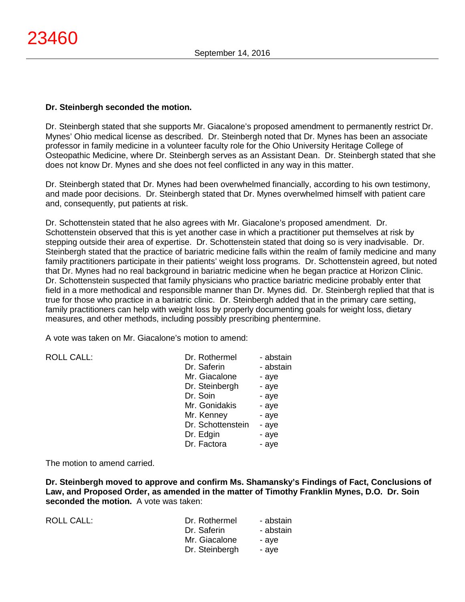# **Dr. Steinbergh seconded the motion.**

Dr. Steinbergh stated that she supports Mr. Giacalone's proposed amendment to permanently restrict Dr. Mynes' Ohio medical license as described. Dr. Steinbergh noted that Dr. Mynes has been an associate professor in family medicine in a volunteer faculty role for the Ohio University Heritage College of Osteopathic Medicine, where Dr. Steinbergh serves as an Assistant Dean. Dr. Steinbergh stated that she does not know Dr. Mynes and she does not feel conflicted in any way in this matter.

Dr. Steinbergh stated that Dr. Mynes had been overwhelmed financially, according to his own testimony, and made poor decisions. Dr. Steinbergh stated that Dr. Mynes overwhelmed himself with patient care and, consequently, put patients at risk.

Dr. Schottenstein stated that he also agrees with Mr. Giacalone's proposed amendment. Dr. Schottenstein observed that this is yet another case in which a practitioner put themselves at risk by stepping outside their area of expertise. Dr. Schottenstein stated that doing so is very inadvisable. Dr. Steinbergh stated that the practice of bariatric medicine falls within the realm of family medicine and many family practitioners participate in their patients' weight loss programs. Dr. Schottenstein agreed, but noted that Dr. Mynes had no real background in bariatric medicine when he began practice at Horizon Clinic. Dr. Schottenstein suspected that family physicians who practice bariatric medicine probably enter that field in a more methodical and responsible manner than Dr. Mynes did. Dr. Steinbergh replied that that is true for those who practice in a bariatric clinic. Dr. Steinbergh added that in the primary care setting, family practitioners can help with weight loss by properly documenting goals for weight loss, dietary measures, and other methods, including possibly prescribing phentermine.

A vote was taken on Mr. Giacalone's motion to amend:

| Dr. Rothermel     | - abstain |
|-------------------|-----------|
| Dr. Saferin       | - abstain |
| Mr. Giacalone     | - aye     |
| Dr. Steinbergh    | - aye     |
| Dr. Soin          | - aye     |
| Mr. Gonidakis     | - aye     |
| Mr. Kenney        | - aye     |
| Dr. Schottenstein | - aye     |
| Dr. Edgin         | - aye     |
| Dr. Factora       | - aye     |
|                   |           |

The motion to amend carried.

**Dr. Steinbergh moved to approve and confirm Ms. Shamansky's Findings of Fact, Conclusions of Law, and Proposed Order, as amended in the matter of Timothy Franklin Mynes, D.O. Dr. Soin seconded the motion.** A vote was taken:

| ROLL CALL: | Dr. Rothermel  | - abstain |
|------------|----------------|-----------|
|            | Dr. Saferin    | - abstain |
|            | Mr. Giacalone  | - ave     |
|            | Dr. Steinbergh | - ave     |
|            |                |           |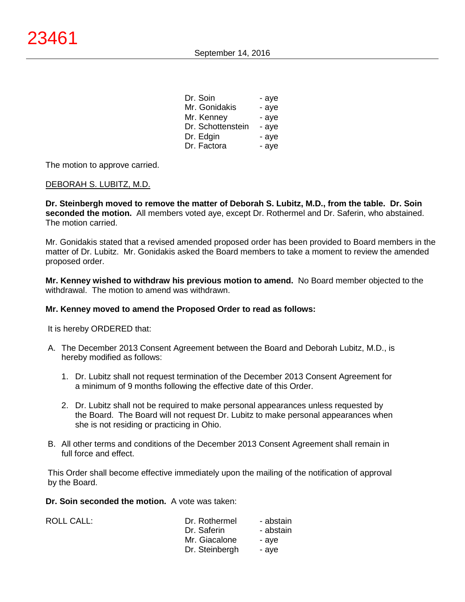| Dr. Soin          | - aye |
|-------------------|-------|
| Mr. Gonidakis     | - aye |
| Mr. Kenney        | - aye |
| Dr. Schottenstein | - aye |
| Dr. Edgin         | - aye |
| Dr. Factora       | - aye |

The motion to approve carried.

# DEBORAH S. LUBITZ, M.D.

**Dr. Steinbergh moved to remove the matter of Deborah S. Lubitz, M.D., from the table. Dr. Soin seconded the motion.** All members voted aye, except Dr. Rothermel and Dr. Saferin, who abstained. The motion carried.

Mr. Gonidakis stated that a revised amended proposed order has been provided to Board members in the matter of Dr. Lubitz. Mr. Gonidakis asked the Board members to take a moment to review the amended proposed order.

**Mr. Kenney wished to withdraw his previous motion to amend.** No Board member objected to the withdrawal. The motion to amend was withdrawn.

# **Mr. Kenney moved to amend the Proposed Order to read as follows:**

It is hereby ORDERED that:

- A. The December 2013 Consent Agreement between the Board and Deborah Lubitz, M.D., is hereby modified as follows:
	- 1. Dr. Lubitz shall not request termination of the December 2013 Consent Agreement for a minimum of 9 months following the effective date of this Order.
	- 2. Dr. Lubitz shall not be required to make personal appearances unless requested by the Board. The Board will not request Dr. Lubitz to make personal appearances when she is not residing or practicing in Ohio.
- B. All other terms and conditions of the December 2013 Consent Agreement shall remain in full force and effect.

This Order shall become effective immediately upon the mailing of the notification of approval by the Board.

**Dr. Soin seconded the motion.** A vote was taken:

| <b>ROLL CALL:</b> | Dr. Rothermel  | - abstain |
|-------------------|----------------|-----------|
|                   | Dr. Saferin    | - abstain |
|                   | Mr. Giacalone  | - ave     |
|                   | Dr. Steinbergh | - ave     |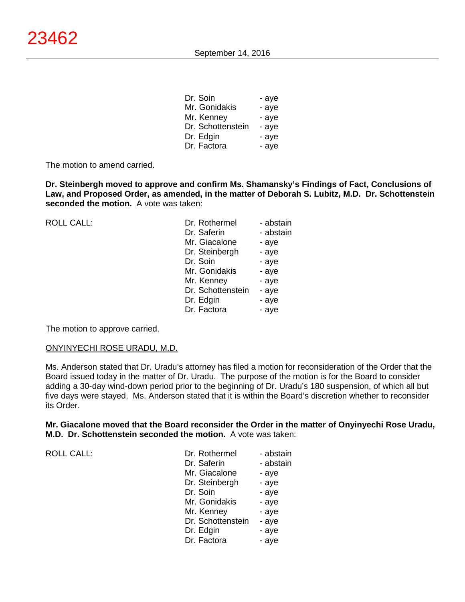| Dr. Soin          | - aye |
|-------------------|-------|
| Mr. Gonidakis     | - aye |
| Mr. Kenney        | - aye |
| Dr. Schottenstein | - aye |
| Dr. Edgin         | - aye |
| Dr. Factora       | - aye |

The motion to amend carried.

**Dr. Steinbergh moved to approve and confirm Ms. Shamansky's Findings of Fact, Conclusions of Law, and Proposed Order, as amended, in the matter of Deborah S. Lubitz, M.D. Dr. Schottenstein seconded the motion.** A vote was taken:

| <b>ROLL CALL:</b> | Dr. Rothermel<br>Dr. Saferin<br>Mr. Giacalone<br>Dr. Steinbergh<br>Dr. Soin<br>Mr. Gonidakis<br>Mr. Kenney<br>Dr. Schottenstein<br>Dr. Edgin | - abstain<br>- abstain<br>- aye<br>- aye<br>- aye<br>- aye<br>- aye<br>- aye<br>- aye |
|-------------------|----------------------------------------------------------------------------------------------------------------------------------------------|---------------------------------------------------------------------------------------|
|                   | Dr. Factora                                                                                                                                  | - aye                                                                                 |

The motion to approve carried.

# ONYINYECHI ROSE URADU, M.D.

Ms. Anderson stated that Dr. Uradu's attorney has filed a motion for reconsideration of the Order that the Board issued today in the matter of Dr. Uradu. The purpose of the motion is for the Board to consider adding a 30-day wind-down period prior to the beginning of Dr. Uradu's 180 suspension, of which all but five days were stayed. Ms. Anderson stated that it is within the Board's discretion whether to reconsider its Order.

**Mr. Giacalone moved that the Board reconsider the Order in the matter of Onyinyechi Rose Uradu, M.D. Dr. Schottenstein seconded the motion.** A vote was taken:

ROLL CALL:

| Dr. Rothermel     | - abstain |
|-------------------|-----------|
| Dr. Saferin       | - abstain |
| Mr. Giacalone     | - aye     |
| Dr. Steinbergh    | - aye     |
| Dr. Soin          | - aye     |
| Mr. Gonidakis     | - aye     |
| Mr. Kenney        | - aye     |
| Dr. Schottenstein | - aye     |
| Dr. Edgin         | - aye     |
| Dr. Factora       | - aye     |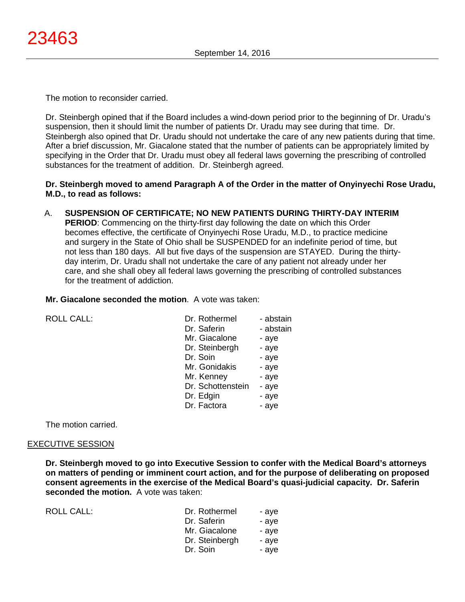The motion to reconsider carried.

Dr. Steinbergh opined that if the Board includes a wind-down period prior to the beginning of Dr. Uradu's suspension, then it should limit the number of patients Dr. Uradu may see during that time. Dr. Steinbergh also opined that Dr. Uradu should not undertake the care of any new patients during that time. After a brief discussion, Mr. Giacalone stated that the number of patients can be appropriately limited by specifying in the Order that Dr. Uradu must obey all federal laws governing the prescribing of controlled substances for the treatment of addition. Dr. Steinbergh agreed.

# **Dr. Steinbergh moved to amend Paragraph A of the Order in the matter of Onyinyechi Rose Uradu, M.D., to read as follows:**

A. **SUSPENSION OF CERTIFICATE; NO NEW PATIENTS DURING THIRTY-DAY INTERIM PERIOD**: Commencing on the thirty-first day following the date on which this Order becomes effective, the certificate of Onyinyechi Rose Uradu, M.D., to practice medicine and surgery in the State of Ohio shall be SUSPENDED for an indefinite period of time, but not less than 180 days. All but five days of the suspension are STAYED. During the thirtyday interim, Dr. Uradu shall not undertake the care of any patient not already under her care, and she shall obey all federal laws governing the prescribing of controlled substances for the treatment of addiction.

#### **Mr. Giacalone seconded the motion**. A vote was taken:

| <b>ROLL CALL:</b> | Dr. Rothermel     | - abstain |
|-------------------|-------------------|-----------|
|                   | Dr. Saferin       | - abstain |
|                   | Mr. Giacalone     | - aye     |
|                   | Dr. Steinbergh    | - aye     |
|                   | Dr. Soin          | - aye     |
|                   | Mr. Gonidakis     | - aye     |
|                   | Mr. Kenney        | - aye     |
|                   | Dr. Schottenstein | - aye     |
|                   | Dr. Edgin         | - aye     |
|                   | Dr. Factora       | - aye     |
|                   |                   |           |

The motion carried.

# EXECUTIVE SESSION

**Dr. Steinbergh moved to go into Executive Session to confer with the Medical Board's attorneys on matters of pending or imminent court action, and for the purpose of deliberating on proposed consent agreements in the exercise of the Medical Board's quasi-judicial capacity. Dr. Saferin seconded the motion.** A vote was taken:

| ROLL CALL: | Dr. Rothermel  | - ave |
|------------|----------------|-------|
|            | Dr. Saferin    | - ave |
|            | Mr. Giacalone  | - ave |
|            | Dr. Steinbergh | - ave |
|            | Dr. Soin       | - ave |
|            |                |       |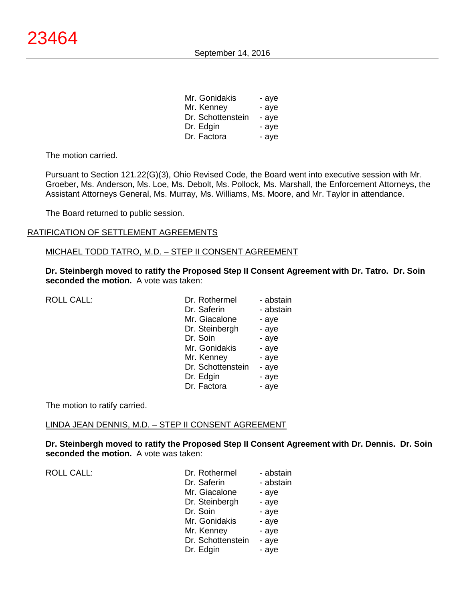September 14, 2016

| Mr. Gonidakis     | - aye |
|-------------------|-------|
| Mr. Kenney        | - aye |
| Dr. Schottenstein | - aye |
| Dr. Edgin         | - aye |
| Dr. Factora       | - aye |

The motion carried.

Pursuant to Section 121.22(G)(3), Ohio Revised Code, the Board went into executive session with Mr. Groeber, Ms. Anderson, Ms. Loe, Ms. Debolt, Ms. Pollock, Ms. Marshall, the Enforcement Attorneys, the Assistant Attorneys General, Ms. Murray, Ms. Williams, Ms. Moore, and Mr. Taylor in attendance.

The Board returned to public session.

#### RATIFICATION OF SETTLEMENT AGREEMENTS

#### MICHAEL TODD TATRO, M.D. – STEP II CONSENT AGREEMENT

**Dr. Steinbergh moved to ratify the Proposed Step II Consent Agreement with Dr. Tatro. Dr. Soin seconded the motion.** A vote was taken:

| ROLL CALL: | Dr. Rothermel     | - abstain |
|------------|-------------------|-----------|
|            | Dr. Saferin       | - abstain |
|            | Mr. Giacalone     | - aye     |
|            | Dr. Steinbergh    | - aye     |
|            | Dr. Soin          | - aye     |
|            | Mr. Gonidakis     | - aye     |
|            | Mr. Kenney        | - aye     |
|            | Dr. Schottenstein | - aye     |
|            | Dr. Edgin         | - aye     |
|            | Dr. Factora       | - aye     |
|            |                   |           |

The motion to ratify carried.

#### LINDA JEAN DENNIS, M.D. – STEP II CONSENT AGREEMENT

**Dr. Steinbergh moved to ratify the Proposed Step II Consent Agreement with Dr. Dennis. Dr. Soin seconded the motion.** A vote was taken:

| <b>ROLL CALL:</b> | Dr. Rothermel     | - abstain |
|-------------------|-------------------|-----------|
|                   | Dr. Saferin       | - abstain |
|                   | Mr. Giacalone     | - aye     |
|                   | Dr. Steinbergh    | - aye     |
|                   | Dr. Soin          | - aye     |
|                   | Mr. Gonidakis     | - aye     |
|                   | Mr. Kenney        | - aye     |
|                   | Dr. Schottenstein | - aye     |
|                   | Dr. Edgin         | - aye     |
|                   |                   |           |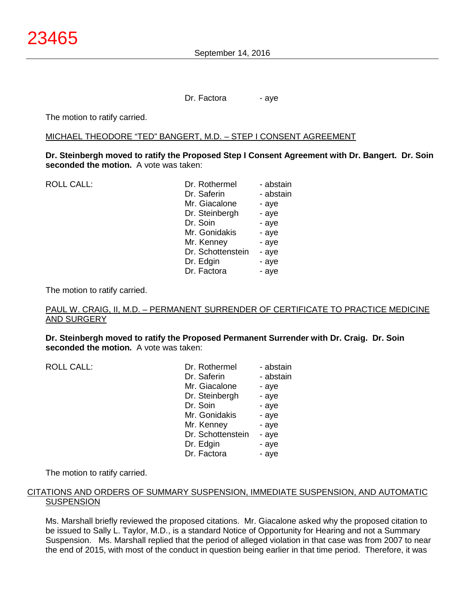Dr. Factora - aye

The motion to ratify carried.

#### MICHAEL THEODORE "TED" BANGERT, M.D. – STEP I CONSENT AGREEMENT

**Dr. Steinbergh moved to ratify the Proposed Step I Consent Agreement with Dr. Bangert. Dr. Soin seconded the motion.** A vote was taken:

| Dr. Rothermel     | - abstain |
|-------------------|-----------|
| Dr. Saferin       | - abstain |
| Mr. Giacalone     | - aye     |
| Dr. Steinbergh    | - aye     |
| Dr. Soin          | - aye     |
| Mr. Gonidakis     | - aye     |
| Mr. Kenney        | - aye     |
| Dr. Schottenstein | - aye     |
| Dr. Edgin         | - aye     |
| Dr. Factora       | - aye     |
|                   |           |

The motion to ratify carried.

# PAUL W. CRAIG, II, M.D. – PERMANENT SURRENDER OF CERTIFICATE TO PRACTICE MEDICINE AND SURGERY

**Dr. Steinbergh moved to ratify the Proposed Permanent Surrender with Dr. Craig. Dr. Soin seconded the motion.** A vote was taken:

|                   | - abstain                  |
|-------------------|----------------------------|
| Dr. Saferin       | - abstain                  |
| Mr. Giacalone     | - aye                      |
| Dr. Steinbergh    | - aye                      |
| Dr. Soin          | - aye                      |
| Mr. Gonidakis     | - aye                      |
| Mr. Kenney        | - aye                      |
| Dr. Schottenstein | - aye                      |
|                   | - aye                      |
| Dr. Factora       | - aye                      |
|                   | Dr. Rothermel<br>Dr. Edgin |

The motion to ratify carried.

# CITATIONS AND ORDERS OF SUMMARY SUSPENSION, IMMEDIATE SUSPENSION, AND AUTOMATIC **SUSPENSION**

Ms. Marshall briefly reviewed the proposed citations. Mr. Giacalone asked why the proposed citation to be issued to Sally L. Taylor, M.D., is a standard Notice of Opportunity for Hearing and not a Summary Suspension. Ms. Marshall replied that the period of alleged violation in that case was from 2007 to near the end of 2015, with most of the conduct in question being earlier in that time period. Therefore, it was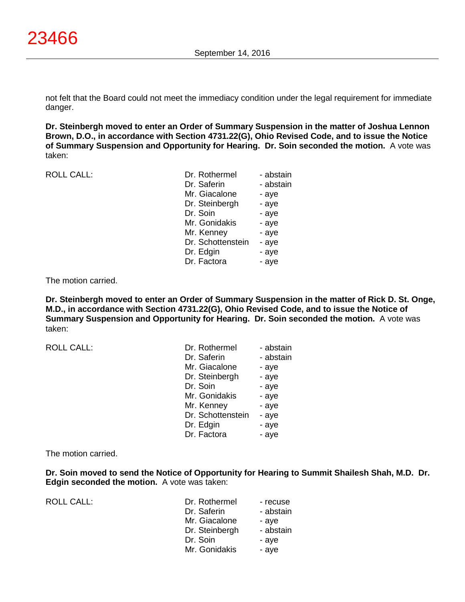not felt that the Board could not meet the immediacy condition under the legal requirement for immediate danger.

**Dr. Steinbergh moved to enter an Order of Summary Suspension in the matter of Joshua Lennon Brown, D.O., in accordance with Section 4731.22(G), Ohio Revised Code, and to issue the Notice of Summary Suspension and Opportunity for Hearing. Dr. Soin seconded the motion.** A vote was taken:

ROLL CALL:

| Dr. Rothermel     | - abstain |
|-------------------|-----------|
| Dr. Saferin       | - abstain |
| Mr. Giacalone     | - aye     |
| Dr. Steinbergh    | - aye     |
| Dr. Soin          | - aye     |
| Mr. Gonidakis     | - aye     |
| Mr. Kenney        | - aye     |
| Dr. Schottenstein | - aye     |
| Dr. Edgin         | - aye     |
| Dr. Factora       | - aye     |
|                   |           |

The motion carried.

**Dr. Steinbergh moved to enter an Order of Summary Suspension in the matter of Rick D. St. Onge, M.D., in accordance with Section 4731.22(G), Ohio Revised Code, and to issue the Notice of Summary Suspension and Opportunity for Hearing. Dr. Soin seconded the motion.** A vote was taken:

| <b>ROLL CALL:</b> | Dr. Rothermel     | - abstain |
|-------------------|-------------------|-----------|
|                   | Dr. Saferin       | - abstain |
|                   | Mr. Giacalone     | - aye     |
|                   | Dr. Steinbergh    | - aye     |
|                   | Dr. Soin          | - aye     |
|                   | Mr. Gonidakis     | - aye     |
|                   | Mr. Kenney        | - aye     |
|                   | Dr. Schottenstein | - aye     |
|                   | Dr. Edgin         | - aye     |
|                   | Dr. Factora       | - aye     |

The motion carried.

**Dr. Soin moved to send the Notice of Opportunity for Hearing to Summit Shailesh Shah, M.D. Dr. Edgin seconded the motion.** A vote was taken:

ROLL CALL:

| Dr. Rothermel  | - recuse  |
|----------------|-----------|
| Dr. Saferin    | - abstain |
| Mr. Giacalone  | - aye     |
| Dr. Steinbergh | - abstain |
| Dr. Soin       | - aye     |
| Mr. Gonidakis  | - aye     |
|                |           |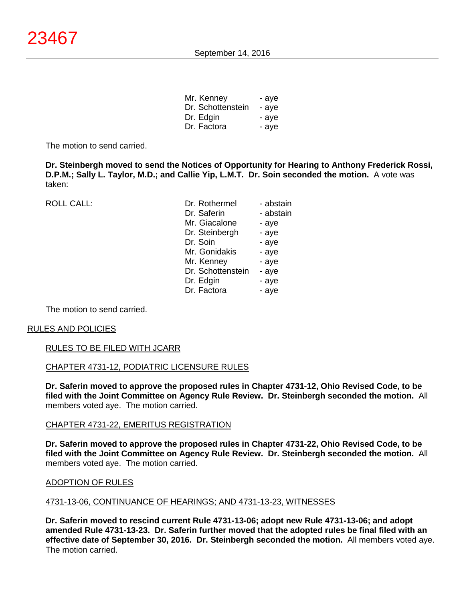| Mr. Kenney        | - aye |
|-------------------|-------|
| Dr. Schottenstein | - aye |
| Dr. Edgin         | - aye |
| Dr. Factora       | - aye |

The motion to send carried.

**Dr. Steinbergh moved to send the Notices of Opportunity for Hearing to Anthony Frederick Rossi, D.P.M.; Sally L. Taylor, M.D.; and Callie Yip, L.M.T. Dr. Soin seconded the motion.** A vote was taken:

ROLL CALL:

| Dr. Rothermel     | - abstain |
|-------------------|-----------|
| Dr. Saferin       | - abstain |
| Mr. Giacalone     | - aye     |
| Dr. Steinbergh    | - aye     |
| Dr. Soin          | - aye     |
| Mr. Gonidakis     | - aye     |
| Mr. Kenney        | - aye     |
| Dr. Schottenstein | - aye     |
| Dr. Edgin         | - aye     |
| Dr. Factora       | - aye     |

The motion to send carried.

#### RULES AND POLICIES

#### RULES TO BE FILED WITH JCARR

#### CHAPTER 4731-12, PODIATRIC LICENSURE RULES

**Dr. Saferin moved to approve the proposed rules in Chapter 4731-12, Ohio Revised Code, to be filed with the Joint Committee on Agency Rule Review. Dr. Steinbergh seconded the motion.** All members voted aye. The motion carried.

#### CHAPTER 4731-22, EMERITUS REGISTRATION

**Dr. Saferin moved to approve the proposed rules in Chapter 4731-22, Ohio Revised Code, to be filed with the Joint Committee on Agency Rule Review. Dr. Steinbergh seconded the motion.** All members voted aye. The motion carried.

#### ADOPTION OF RULES

#### 4731-13-06, CONTINUANCE OF HEARINGS; AND 4731-13-23, WITNESSES

**Dr. Saferin moved to rescind current Rule 4731-13-06; adopt new Rule 4731-13-06; and adopt amended Rule 4731-13-23. Dr. Saferin further moved that the adopted rules be final filed with an effective date of September 30, 2016. Dr. Steinbergh seconded the motion.** All members voted aye. The motion carried.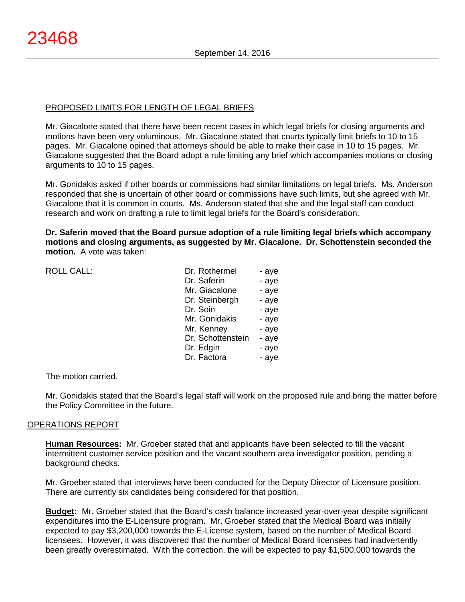# PROPOSED LIMITS FOR LENGTH OF LEGAL BRIEFS

Mr. Giacalone stated that there have been recent cases in which legal briefs for closing arguments and motions have been very voluminous. Mr. Giacalone stated that courts typically limit briefs to 10 to 15 pages. Mr. Giacalone opined that attorneys should be able to make their case in 10 to 15 pages. Mr. Giacalone suggested that the Board adopt a rule limiting any brief which accompanies motions or closing arguments to 10 to 15 pages.

Mr. Gonidakis asked if other boards or commissions had similar limitations on legal briefs. Ms. Anderson responded that she is uncertain of other board or commissions have such limits, but she agreed with Mr. Giacalone that it is common in courts. Ms. Anderson stated that she and the legal staff can conduct research and work on drafting a rule to limit legal briefs for the Board's consideration.

**Dr. Saferin moved that the Board pursue adoption of a rule limiting legal briefs which accompany motions and closing arguments, as suggested by Mr. Giacalone. Dr. Schottenstein seconded the motion.** A vote was taken:

| <b>ROLL CALL:</b> | Dr. Rothermel     | - aye |
|-------------------|-------------------|-------|
|                   | Dr. Saferin       | - aye |
|                   | Mr. Giacalone     | - aye |
|                   | Dr. Steinbergh    | - aye |
|                   | Dr. Soin          | - aye |
|                   | Mr. Gonidakis     | - aye |
|                   | Mr. Kenney        | - aye |
|                   | Dr. Schottenstein | - aye |
|                   | Dr. Edgin         | - aye |
|                   | Dr. Factora       | - aye |
|                   |                   |       |
|                   |                   |       |

The motion carried.

Mr. Gonidakis stated that the Board's legal staff will work on the proposed rule and bring the matter before the Policy Committee in the future.

# OPERATIONS REPORT

**Human Resources:** Mr. Groeber stated that and applicants have been selected to fill the vacant intermittent customer service position and the vacant southern area investigator position, pending a background checks.

Mr. Groeber stated that interviews have been conducted for the Deputy Director of Licensure position. There are currently six candidates being considered for that position.

**Budget:** Mr. Groeber stated that the Board's cash balance increased year-over-year despite significant expenditures into the E-Licensure program. Mr. Groeber stated that the Medical Board was initially expected to pay \$3,200,000 towards the E-License system, based on the number of Medical Board licensees. However, it was discovered that the number of Medical Board licensees had inadvertently been greatly overestimated. With the correction, the will be expected to pay \$1,500,000 towards the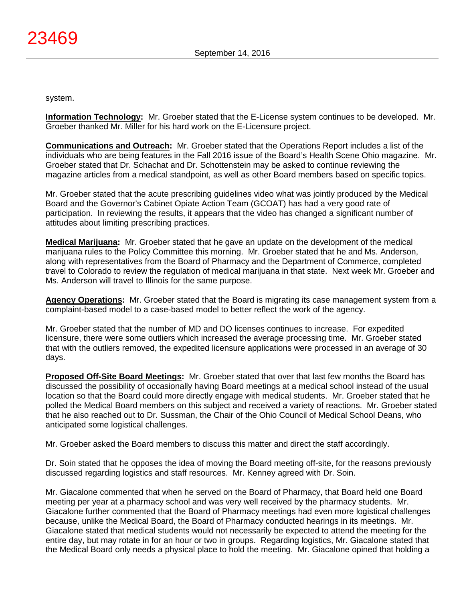system.

**Information Technology:** Mr. Groeber stated that the E-License system continues to be developed. Mr. Groeber thanked Mr. Miller for his hard work on the E-Licensure project.

**Communications and Outreach:** Mr. Groeber stated that the Operations Report includes a list of the individuals who are being features in the Fall 2016 issue of the Board's Health Scene Ohio magazine. Mr. Groeber stated that Dr. Schachat and Dr. Schottenstein may be asked to continue reviewing the magazine articles from a medical standpoint, as well as other Board members based on specific topics.

Mr. Groeber stated that the acute prescribing guidelines video what was jointly produced by the Medical Board and the Governor's Cabinet Opiate Action Team (GCOAT) has had a very good rate of participation. In reviewing the results, it appears that the video has changed a significant number of attitudes about limiting prescribing practices.

**Medical Marijuana:** Mr. Groeber stated that he gave an update on the development of the medical marijuana rules to the Policy Committee this morning. Mr. Groeber stated that he and Ms. Anderson, along with representatives from the Board of Pharmacy and the Department of Commerce, completed travel to Colorado to review the regulation of medical marijuana in that state. Next week Mr. Groeber and Ms. Anderson will travel to Illinois for the same purpose.

**Agency Operations:** Mr. Groeber stated that the Board is migrating its case management system from a complaint-based model to a case-based model to better reflect the work of the agency.

Mr. Groeber stated that the number of MD and DO licenses continues to increase. For expedited licensure, there were some outliers which increased the average processing time. Mr. Groeber stated that with the outliers removed, the expedited licensure applications were processed in an average of 30 days.

**Proposed Off-Site Board Meetings:** Mr. Groeber stated that over that last few months the Board has discussed the possibility of occasionally having Board meetings at a medical school instead of the usual location so that the Board could more directly engage with medical students. Mr. Groeber stated that he polled the Medical Board members on this subject and received a variety of reactions. Mr. Groeber stated that he also reached out to Dr. Sussman, the Chair of the Ohio Council of Medical School Deans, who anticipated some logistical challenges.

Mr. Groeber asked the Board members to discuss this matter and direct the staff accordingly.

Dr. Soin stated that he opposes the idea of moving the Board meeting off-site, for the reasons previously discussed regarding logistics and staff resources. Mr. Kenney agreed with Dr. Soin.

Mr. Giacalone commented that when he served on the Board of Pharmacy, that Board held one Board meeting per year at a pharmacy school and was very well received by the pharmacy students. Mr. Giacalone further commented that the Board of Pharmacy meetings had even more logistical challenges because, unlike the Medical Board, the Board of Pharmacy conducted hearings in its meetings. Mr. Giacalone stated that medical students would not necessarily be expected to attend the meeting for the entire day, but may rotate in for an hour or two in groups. Regarding logistics, Mr. Giacalone stated that the Medical Board only needs a physical place to hold the meeting. Mr. Giacalone opined that holding a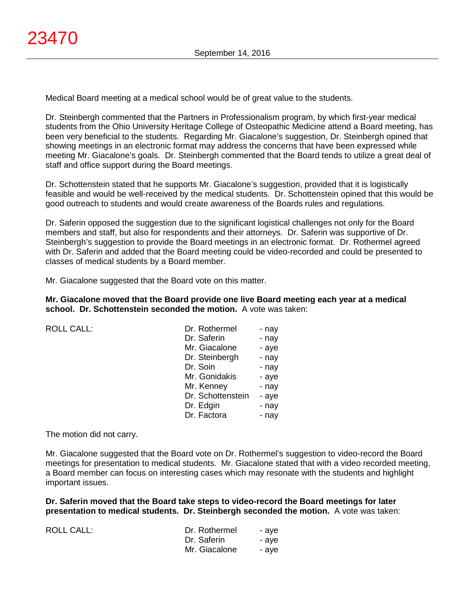Medical Board meeting at a medical school would be of great value to the students.

Dr. Steinbergh commented that the Partners in Professionalism program, by which first-year medical students from the Ohio University Heritage College of Osteopathic Medicine attend a Board meeting, has been very beneficial to the students. Regarding Mr. Giacalone's suggestion, Dr. Steinbergh opined that showing meetings in an electronic format may address the concerns that have been expressed while meeting Mr. Giacalone's goals. Dr. Steinbergh commented that the Board tends to utilize a great deal of staff and office support during the Board meetings.

Dr. Schottenstein stated that he supports Mr. Giacalone's suggestion, provided that it is logistically feasible and would be well-received by the medical students. Dr. Schottenstein opined that this would be good outreach to students and would create awareness of the Boards rules and regulations.

Dr. Saferin opposed the suggestion due to the significant logistical challenges not only for the Board members and staff, but also for respondents and their attorneys. Dr. Saferin was supportive of Dr. Steinbergh's suggestion to provide the Board meetings in an electronic format. Dr. Rothermel agreed with Dr. Saferin and added that the Board meeting could be video-recorded and could be presented to classes of medical students by a Board member.

Mr. Giacalone suggested that the Board vote on this matter.

**Mr. Giacalone moved that the Board provide one live Board meeting each year at a medical school. Dr. Schottenstein seconded the motion.** A vote was taken:

ROLL CALL:

| Dr. Rothermel     | - nay |
|-------------------|-------|
| Dr. Saferin       | - nay |
| Mr. Giacalone     | - aye |
| Dr. Steinbergh    | - nay |
| Dr. Soin          | - nay |
| Mr. Gonidakis     | - aye |
| Mr. Kenney        | - nay |
| Dr. Schottenstein | - aye |
| Dr. Edgin         | - nay |
| Dr. Factora       | - nay |

The motion did not carry.

Mr. Giacalone suggested that the Board vote on Dr. Rothermel's suggestion to video-record the Board meetings for presentation to medical students. Mr. Giacalone stated that with a video recorded meeting, a Board member can focus on interesting cases which may resonate with the students and highlight important issues.

**Dr. Saferin moved that the Board take steps to video-record the Board meetings for later presentation to medical students. Dr. Steinbergh seconded the motion.** A vote was taken:

| ROLL CALL: | Dr. Rothermel | - ave |
|------------|---------------|-------|
|            | Dr. Saferin   | - ave |
|            | Mr. Giacalone | - ave |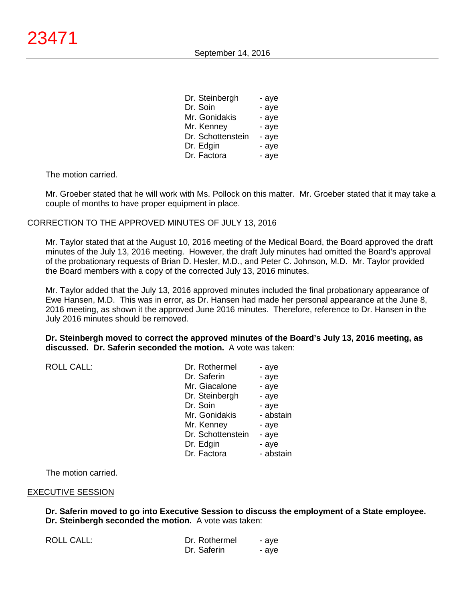| Dr. Steinbergh    | - aye |
|-------------------|-------|
| Dr. Soin          | - aye |
| Mr. Gonidakis     | - aye |
| Mr. Kenney        | - aye |
| Dr. Schottenstein | - aye |
| Dr. Edgin         | - aye |
| Dr. Factora       | - aye |

Mr. Groeber stated that he will work with Ms. Pollock on this matter. Mr. Groeber stated that it may take a couple of months to have proper equipment in place.

#### CORRECTION TO THE APPROVED MINUTES OF JULY 13, 2016

Mr. Taylor stated that at the August 10, 2016 meeting of the Medical Board, the Board approved the draft minutes of the July 13, 2016 meeting. However, the draft July minutes had omitted the Board's approval of the probationary requests of Brian D. Hesler, M.D., and Peter C. Johnson, M.D. Mr. Taylor provided the Board members with a copy of the corrected July 13, 2016 minutes.

Mr. Taylor added that the July 13, 2016 approved minutes included the final probationary appearance of Ewe Hansen, M.D. This was in error, as Dr. Hansen had made her personal appearance at the June 8, 2016 meeting, as shown it the approved June 2016 minutes. Therefore, reference to Dr. Hansen in the July 2016 minutes should be removed.

**Dr. Steinbergh moved to correct the approved minutes of the Board's July 13, 2016 meeting, as discussed. Dr. Saferin seconded the motion.** A vote was taken:

| <b>ROLL CALL:</b> | Dr. Rothermel<br>Dr. Saferin<br>Mr. Giacalone<br>Dr. Steinbergh<br>Dr. Soin<br>Mr. Gonidakis<br>Mr. Kenney<br>Dr. Schottenstein | - aye<br>- aye<br>- aye<br>- aye<br>- aye<br>- abstain<br>- aye<br>- aye |
|-------------------|---------------------------------------------------------------------------------------------------------------------------------|--------------------------------------------------------------------------|
|                   | Dr. Edgin<br>Dr. Factora                                                                                                        | - aye<br>- abstain                                                       |

The motion carried.

#### EXECUTIVE SESSION

ROLL CALL:

**Dr. Saferin moved to go into Executive Session to discuss the employment of a State employee. Dr. Steinbergh seconded the motion.** A vote was taken:

| Dr. Rothermel | - aye |
|---------------|-------|
| Dr. Saferin   | - aye |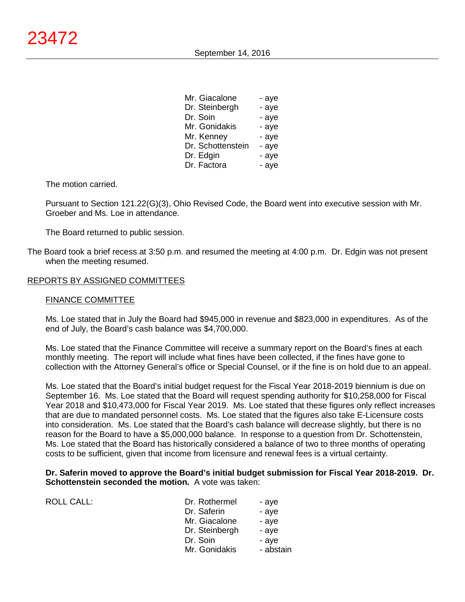| Mr. Giacalone     | - aye |
|-------------------|-------|
| Dr. Steinbergh    | - aye |
| Dr. Soin          | - aye |
| Mr. Gonidakis     | - aye |
| Mr. Kenney        | - aye |
| Dr. Schottenstein | - aye |
| Dr. Edgin         | - aye |
| Dr. Factora       | - aye |

Pursuant to Section 121.22(G)(3), Ohio Revised Code, the Board went into executive session with Mr. Groeber and Ms. Loe in attendance.

The Board returned to public session.

The Board took a brief recess at 3:50 p.m. and resumed the meeting at 4:00 p.m. Dr. Edgin was not present when the meeting resumed.

# REPORTS BY ASSIGNED COMMITTEES

#### FINANCE COMMITTEE

ROLL CALL:

Ms. Loe stated that in July the Board had \$945,000 in revenue and \$823,000 in expenditures. As of the end of July, the Board's cash balance was \$4,700,000.

Ms. Loe stated that the Finance Committee will receive a summary report on the Board's fines at each monthly meeting. The report will include what fines have been collected, if the fines have gone to collection with the Attorney General's office or Special Counsel, or if the fine is on hold due to an appeal.

Ms. Loe stated that the Board's initial budget request for the Fiscal Year 2018-2019 biennium is due on September 16. Ms. Loe stated that the Board will request spending authority for \$10,258,000 for Fiscal Year 2018 and \$10,473,000 for Fiscal Year 2019. Ms. Loe stated that these figures only reflect increases that are due to mandated personnel costs. Ms. Loe stated that the figures also take E-Licensure costs into consideration. Ms. Loe stated that the Board's cash balance will decrease slightly, but there is no reason for the Board to have a \$5,000,000 balance. In response to a question from Dr. Schottenstein, Ms. Loe stated that the Board has historically considered a balance of two to three months of operating costs to be sufficient, given that income from licensure and renewal fees is a virtual certainty.

# **Dr. Saferin moved to approve the Board's initial budget submission for Fiscal Year 2018-2019. Dr. Schottenstein seconded the motion.** A vote was taken:

| Dr. Rothermel  | - aye     |
|----------------|-----------|
| Dr. Saferin    | - aye     |
| Mr. Giacalone  | - aye     |
| Dr. Steinbergh | - aye     |
| Dr. Soin       | - aye     |
| Mr. Gonidakis  | - abstain |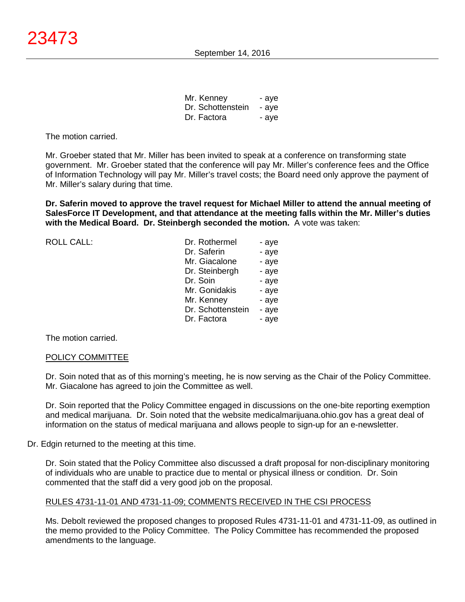| Mr. Kenney        | - aye |
|-------------------|-------|
| Dr. Schottenstein | - aye |
| Dr. Factora       | - aye |

Mr. Groeber stated that Mr. Miller has been invited to speak at a conference on transforming state government. Mr. Groeber stated that the conference will pay Mr. Miller's conference fees and the Office of Information Technology will pay Mr. Miller's travel costs; the Board need only approve the payment of Mr. Miller's salary during that time.

**Dr. Saferin moved to approve the travel request for Michael Miller to attend the annual meeting of SalesForce IT Development, and that attendance at the meeting falls within the Mr. Miller's duties with the Medical Board. Dr. Steinbergh seconded the motion.** A vote was taken:

| <b>ROLL CALL:</b> | Dr. Rothermel     | - aye |
|-------------------|-------------------|-------|
|                   | Dr. Saferin       | - aye |
|                   | Mr. Giacalone     | - aye |
|                   | Dr. Steinbergh    | - aye |
|                   | Dr. Soin          | - aye |
|                   | Mr. Gonidakis     | - aye |
|                   | Mr. Kenney        | - aye |
|                   | Dr. Schottenstein | - aye |
|                   | Dr. Factora       | - aye |
|                   |                   |       |

The motion carried.

# POLICY COMMITTEE

Dr. Soin noted that as of this morning's meeting, he is now serving as the Chair of the Policy Committee. Mr. Giacalone has agreed to join the Committee as well.

Dr. Soin reported that the Policy Committee engaged in discussions on the one-bite reporting exemption and medical marijuana. Dr. Soin noted that the website medicalmarijuana.ohio.gov has a great deal of information on the status of medical marijuana and allows people to sign-up for an e-newsletter.

Dr. Edgin returned to the meeting at this time.

Dr. Soin stated that the Policy Committee also discussed a draft proposal for non-disciplinary monitoring of individuals who are unable to practice due to mental or physical illness or condition. Dr. Soin commented that the staff did a very good job on the proposal.

# RULES 4731-11-01 AND 4731-11-09; COMMENTS RECEIVED IN THE CSI PROCESS

Ms. Debolt reviewed the proposed changes to proposed Rules 4731-11-01 and 4731-11-09, as outlined in the memo provided to the Policy Committee. The Policy Committee has recommended the proposed amendments to the language.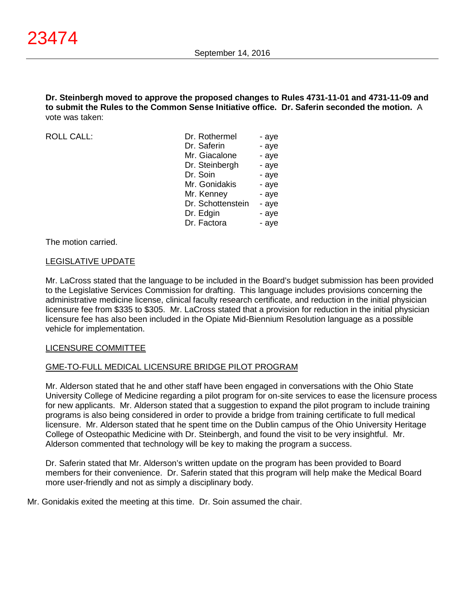**Dr. Steinbergh moved to approve the proposed changes to Rules 4731-11-01 and 4731-11-09 and to submit the Rules to the Common Sense Initiative office. Dr. Saferin seconded the motion.** A vote was taken:

 $ROILCAIL$ :

| Dr. Rothermel     | - aye |
|-------------------|-------|
| Dr. Saferin       | - aye |
| Mr. Giacalone     | - aye |
| Dr. Steinbergh    | - aye |
| Dr. Soin          | - aye |
| Mr. Gonidakis     | - aye |
| Mr. Kenney        | - aye |
| Dr. Schottenstein | - aye |
| Dr. Edgin         | - aye |
| Dr. Factora       | - aye |
|                   |       |

The motion carried.

# LEGISLATIVE UPDATE

Mr. LaCross stated that the language to be included in the Board's budget submission has been provided to the Legislative Services Commission for drafting. This language includes provisions concerning the administrative medicine license, clinical faculty research certificate, and reduction in the initial physician licensure fee from \$335 to \$305. Mr. LaCross stated that a provision for reduction in the initial physician licensure fee has also been included in the Opiate Mid-Biennium Resolution language as a possible vehicle for implementation.

# LICENSURE COMMITTEE

# GME-TO-FULL MEDICAL LICENSURE BRIDGE PILOT PROGRAM

Mr. Alderson stated that he and other staff have been engaged in conversations with the Ohio State University College of Medicine regarding a pilot program for on-site services to ease the licensure process for new applicants. Mr. Alderson stated that a suggestion to expand the pilot program to include training programs is also being considered in order to provide a bridge from training certificate to full medical licensure. Mr. Alderson stated that he spent time on the Dublin campus of the Ohio University Heritage College of Osteopathic Medicine with Dr. Steinbergh, and found the visit to be very insightful. Mr. Alderson commented that technology will be key to making the program a success.

Dr. Saferin stated that Mr. Alderson's written update on the program has been provided to Board members for their convenience. Dr. Saferin stated that this program will help make the Medical Board more user-friendly and not as simply a disciplinary body.

Mr. Gonidakis exited the meeting at this time. Dr. Soin assumed the chair.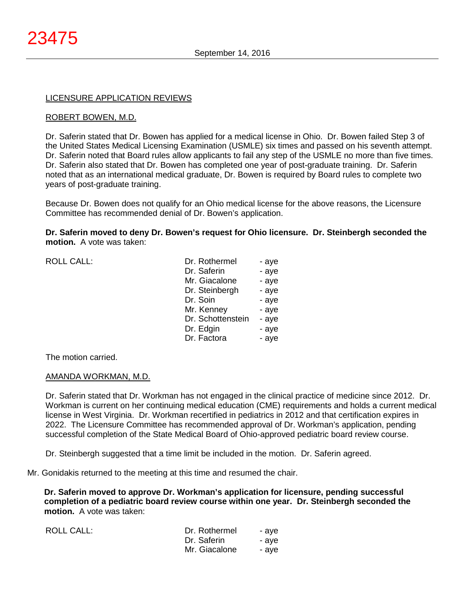# LICENSURE APPLICATION REVIEWS

# ROBERT BOWEN, M.D.

Dr. Saferin stated that Dr. Bowen has applied for a medical license in Ohio. Dr. Bowen failed Step 3 of the United States Medical Licensing Examination (USMLE) six times and passed on his seventh attempt. Dr. Saferin noted that Board rules allow applicants to fail any step of the USMLE no more than five times. Dr. Saferin also stated that Dr. Bowen has completed one year of post-graduate training. Dr. Saferin noted that as an international medical graduate, Dr. Bowen is required by Board rules to complete two years of post-graduate training.

Because Dr. Bowen does not qualify for an Ohio medical license for the above reasons, the Licensure Committee has recommended denial of Dr. Bowen's application.

**Dr. Saferin moved to deny Dr. Bowen's request for Ohio licensure. Dr. Steinbergh seconded the motion.** A vote was taken:

| Dr. Rothermel     | - aye |
|-------------------|-------|
| Dr. Saferin       | - aye |
| Mr. Giacalone     | - aye |
| Dr. Steinbergh    | - aye |
| Dr. Soin          | - aye |
| Mr. Kenney        | - aye |
| Dr. Schottenstein | - aye |
| Dr. Edgin         | - aye |
| Dr. Factora       | - aye |
|                   |       |

The motion carried.

 $ROILCAII$ :

# AMANDA WORKMAN, M.D.

Dr. Saferin stated that Dr. Workman has not engaged in the clinical practice of medicine since 2012. Dr. Workman is current on her continuing medical education (CME) requirements and holds a current medical license in West Virginia. Dr. Workman recertified in pediatrics in 2012 and that certification expires in 2022. The Licensure Committee has recommended approval of Dr. Workman's application, pending successful completion of the State Medical Board of Ohio-approved pediatric board review course.

Dr. Steinbergh suggested that a time limit be included in the motion. Dr. Saferin agreed.

Mr. Gonidakis returned to the meeting at this time and resumed the chair.

**Dr. Saferin moved to approve Dr. Workman's application for licensure, pending successful completion of a pediatric board review course within one year. Dr. Steinbergh seconded the motion.** A vote was taken:

| <b>ROLL CALL:</b> | Dr. Rothermel | - ave |
|-------------------|---------------|-------|
|                   | Dr. Saferin   | - ave |
|                   | Mr. Giacalone | - ave |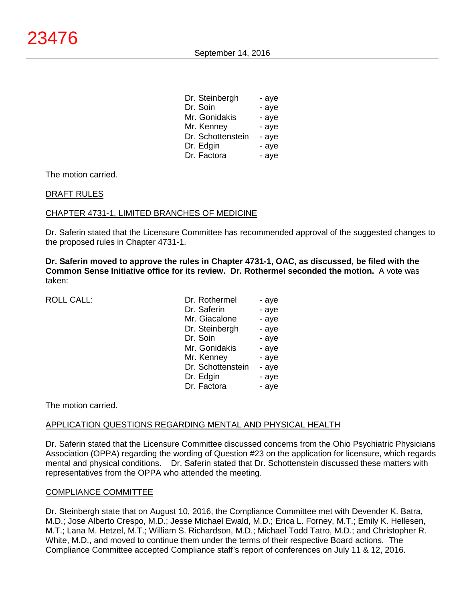| Dr. Steinbergh    | - aye |
|-------------------|-------|
| Dr. Soin          | - aye |
| Mr. Gonidakis     | - aye |
| Mr. Kenney        | - aye |
| Dr. Schottenstein | - aye |
| Dr. Edgin         | - aye |
| Dr. Factora       | - aye |

# DRAFT RULES

# CHAPTER 4731-1, LIMITED BRANCHES OF MEDICINE

Dr. Saferin stated that the Licensure Committee has recommended approval of the suggested changes to the proposed rules in Chapter 4731-1.

**Dr. Saferin moved to approve the rules in Chapter 4731-1, OAC, as discussed, be filed with the Common Sense Initiative office for its review. Dr. Rothermel seconded the motion.** A vote was taken:

ROLL CALL:

| Dr. Rothermel     | - aye |
|-------------------|-------|
| Dr. Saferin       | - aye |
| Mr. Giacalone     | - aye |
| Dr. Steinbergh    | - aye |
| Dr. Soin          | - aye |
| Mr. Gonidakis     | - aye |
| Mr. Kenney        | - aye |
| Dr. Schottenstein | - aye |
| Dr. Edgin         | - aye |
| Dr. Factora       | - aye |

The motion carried.

# APPLICATION QUESTIONS REGARDING MENTAL AND PHYSICAL HEALTH

Dr. Saferin stated that the Licensure Committee discussed concerns from the Ohio Psychiatric Physicians Association (OPPA) regarding the wording of Question #23 on the application for licensure, which regards mental and physical conditions. Dr. Saferin stated that Dr. Schottenstein discussed these matters with representatives from the OPPA who attended the meeting.

# COMPLIANCE COMMITTEE

Dr. Steinbergh state that on August 10, 2016, the Compliance Committee met with Devender K. Batra, M.D.; Jose Alberto Crespo, M.D.; Jesse Michael Ewald, M.D.; Erica L. Forney, M.T.; Emily K. Hellesen, M.T.; Lana M. Hetzel, M.T.; William S. Richardson, M.D.; Michael Todd Tatro, M.D.; and Christopher R. White, M.D., and moved to continue them under the terms of their respective Board actions. The Compliance Committee accepted Compliance staff's report of conferences on July 11 & 12, 2016.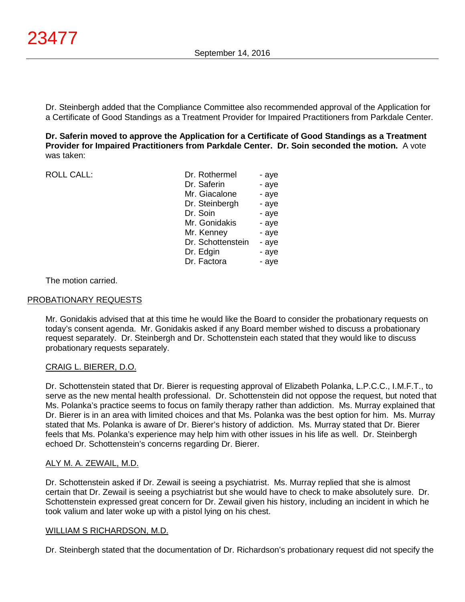Dr. Steinbergh added that the Compliance Committee also recommended approval of the Application for a Certificate of Good Standings as a Treatment Provider for Impaired Practitioners from Parkdale Center.

**Dr. Saferin moved to approve the Application for a Certificate of Good Standings as a Treatment Provider for Impaired Practitioners from Parkdale Center. Dr. Soin seconded the motion.** A vote was taken:

ROLL CALL:

| Dr. Rothermel     | - aye |
|-------------------|-------|
| Dr. Saferin       | - aye |
| Mr. Giacalone     | - aye |
| Dr. Steinbergh    | - aye |
| Dr. Soin          | - aye |
| Mr. Gonidakis     | - aye |
| Mr. Kenney        | - aye |
| Dr. Schottenstein | - aye |
| Dr. Edgin         | - aye |
| Dr. Factora       | - aye |
|                   |       |

# The motion carried.

# PROBATIONARY REQUESTS

Mr. Gonidakis advised that at this time he would like the Board to consider the probationary requests on today's consent agenda. Mr. Gonidakis asked if any Board member wished to discuss a probationary request separately. Dr. Steinbergh and Dr. Schottenstein each stated that they would like to discuss probationary requests separately.

# CRAIG L. BIERER, D.O.

Dr. Schottenstein stated that Dr. Bierer is requesting approval of Elizabeth Polanka, L.P.C.C., I.M.F.T., to serve as the new mental health professional. Dr. Schottenstein did not oppose the request, but noted that Ms. Polanka's practice seems to focus on family therapy rather than addiction. Ms. Murray explained that Dr. Bierer is in an area with limited choices and that Ms. Polanka was the best option for him. Ms. Murray stated that Ms. Polanka is aware of Dr. Bierer's history of addiction. Ms. Murray stated that Dr. Bierer feels that Ms. Polanka's experience may help him with other issues in his life as well. Dr. Steinbergh echoed Dr. Schottenstein's concerns regarding Dr. Bierer.

# ALY M. A. ZEWAIL, M.D.

Dr. Schottenstein asked if Dr. Zewail is seeing a psychiatrist. Ms. Murray replied that she is almost certain that Dr. Zewail is seeing a psychiatrist but she would have to check to make absolutely sure. Dr. Schottenstein expressed great concern for Dr. Zewail given his history, including an incident in which he took valium and later woke up with a pistol lying on his chest.

# WILLIAM S RICHARDSON, M.D.

Dr. Steinbergh stated that the documentation of Dr. Richardson's probationary request did not specify the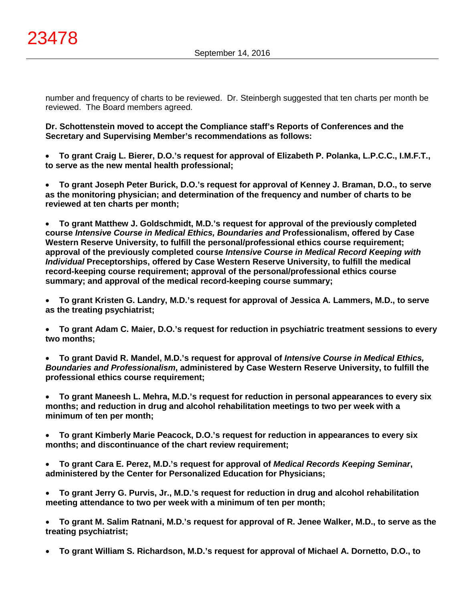number and frequency of charts to be reviewed. Dr. Steinbergh suggested that ten charts per month be reviewed. The Board members agreed.

**Dr. Schottenstein moved to accept the Compliance staff's Reports of Conferences and the Secretary and Supervising Member's recommendations as follows:**

• **To grant Craig L. Bierer, D.O.'s request for approval of Elizabeth P. Polanka, L.P.C.C., I.M.F.T., to serve as the new mental health professional;**

• **To grant Joseph Peter Burick, D.O.'s request for approval of Kenney J. Braman, D.O., to serve as the monitoring physician; and determination of the frequency and number of charts to be reviewed at ten charts per month;**

• **To grant Matthew J. Goldschmidt, M.D.'s request for approval of the previously completed course** *Intensive Course in Medical Ethics, Boundaries and* **Professionalism, offered by Case Western Reserve University, to fulfill the personal/professional ethics course requirement; approval of the previously completed course** *Intensive Course in Medical Record Keeping with Individual* **Preceptorships, offered by Case Western Reserve University, to fulfill the medical record-keeping course requirement; approval of the personal/professional ethics course summary; and approval of the medical record-keeping course summary;**

• **To grant Kristen G. Landry, M.D.'s request for approval of Jessica A. Lammers, M.D., to serve as the treating psychiatrist;**

• **To grant Adam C. Maier, D.O.'s request for reduction in psychiatric treatment sessions to every two months;**

• **To grant David R. Mandel, M.D.'s request for approval of** *Intensive Course in Medical Ethics, Boundaries and Professionalism***, administered by Case Western Reserve University, to fulfill the professional ethics course requirement;**

• **To grant Maneesh L. Mehra, M.D.'s request for reduction in personal appearances to every six months; and reduction in drug and alcohol rehabilitation meetings to two per week with a minimum of ten per month;**

• **To grant Kimberly Marie Peacock, D.O.'s request for reduction in appearances to every six months; and discontinuance of the chart review requirement;**

• **To grant Cara E. Perez, M.D.'s request for approval of** *Medical Records Keeping Seminar***, administered by the Center for Personalized Education for Physicians;**

• **To grant Jerry G. Purvis, Jr., M.D.'s request for reduction in drug and alcohol rehabilitation meeting attendance to two per week with a minimum of ten per month;**

• **To grant M. Salim Ratnani, M.D.'s request for approval of R. Jenee Walker, M.D., to serve as the treating psychiatrist;**

• **To grant William S. Richardson, M.D.'s request for approval of Michael A. Dornetto, D.O., to**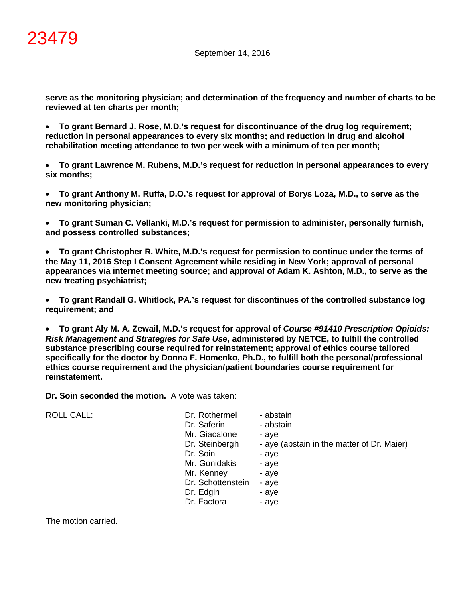**serve as the monitoring physician; and determination of the frequency and number of charts to be reviewed at ten charts per month;**

• **To grant Bernard J. Rose, M.D.'s request for discontinuance of the drug log requirement; reduction in personal appearances to every six months; and reduction in drug and alcohol rehabilitation meeting attendance to two per week with a minimum of ten per month;**

• **To grant Lawrence M. Rubens, M.D.'s request for reduction in personal appearances to every six months;**

• **To grant Anthony M. Ruffa, D.O.'s request for approval of Borys Loza, M.D., to serve as the new monitoring physician;**

• **To grant Suman C. Vellanki, M.D.'s request for permission to administer, personally furnish, and possess controlled substances;**

• **To grant Christopher R. White, M.D.'s request for permission to continue under the terms of the May 11, 2016 Step I Consent Agreement while residing in New York; approval of personal appearances via internet meeting source; and approval of Adam K. Ashton, M.D., to serve as the new treating psychiatrist;**

• **To grant Randall G. Whitlock, PA.'s request for discontinues of the controlled substance log requirement; and**

• **To grant Aly M. A. Zewail, M.D.'s request for approval of** *Course #91410 Prescription Opioids: Risk Management and Strategies for Safe Use***, administered by NETCE, to fulfill the controlled substance prescribing course required for reinstatement; approval of ethics course tailored specifically for the doctor by Donna F. Homenko, Ph.D., to fulfill both the personal/professional ethics course requirement and the physician/patient boundaries course requirement for reinstatement.**

**Dr. Soin seconded the motion.** A vote was taken:

ROLL CALL:

| Dr. Rothermel     | - abstain                                  |
|-------------------|--------------------------------------------|
| Dr. Saferin       | - abstain                                  |
| Mr. Giacalone     | - aye                                      |
| Dr. Steinbergh    | - aye (abstain in the matter of Dr. Maier) |
| Dr. Soin          | - aye                                      |
| Mr. Gonidakis     | - aye                                      |
| Mr. Kenney        | - aye                                      |
| Dr. Schottenstein | - aye                                      |
| Dr. Edgin         | - aye                                      |
| Dr. Factora       | - aye                                      |

The motion carried.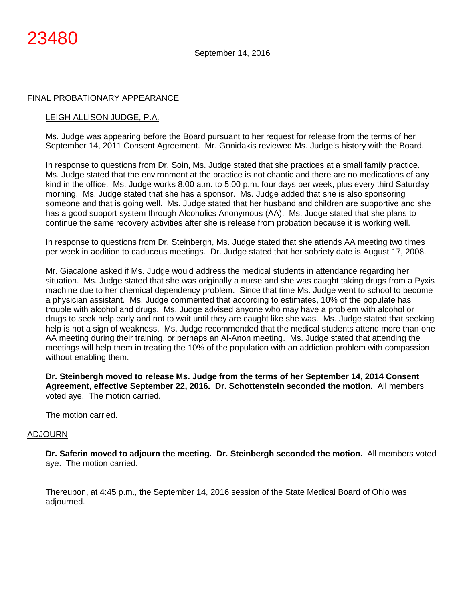#### FINAL PROBATIONARY APPEARANCE

# LEIGH ALLISON JUDGE, P.A.

Ms. Judge was appearing before the Board pursuant to her request for release from the terms of her September 14, 2011 Consent Agreement. Mr. Gonidakis reviewed Ms. Judge's history with the Board.

In response to questions from Dr. Soin, Ms. Judge stated that she practices at a small family practice. Ms. Judge stated that the environment at the practice is not chaotic and there are no medications of any kind in the office. Ms. Judge works 8:00 a.m. to 5:00 p.m. four days per week, plus every third Saturday morning. Ms. Judge stated that she has a sponsor. Ms. Judge added that she is also sponsoring someone and that is going well. Ms. Judge stated that her husband and children are supportive and she has a good support system through Alcoholics Anonymous (AA). Ms. Judge stated that she plans to continue the same recovery activities after she is release from probation because it is working well.

In response to questions from Dr. Steinbergh, Ms. Judge stated that she attends AA meeting two times per week in addition to caduceus meetings. Dr. Judge stated that her sobriety date is August 17, 2008.

Mr. Giacalone asked if Ms. Judge would address the medical students in attendance regarding her situation. Ms. Judge stated that she was originally a nurse and she was caught taking drugs from a Pyxis machine due to her chemical dependency problem. Since that time Ms. Judge went to school to become a physician assistant. Ms. Judge commented that according to estimates, 10% of the populate has trouble with alcohol and drugs. Ms. Judge advised anyone who may have a problem with alcohol or drugs to seek help early and not to wait until they are caught like she was. Ms. Judge stated that seeking help is not a sign of weakness. Ms. Judge recommended that the medical students attend more than one AA meeting during their training, or perhaps an Al-Anon meeting. Ms. Judge stated that attending the meetings will help them in treating the 10% of the population with an addiction problem with compassion without enabling them.

**Dr. Steinbergh moved to release Ms. Judge from the terms of her September 14, 2014 Consent Agreement, effective September 22, 2016. Dr. Schottenstein seconded the motion.** All members voted aye. The motion carried.

The motion carried.

#### ADJOURN

**Dr. Saferin moved to adjourn the meeting. Dr. Steinbergh seconded the motion.** All members voted aye. The motion carried.

Thereupon, at 4:45 p.m., the September 14, 2016 session of the State Medical Board of Ohio was adjourned.